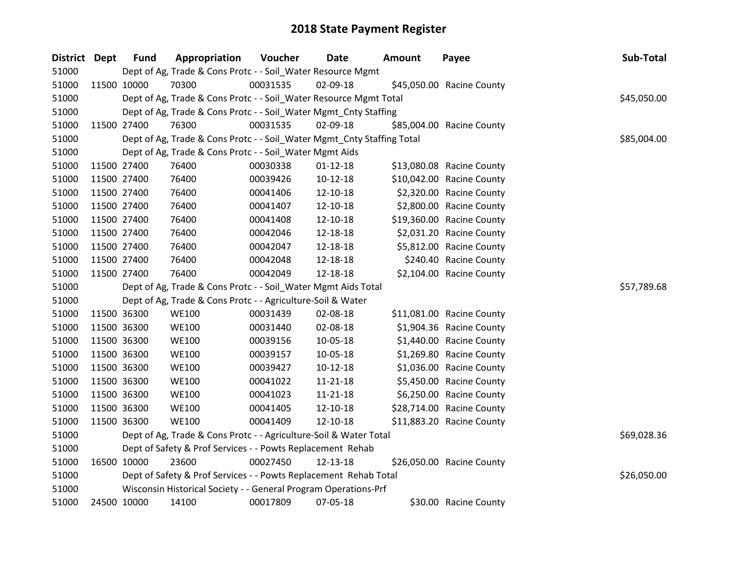| District Dept | <b>Fund</b> | Appropriation                                                          | Voucher  | <b>Date</b>    | Amount | Payee                     | Sub-Total   |
|---------------|-------------|------------------------------------------------------------------------|----------|----------------|--------|---------------------------|-------------|
| 51000         |             | Dept of Ag, Trade & Cons Protc - - Soil_Water Resource Mgmt            |          |                |        |                           |             |
| 51000         | 11500 10000 | 70300                                                                  | 00031535 | 02-09-18       |        | \$45,050.00 Racine County |             |
| 51000         |             | Dept of Ag, Trade & Cons Protc - - Soil_Water Resource Mgmt Total      |          |                |        |                           | \$45,050.00 |
| 51000         |             | Dept of Ag, Trade & Cons Protc - - Soil_Water Mgmt_Cnty Staffing       |          |                |        |                           |             |
| 51000         | 11500 27400 | 76300                                                                  | 00031535 | 02-09-18       |        | \$85,004.00 Racine County |             |
| 51000         |             | Dept of Ag, Trade & Cons Protc - - Soil_Water Mgmt_Cnty Staffing Total |          |                |        |                           | \$85,004.00 |
| 51000         |             | Dept of Ag, Trade & Cons Protc - - Soil_Water Mgmt Aids                |          |                |        |                           |             |
| 51000         | 11500 27400 | 76400                                                                  | 00030338 | $01 - 12 - 18$ |        | \$13,080.08 Racine County |             |
| 51000         | 11500 27400 | 76400                                                                  | 00039426 | 10-12-18       |        | \$10,042.00 Racine County |             |
| 51000         | 11500 27400 | 76400                                                                  | 00041406 | 12-10-18       |        | \$2,320.00 Racine County  |             |
| 51000         | 11500 27400 | 76400                                                                  | 00041407 | 12-10-18       |        | \$2,800.00 Racine County  |             |
| 51000         | 11500 27400 | 76400                                                                  | 00041408 | 12-10-18       |        | \$19,360.00 Racine County |             |
| 51000         | 11500 27400 | 76400                                                                  | 00042046 | 12-18-18       |        | \$2,031.20 Racine County  |             |
| 51000         | 11500 27400 | 76400                                                                  | 00042047 | 12-18-18       |        | \$5,812.00 Racine County  |             |
| 51000         | 11500 27400 | 76400                                                                  | 00042048 | 12-18-18       |        | \$240.40 Racine County    |             |
| 51000         | 11500 27400 | 76400                                                                  | 00042049 | 12-18-18       |        | \$2,104.00 Racine County  |             |
| 51000         |             | Dept of Ag, Trade & Cons Protc - - Soil_Water Mgmt Aids Total          |          |                |        |                           | \$57,789.68 |
| 51000         |             | Dept of Ag, Trade & Cons Protc - - Agriculture-Soil & Water            |          |                |        |                           |             |
| 51000         | 11500 36300 | <b>WE100</b>                                                           | 00031439 | 02-08-18       |        | \$11,081.00 Racine County |             |
| 51000         | 11500 36300 | <b>WE100</b>                                                           | 00031440 | 02-08-18       |        | \$1,904.36 Racine County  |             |
| 51000         | 11500 36300 | <b>WE100</b>                                                           | 00039156 | 10-05-18       |        | \$1,440.00 Racine County  |             |
| 51000         | 11500 36300 | <b>WE100</b>                                                           | 00039157 | 10-05-18       |        | \$1,269.80 Racine County  |             |
| 51000         | 11500 36300 | <b>WE100</b>                                                           | 00039427 | $10-12-18$     |        | \$1,036.00 Racine County  |             |
| 51000         | 11500 36300 | <b>WE100</b>                                                           | 00041022 | 11-21-18       |        | \$5,450.00 Racine County  |             |
| 51000         | 11500 36300 | <b>WE100</b>                                                           | 00041023 | 11-21-18       |        | \$6,250.00 Racine County  |             |
| 51000         | 11500 36300 | <b>WE100</b>                                                           | 00041405 | 12-10-18       |        | \$28,714.00 Racine County |             |
| 51000         | 11500 36300 | <b>WE100</b>                                                           | 00041409 | 12-10-18       |        | \$11,883.20 Racine County |             |
| 51000         |             | Dept of Ag, Trade & Cons Protc - - Agriculture-Soil & Water Total      |          |                |        |                           | \$69,028.36 |
| 51000         |             | Dept of Safety & Prof Services - - Powts Replacement Rehab             |          |                |        |                           |             |
| 51000         | 16500 10000 | 23600                                                                  | 00027450 | 12-13-18       |        | \$26,050.00 Racine County |             |
| 51000         |             | Dept of Safety & Prof Services - - Powts Replacement Rehab Total       |          |                |        |                           | \$26,050.00 |
| 51000         |             | Wisconsin Historical Society - - General Program Operations-Prf        |          |                |        |                           |             |
| 51000         | 24500 10000 | 14100                                                                  | 00017809 | 07-05-18       |        | \$30.00 Racine County     |             |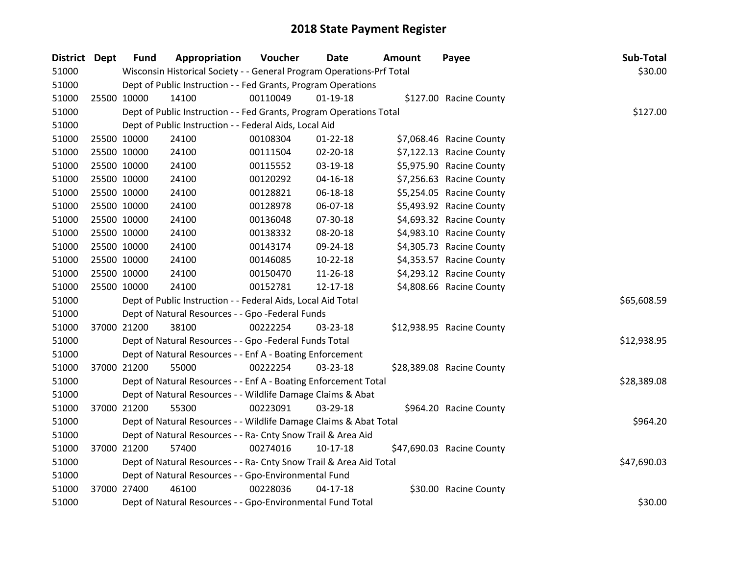| <b>District Dept</b> | <b>Fund</b> | Appropriation                                                         | Voucher  | <b>Date</b>    | Amount | Payee                     | Sub-Total   |
|----------------------|-------------|-----------------------------------------------------------------------|----------|----------------|--------|---------------------------|-------------|
| 51000                |             | Wisconsin Historical Society - - General Program Operations-Prf Total |          |                |        |                           | \$30.00     |
| 51000                |             | Dept of Public Instruction - - Fed Grants, Program Operations         |          |                |        |                           |             |
| 51000                | 25500 10000 | 14100                                                                 | 00110049 | $01-19-18$     |        | \$127.00 Racine County    |             |
| 51000                |             | Dept of Public Instruction - - Fed Grants, Program Operations Total   |          |                |        |                           | \$127.00    |
| 51000                |             | Dept of Public Instruction - - Federal Aids, Local Aid                |          |                |        |                           |             |
| 51000                | 25500 10000 | 24100                                                                 | 00108304 | $01 - 22 - 18$ |        | \$7,068.46 Racine County  |             |
| 51000                | 25500 10000 | 24100                                                                 | 00111504 | 02-20-18       |        | \$7,122.13 Racine County  |             |
| 51000                | 25500 10000 | 24100                                                                 | 00115552 | 03-19-18       |        | \$5,975.90 Racine County  |             |
| 51000                | 25500 10000 | 24100                                                                 | 00120292 | $04 - 16 - 18$ |        | \$7,256.63 Racine County  |             |
| 51000                | 25500 10000 | 24100                                                                 | 00128821 | 06-18-18       |        | \$5,254.05 Racine County  |             |
| 51000                | 25500 10000 | 24100                                                                 | 00128978 | 06-07-18       |        | \$5,493.92 Racine County  |             |
| 51000                | 25500 10000 | 24100                                                                 | 00136048 | 07-30-18       |        | \$4,693.32 Racine County  |             |
| 51000                | 25500 10000 | 24100                                                                 | 00138332 | 08-20-18       |        | \$4,983.10 Racine County  |             |
| 51000                | 25500 10000 | 24100                                                                 | 00143174 | 09-24-18       |        | \$4,305.73 Racine County  |             |
| 51000                | 25500 10000 | 24100                                                                 | 00146085 | $10-22-18$     |        | \$4,353.57 Racine County  |             |
| 51000                | 25500 10000 | 24100                                                                 | 00150470 | 11-26-18       |        | \$4,293.12 Racine County  |             |
| 51000                | 25500 10000 | 24100                                                                 | 00152781 | $12 - 17 - 18$ |        | \$4,808.66 Racine County  |             |
| 51000                |             | Dept of Public Instruction - - Federal Aids, Local Aid Total          |          |                |        |                           | \$65,608.59 |
| 51000                |             | Dept of Natural Resources - - Gpo -Federal Funds                      |          |                |        |                           |             |
| 51000                | 37000 21200 | 38100                                                                 | 00222254 | 03-23-18       |        | \$12,938.95 Racine County |             |
| 51000                |             | Dept of Natural Resources - - Gpo -Federal Funds Total                |          |                |        |                           | \$12,938.95 |
| 51000                |             | Dept of Natural Resources - - Enf A - Boating Enforcement             |          |                |        |                           |             |
| 51000                | 37000 21200 | 55000                                                                 | 00222254 | 03-23-18       |        | \$28,389.08 Racine County |             |
| 51000                |             | Dept of Natural Resources - - Enf A - Boating Enforcement Total       |          |                |        |                           | \$28,389.08 |
| 51000                |             | Dept of Natural Resources - - Wildlife Damage Claims & Abat           |          |                |        |                           |             |
| 51000                | 37000 21200 | 55300                                                                 | 00223091 | 03-29-18       |        | \$964.20 Racine County    |             |
| 51000                |             | Dept of Natural Resources - - Wildlife Damage Claims & Abat Total     |          |                |        |                           | \$964.20    |
| 51000                |             | Dept of Natural Resources - - Ra- Cnty Snow Trail & Area Aid          |          |                |        |                           |             |
| 51000                | 37000 21200 | 57400                                                                 | 00274016 | $10-17-18$     |        | \$47,690.03 Racine County |             |
| 51000                |             | Dept of Natural Resources - - Ra- Cnty Snow Trail & Area Aid Total    |          |                |        |                           | \$47,690.03 |
| 51000                |             | Dept of Natural Resources - - Gpo-Environmental Fund                  |          |                |        |                           |             |
| 51000                | 37000 27400 | 46100                                                                 | 00228036 | $04-17-18$     |        | \$30.00 Racine County     |             |
| 51000                |             | Dept of Natural Resources - - Gpo-Environmental Fund Total            |          |                |        |                           | \$30.00     |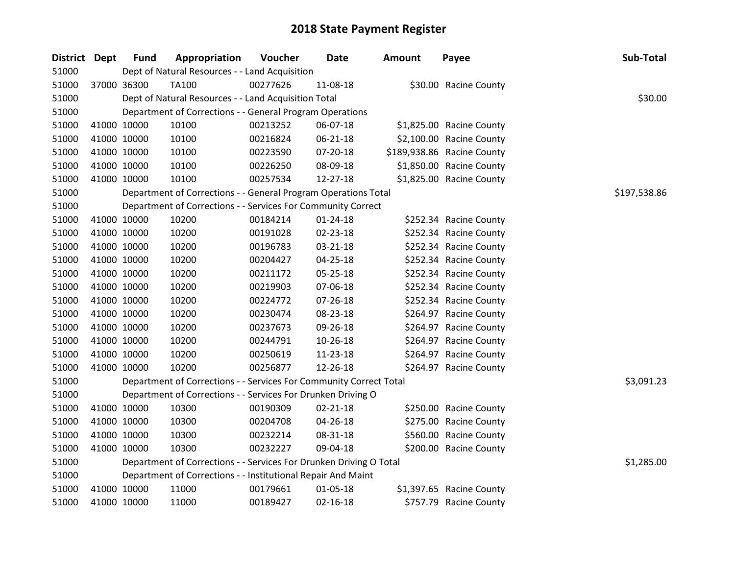| District Dept | <b>Fund</b> | Appropriation                                                      | <b>Voucher</b> | Date           | <b>Amount</b> | Payee                      | Sub-Total    |
|---------------|-------------|--------------------------------------------------------------------|----------------|----------------|---------------|----------------------------|--------------|
| 51000         |             | Dept of Natural Resources - - Land Acquisition                     |                |                |               |                            |              |
| 51000         | 37000 36300 | <b>TA100</b>                                                       | 00277626       | 11-08-18       |               | \$30.00 Racine County      |              |
| 51000         |             | Dept of Natural Resources - - Land Acquisition Total               |                |                |               |                            | \$30.00      |
| 51000         |             | Department of Corrections - - General Program Operations           |                |                |               |                            |              |
| 51000         | 41000 10000 | 10100                                                              | 00213252       | 06-07-18       |               | \$1,825.00 Racine County   |              |
| 51000         | 41000 10000 | 10100                                                              | 00216824       | 06-21-18       |               | \$2,100.00 Racine County   |              |
| 51000         | 41000 10000 | 10100                                                              | 00223590       | 07-20-18       |               | \$189,938.86 Racine County |              |
| 51000         | 41000 10000 | 10100                                                              | 00226250       | 08-09-18       |               | \$1,850.00 Racine County   |              |
| 51000         | 41000 10000 | 10100                                                              | 00257534       | 12-27-18       |               | \$1,825.00 Racine County   |              |
| 51000         |             | Department of Corrections - - General Program Operations Total     |                |                |               |                            | \$197,538.86 |
| 51000         |             | Department of Corrections - - Services For Community Correct       |                |                |               |                            |              |
| 51000         | 41000 10000 | 10200                                                              | 00184214       | $01 - 24 - 18$ |               | \$252.34 Racine County     |              |
| 51000         | 41000 10000 | 10200                                                              | 00191028       | $02 - 23 - 18$ |               | \$252.34 Racine County     |              |
| 51000         | 41000 10000 | 10200                                                              | 00196783       | 03-21-18       |               | \$252.34 Racine County     |              |
| 51000         | 41000 10000 | 10200                                                              | 00204427       | $04 - 25 - 18$ |               | \$252.34 Racine County     |              |
| 51000         | 41000 10000 | 10200                                                              | 00211172       | 05-25-18       |               | \$252.34 Racine County     |              |
| 51000         | 41000 10000 | 10200                                                              | 00219903       | 07-06-18       |               | \$252.34 Racine County     |              |
| 51000         | 41000 10000 | 10200                                                              | 00224772       | $07 - 26 - 18$ |               | \$252.34 Racine County     |              |
| 51000         | 41000 10000 | 10200                                                              | 00230474       | 08-23-18       |               | \$264.97 Racine County     |              |
| 51000         | 41000 10000 | 10200                                                              | 00237673       | 09-26-18       |               | \$264.97 Racine County     |              |
| 51000         | 41000 10000 | 10200                                                              | 00244791       | $10-26-18$     |               | \$264.97 Racine County     |              |
| 51000         | 41000 10000 | 10200                                                              | 00250619       | 11-23-18       |               | \$264.97 Racine County     |              |
| 51000         | 41000 10000 | 10200                                                              | 00256877       | 12-26-18       |               | \$264.97 Racine County     |              |
| 51000         |             | Department of Corrections - - Services For Community Correct Total |                |                |               |                            | \$3,091.23   |
| 51000         |             | Department of Corrections - - Services For Drunken Driving O       |                |                |               |                            |              |
| 51000         | 41000 10000 | 10300                                                              | 00190309       | $02 - 21 - 18$ |               | \$250.00 Racine County     |              |
| 51000         | 41000 10000 | 10300                                                              | 00204708       | 04-26-18       |               | \$275.00 Racine County     |              |
| 51000         | 41000 10000 | 10300                                                              | 00232214       | 08-31-18       |               | \$560.00 Racine County     |              |
| 51000         | 41000 10000 | 10300                                                              | 00232227       | 09-04-18       |               | \$200.00 Racine County     |              |
| 51000         |             | Department of Corrections - - Services For Drunken Driving O Total |                |                |               |                            | \$1,285.00   |
| 51000         |             | Department of Corrections - - Institutional Repair And Maint       |                |                |               |                            |              |
| 51000         | 41000 10000 | 11000                                                              | 00179661       | 01-05-18       |               | \$1,397.65 Racine County   |              |
| 51000         | 41000 10000 | 11000                                                              | 00189427       | $02 - 16 - 18$ |               | \$757.79 Racine County     |              |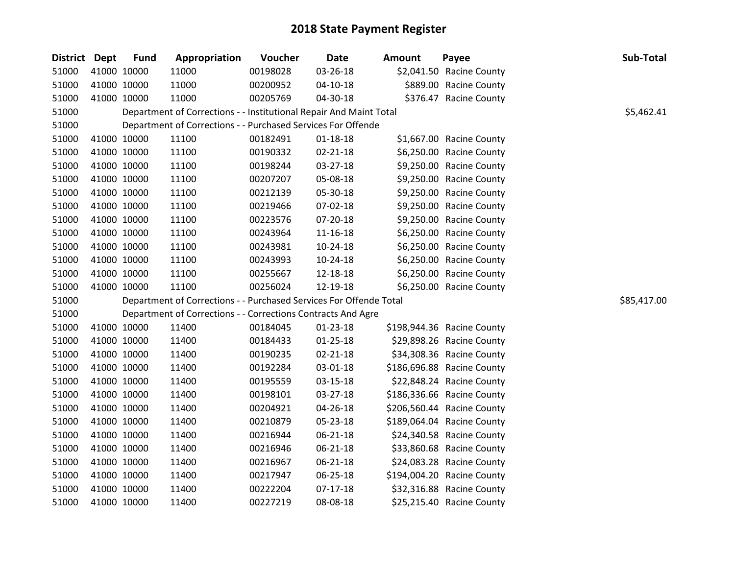| District Dept | <b>Fund</b> | Appropriation                                                      | Voucher  | <b>Date</b>    | <b>Amount</b> | Payee                      | Sub-Total   |  |
|---------------|-------------|--------------------------------------------------------------------|----------|----------------|---------------|----------------------------|-------------|--|
| 51000         | 41000 10000 | 11000                                                              | 00198028 | 03-26-18       |               | \$2,041.50 Racine County   |             |  |
| 51000         | 41000 10000 | 11000                                                              | 00200952 | $04-10-18$     |               | \$889.00 Racine County     |             |  |
| 51000         | 41000 10000 | 11000                                                              | 00205769 | 04-30-18       |               | \$376.47 Racine County     |             |  |
| 51000         |             | Department of Corrections - - Institutional Repair And Maint Total |          |                |               |                            | \$5,462.41  |  |
| 51000         |             | Department of Corrections - - Purchased Services For Offende       |          |                |               |                            |             |  |
| 51000         | 41000 10000 | 11100                                                              | 00182491 | $01 - 18 - 18$ |               | \$1,667.00 Racine County   |             |  |
| 51000         | 41000 10000 | 11100                                                              | 00190332 | 02-21-18       |               | \$6,250.00 Racine County   |             |  |
| 51000         | 41000 10000 | 11100                                                              | 00198244 | 03-27-18       |               | \$9,250.00 Racine County   |             |  |
| 51000         | 41000 10000 | 11100                                                              | 00207207 | 05-08-18       |               | \$9,250.00 Racine County   |             |  |
| 51000         | 41000 10000 | 11100                                                              | 00212139 | 05-30-18       |               | \$9,250.00 Racine County   |             |  |
| 51000         | 41000 10000 | 11100                                                              | 00219466 | 07-02-18       |               | \$9,250.00 Racine County   |             |  |
| 51000         | 41000 10000 | 11100                                                              | 00223576 | 07-20-18       |               | \$9,250.00 Racine County   |             |  |
| 51000         | 41000 10000 | 11100                                                              | 00243964 | $11 - 16 - 18$ |               | \$6,250.00 Racine County   |             |  |
| 51000         | 41000 10000 | 11100                                                              | 00243981 | 10-24-18       |               | \$6,250.00 Racine County   |             |  |
| 51000         | 41000 10000 | 11100                                                              | 00243993 | 10-24-18       |               | \$6,250.00 Racine County   |             |  |
| 51000         | 41000 10000 | 11100                                                              | 00255667 | 12-18-18       |               | \$6,250.00 Racine County   |             |  |
| 51000         | 41000 10000 | 11100                                                              | 00256024 | 12-19-18       |               | \$6,250.00 Racine County   |             |  |
| 51000         |             | Department of Corrections - - Purchased Services For Offende Total |          |                |               |                            | \$85,417.00 |  |
| 51000         |             | Department of Corrections - - Corrections Contracts And Agre       |          |                |               |                            |             |  |
| 51000         | 41000 10000 | 11400                                                              | 00184045 | 01-23-18       |               | \$198,944.36 Racine County |             |  |
| 51000         | 41000 10000 | 11400                                                              | 00184433 | $01 - 25 - 18$ |               | \$29,898.26 Racine County  |             |  |
| 51000         | 41000 10000 | 11400                                                              | 00190235 | 02-21-18       |               | \$34,308.36 Racine County  |             |  |
| 51000         | 41000 10000 | 11400                                                              | 00192284 | 03-01-18       |               | \$186,696.88 Racine County |             |  |
| 51000         | 41000 10000 | 11400                                                              | 00195559 | 03-15-18       |               | \$22,848.24 Racine County  |             |  |
| 51000         | 41000 10000 | 11400                                                              | 00198101 | 03-27-18       |               | \$186,336.66 Racine County |             |  |
| 51000         | 41000 10000 | 11400                                                              | 00204921 | 04-26-18       |               | \$206,560.44 Racine County |             |  |
| 51000         | 41000 10000 | 11400                                                              | 00210879 | 05-23-18       |               | \$189,064.04 Racine County |             |  |
| 51000         | 41000 10000 | 11400                                                              | 00216944 | $06 - 21 - 18$ |               | \$24,340.58 Racine County  |             |  |
| 51000         | 41000 10000 | 11400                                                              | 00216946 | 06-21-18       |               | \$33,860.68 Racine County  |             |  |
| 51000         | 41000 10000 | 11400                                                              | 00216967 | 06-21-18       |               | \$24,083.28 Racine County  |             |  |
| 51000         | 41000 10000 | 11400                                                              | 00217947 | 06-25-18       |               | \$194,004.20 Racine County |             |  |
| 51000         | 41000 10000 | 11400                                                              | 00222204 | $07-17-18$     |               | \$32,316.88 Racine County  |             |  |
| 51000         | 41000 10000 | 11400                                                              | 00227219 | 08-08-18       |               | \$25,215.40 Racine County  |             |  |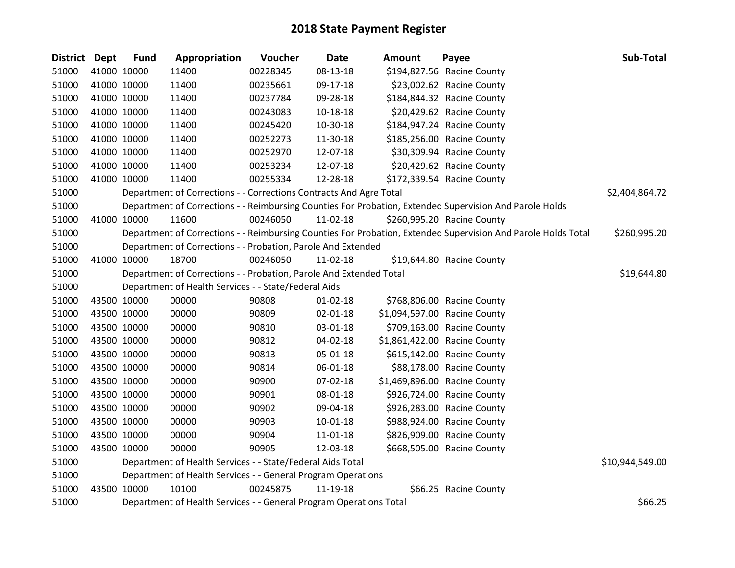| District Dept |             | <b>Fund</b> | Appropriation                                                      | Voucher  | <b>Date</b>    | <b>Amount</b> | Payee                                                                                                         | Sub-Total       |
|---------------|-------------|-------------|--------------------------------------------------------------------|----------|----------------|---------------|---------------------------------------------------------------------------------------------------------------|-----------------|
| 51000         |             | 41000 10000 | 11400                                                              | 00228345 | 08-13-18       |               | \$194,827.56 Racine County                                                                                    |                 |
| 51000         |             | 41000 10000 | 11400                                                              | 00235661 | 09-17-18       |               | \$23,002.62 Racine County                                                                                     |                 |
| 51000         |             | 41000 10000 | 11400                                                              | 00237784 | 09-28-18       |               | \$184,844.32 Racine County                                                                                    |                 |
| 51000         | 41000 10000 |             | 11400                                                              | 00243083 | $10 - 18 - 18$ |               | \$20,429.62 Racine County                                                                                     |                 |
| 51000         |             | 41000 10000 | 11400                                                              | 00245420 | 10-30-18       |               | \$184,947.24 Racine County                                                                                    |                 |
| 51000         | 41000 10000 |             | 11400                                                              | 00252273 | 11-30-18       |               | \$185,256.00 Racine County                                                                                    |                 |
| 51000         |             | 41000 10000 | 11400                                                              | 00252970 | 12-07-18       |               | \$30,309.94 Racine County                                                                                     |                 |
| 51000         |             | 41000 10000 | 11400                                                              | 00253234 | 12-07-18       |               | \$20,429.62 Racine County                                                                                     |                 |
| 51000         |             | 41000 10000 | 11400                                                              | 00255334 | 12-28-18       |               | \$172,339.54 Racine County                                                                                    |                 |
| 51000         |             |             | Department of Corrections - - Corrections Contracts And Agre Total |          |                |               |                                                                                                               | \$2,404,864.72  |
| 51000         |             |             |                                                                    |          |                |               | Department of Corrections - - Reimbursing Counties For Probation, Extended Supervision And Parole Holds       |                 |
| 51000         | 41000 10000 |             | 11600                                                              | 00246050 | $11-02-18$     |               | \$260,995.20 Racine County                                                                                    |                 |
| 51000         |             |             |                                                                    |          |                |               | Department of Corrections - - Reimbursing Counties For Probation, Extended Supervision And Parole Holds Total | \$260,995.20    |
| 51000         |             |             | Department of Corrections - - Probation, Parole And Extended       |          |                |               |                                                                                                               |                 |
| 51000         |             | 41000 10000 | 18700                                                              | 00246050 | 11-02-18       |               | \$19,644.80 Racine County                                                                                     |                 |
| 51000         |             |             | Department of Corrections - - Probation, Parole And Extended Total |          |                |               |                                                                                                               | \$19,644.80     |
| 51000         |             |             | Department of Health Services - - State/Federal Aids               |          |                |               |                                                                                                               |                 |
| 51000         |             | 43500 10000 | 00000                                                              | 90808    | $01 - 02 - 18$ |               | \$768,806.00 Racine County                                                                                    |                 |
| 51000         |             | 43500 10000 | 00000                                                              | 90809    | 02-01-18       |               | \$1,094,597.00 Racine County                                                                                  |                 |
| 51000         |             | 43500 10000 | 00000                                                              | 90810    | 03-01-18       |               | \$709,163.00 Racine County                                                                                    |                 |
| 51000         |             | 43500 10000 | 00000                                                              | 90812    | 04-02-18       |               | \$1,861,422.00 Racine County                                                                                  |                 |
| 51000         |             | 43500 10000 | 00000                                                              | 90813    | 05-01-18       |               | \$615,142.00 Racine County                                                                                    |                 |
| 51000         | 43500 10000 |             | 00000                                                              | 90814    | 06-01-18       |               | \$88,178.00 Racine County                                                                                     |                 |
| 51000         |             | 43500 10000 | 00000                                                              | 90900    | 07-02-18       |               | \$1,469,896.00 Racine County                                                                                  |                 |
| 51000         |             | 43500 10000 | 00000                                                              | 90901    | 08-01-18       |               | \$926,724.00 Racine County                                                                                    |                 |
| 51000         |             | 43500 10000 | 00000                                                              | 90902    | 09-04-18       |               | \$926,283.00 Racine County                                                                                    |                 |
| 51000         |             | 43500 10000 | 00000                                                              | 90903    | $10 - 01 - 18$ |               | \$988,924.00 Racine County                                                                                    |                 |
| 51000         |             | 43500 10000 | 00000                                                              | 90904    | 11-01-18       |               | \$826,909.00 Racine County                                                                                    |                 |
| 51000         | 43500 10000 |             | 00000                                                              | 90905    | 12-03-18       |               | \$668,505.00 Racine County                                                                                    |                 |
| 51000         |             |             | Department of Health Services - - State/Federal Aids Total         |          |                |               |                                                                                                               | \$10,944,549.00 |
| 51000         |             |             | Department of Health Services - - General Program Operations       |          |                |               |                                                                                                               |                 |
| 51000         |             | 43500 10000 | 10100                                                              | 00245875 | 11-19-18       |               | \$66.25 Racine County                                                                                         |                 |
| 51000         |             |             | Department of Health Services - - General Program Operations Total |          |                |               |                                                                                                               | \$66.25         |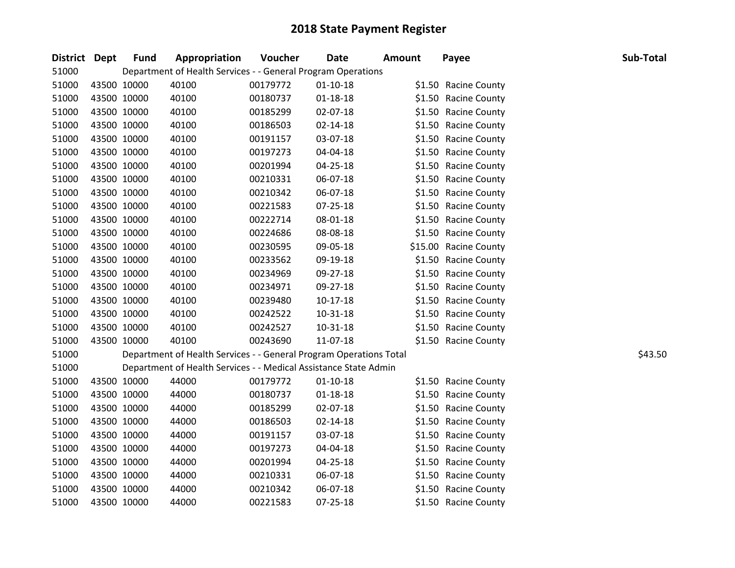| District Dept |             | <b>Fund</b> | Appropriation                                                      | Voucher  | <b>Date</b>    | <b>Amount</b> | Payee                 | Sub-Total |
|---------------|-------------|-------------|--------------------------------------------------------------------|----------|----------------|---------------|-----------------------|-----------|
| 51000         |             |             | Department of Health Services - - General Program Operations       |          |                |               |                       |           |
| 51000         |             | 43500 10000 | 40100                                                              | 00179772 | $01 - 10 - 18$ |               | \$1.50 Racine County  |           |
| 51000         |             | 43500 10000 | 40100                                                              | 00180737 | 01-18-18       |               | \$1.50 Racine County  |           |
| 51000         |             | 43500 10000 | 40100                                                              | 00185299 | 02-07-18       |               | \$1.50 Racine County  |           |
| 51000         |             | 43500 10000 | 40100                                                              | 00186503 | 02-14-18       |               | \$1.50 Racine County  |           |
| 51000         |             | 43500 10000 | 40100                                                              | 00191157 | 03-07-18       |               | \$1.50 Racine County  |           |
| 51000         |             | 43500 10000 | 40100                                                              | 00197273 | 04-04-18       |               | \$1.50 Racine County  |           |
| 51000         |             | 43500 10000 | 40100                                                              | 00201994 | 04-25-18       |               | \$1.50 Racine County  |           |
| 51000         |             | 43500 10000 | 40100                                                              | 00210331 | 06-07-18       |               | \$1.50 Racine County  |           |
| 51000         |             | 43500 10000 | 40100                                                              | 00210342 | 06-07-18       |               | \$1.50 Racine County  |           |
| 51000         |             | 43500 10000 | 40100                                                              | 00221583 | 07-25-18       |               | \$1.50 Racine County  |           |
| 51000         |             | 43500 10000 | 40100                                                              | 00222714 | 08-01-18       |               | \$1.50 Racine County  |           |
| 51000         |             | 43500 10000 | 40100                                                              | 00224686 | 08-08-18       |               | \$1.50 Racine County  |           |
| 51000         | 43500 10000 |             | 40100                                                              | 00230595 | 09-05-18       |               | \$15.00 Racine County |           |
| 51000         |             | 43500 10000 | 40100                                                              | 00233562 | 09-19-18       |               | \$1.50 Racine County  |           |
| 51000         |             | 43500 10000 | 40100                                                              | 00234969 | 09-27-18       |               | \$1.50 Racine County  |           |
| 51000         |             | 43500 10000 | 40100                                                              | 00234971 | 09-27-18       |               | \$1.50 Racine County  |           |
| 51000         |             | 43500 10000 | 40100                                                              | 00239480 | 10-17-18       |               | \$1.50 Racine County  |           |
| 51000         |             | 43500 10000 | 40100                                                              | 00242522 | 10-31-18       |               | \$1.50 Racine County  |           |
| 51000         |             | 43500 10000 | 40100                                                              | 00242527 | 10-31-18       |               | \$1.50 Racine County  |           |
| 51000         |             | 43500 10000 | 40100                                                              | 00243690 | 11-07-18       |               | \$1.50 Racine County  |           |
| 51000         |             |             | Department of Health Services - - General Program Operations Total |          |                |               |                       | \$43.50   |
| 51000         |             |             | Department of Health Services - - Medical Assistance State Admin   |          |                |               |                       |           |
| 51000         |             | 43500 10000 | 44000                                                              | 00179772 | $01-10-18$     |               | \$1.50 Racine County  |           |
| 51000         |             | 43500 10000 | 44000                                                              | 00180737 | $01 - 18 - 18$ |               | \$1.50 Racine County  |           |
| 51000         |             | 43500 10000 | 44000                                                              | 00185299 | 02-07-18       |               | \$1.50 Racine County  |           |
| 51000         |             | 43500 10000 | 44000                                                              | 00186503 | 02-14-18       |               | \$1.50 Racine County  |           |
| 51000         |             | 43500 10000 | 44000                                                              | 00191157 | 03-07-18       |               | \$1.50 Racine County  |           |
| 51000         |             | 43500 10000 | 44000                                                              | 00197273 | 04-04-18       |               | \$1.50 Racine County  |           |
| 51000         |             | 43500 10000 | 44000                                                              | 00201994 | 04-25-18       |               | \$1.50 Racine County  |           |
| 51000         |             | 43500 10000 | 44000                                                              | 00210331 | 06-07-18       |               | \$1.50 Racine County  |           |
| 51000         |             | 43500 10000 | 44000                                                              | 00210342 | 06-07-18       |               | \$1.50 Racine County  |           |
| 51000         | 43500 10000 |             | 44000                                                              | 00221583 | 07-25-18       |               | \$1.50 Racine County  |           |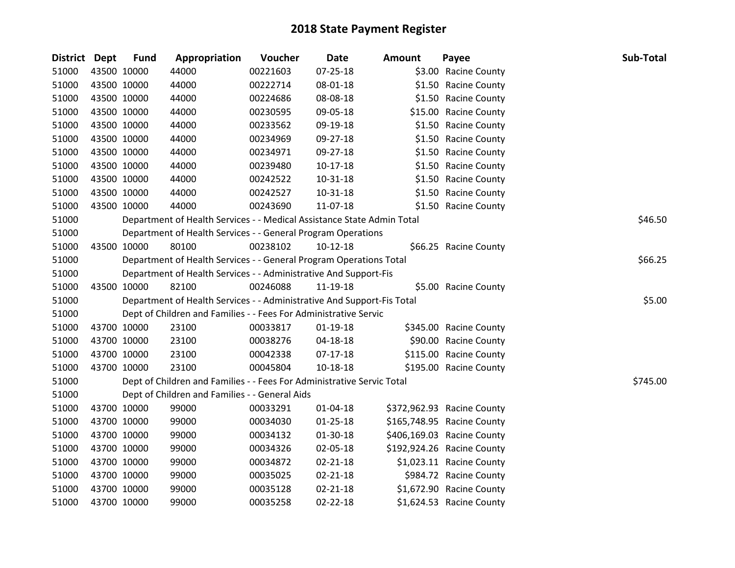| District Dept | <b>Fund</b> | Appropriation                                                          | Voucher  | <b>Date</b>    | <b>Amount</b> | Payee                      | Sub-Total |
|---------------|-------------|------------------------------------------------------------------------|----------|----------------|---------------|----------------------------|-----------|
| 51000         | 43500 10000 | 44000                                                                  | 00221603 | 07-25-18       |               | \$3.00 Racine County       |           |
| 51000         | 43500 10000 | 44000                                                                  | 00222714 | 08-01-18       |               | \$1.50 Racine County       |           |
| 51000         | 43500 10000 | 44000                                                                  | 00224686 | 08-08-18       |               | \$1.50 Racine County       |           |
| 51000         | 43500 10000 | 44000                                                                  | 00230595 | 09-05-18       |               | \$15.00 Racine County      |           |
| 51000         | 43500 10000 | 44000                                                                  | 00233562 | 09-19-18       |               | \$1.50 Racine County       |           |
| 51000         | 43500 10000 | 44000                                                                  | 00234969 | 09-27-18       |               | \$1.50 Racine County       |           |
| 51000         | 43500 10000 | 44000                                                                  | 00234971 | 09-27-18       |               | \$1.50 Racine County       |           |
| 51000         | 43500 10000 | 44000                                                                  | 00239480 | $10-17-18$     |               | \$1.50 Racine County       |           |
| 51000         | 43500 10000 | 44000                                                                  | 00242522 | 10-31-18       |               | \$1.50 Racine County       |           |
| 51000         | 43500 10000 | 44000                                                                  | 00242527 | 10-31-18       |               | \$1.50 Racine County       |           |
| 51000         | 43500 10000 | 44000                                                                  | 00243690 | 11-07-18       |               | \$1.50 Racine County       |           |
| 51000         |             | Department of Health Services - - Medical Assistance State Admin Total |          |                |               |                            | \$46.50   |
| 51000         |             | Department of Health Services - - General Program Operations           |          |                |               |                            |           |
| 51000         | 43500 10000 | 80100                                                                  | 00238102 | $10-12-18$     |               | \$66.25 Racine County      |           |
| 51000         |             | Department of Health Services - - General Program Operations Total     |          |                |               |                            | \$66.25   |
| 51000         |             | Department of Health Services - - Administrative And Support-Fis       |          |                |               |                            |           |
| 51000         | 43500 10000 | 82100                                                                  | 00246088 | 11-19-18       |               | \$5.00 Racine County       |           |
| 51000         |             | Department of Health Services - - Administrative And Support-Fis Total |          |                |               |                            | \$5.00    |
| 51000         |             | Dept of Children and Families - - Fees For Administrative Servic       |          |                |               |                            |           |
| 51000         | 43700 10000 | 23100                                                                  | 00033817 | $01-19-18$     |               | \$345.00 Racine County     |           |
| 51000         | 43700 10000 | 23100                                                                  | 00038276 | 04-18-18       |               | \$90.00 Racine County      |           |
| 51000         | 43700 10000 | 23100                                                                  | 00042338 | 07-17-18       |               | \$115.00 Racine County     |           |
| 51000         | 43700 10000 | 23100                                                                  | 00045804 | 10-18-18       |               | \$195.00 Racine County     |           |
| 51000         |             | Dept of Children and Families - - Fees For Administrative Servic Total |          |                |               |                            | \$745.00  |
| 51000         |             | Dept of Children and Families - - General Aids                         |          |                |               |                            |           |
| 51000         | 43700 10000 | 99000                                                                  | 00033291 | 01-04-18       |               | \$372,962.93 Racine County |           |
| 51000         | 43700 10000 | 99000                                                                  | 00034030 | $01 - 25 - 18$ |               | \$165,748.95 Racine County |           |
| 51000         | 43700 10000 | 99000                                                                  | 00034132 | 01-30-18       |               | \$406,169.03 Racine County |           |
| 51000         | 43700 10000 | 99000                                                                  | 00034326 | 02-05-18       |               | \$192,924.26 Racine County |           |
| 51000         | 43700 10000 | 99000                                                                  | 00034872 | $02 - 21 - 18$ |               | \$1,023.11 Racine County   |           |
| 51000         | 43700 10000 | 99000                                                                  | 00035025 | $02 - 21 - 18$ |               | \$984.72 Racine County     |           |
| 51000         | 43700 10000 | 99000                                                                  | 00035128 | $02 - 21 - 18$ |               | \$1,672.90 Racine County   |           |
| 51000         | 43700 10000 | 99000                                                                  | 00035258 | $02 - 22 - 18$ |               | \$1,624.53 Racine County   |           |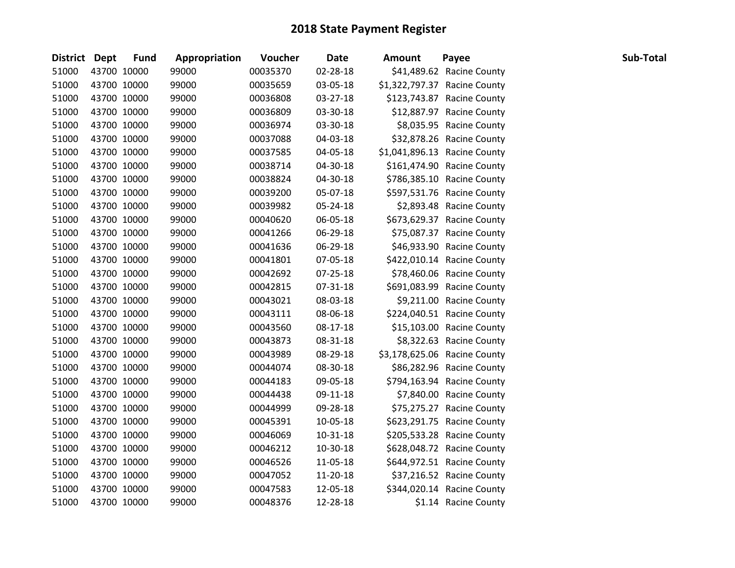| District Dept | <b>Fund</b> | Appropriation | Voucher  | <b>Date</b> | <b>Amount</b> | Payee                        | Sub-Total |
|---------------|-------------|---------------|----------|-------------|---------------|------------------------------|-----------|
| 51000         | 43700 10000 | 99000         | 00035370 | 02-28-18    |               | \$41,489.62 Racine County    |           |
| 51000         | 43700 10000 | 99000         | 00035659 | 03-05-18    |               | \$1,322,797.37 Racine County |           |
| 51000         | 43700 10000 | 99000         | 00036808 | 03-27-18    |               | \$123,743.87 Racine County   |           |
| 51000         | 43700 10000 | 99000         | 00036809 | 03-30-18    |               | \$12,887.97 Racine County    |           |
| 51000         | 43700 10000 | 99000         | 00036974 | 03-30-18    |               | \$8,035.95 Racine County     |           |
| 51000         | 43700 10000 | 99000         | 00037088 | 04-03-18    |               | \$32,878.26 Racine County    |           |
| 51000         | 43700 10000 | 99000         | 00037585 | 04-05-18    |               | \$1,041,896.13 Racine County |           |
| 51000         | 43700 10000 | 99000         | 00038714 | 04-30-18    |               | \$161,474.90 Racine County   |           |
| 51000         | 43700 10000 | 99000         | 00038824 | 04-30-18    |               | \$786,385.10 Racine County   |           |
| 51000         | 43700 10000 | 99000         | 00039200 | 05-07-18    |               | \$597,531.76 Racine County   |           |
| 51000         | 43700 10000 | 99000         | 00039982 | 05-24-18    |               | \$2,893.48 Racine County     |           |
| 51000         | 43700 10000 | 99000         | 00040620 | 06-05-18    |               | \$673,629.37 Racine County   |           |
| 51000         | 43700 10000 | 99000         | 00041266 | 06-29-18    |               | \$75,087.37 Racine County    |           |
| 51000         | 43700 10000 | 99000         | 00041636 | 06-29-18    |               | \$46,933.90 Racine County    |           |
| 51000         | 43700 10000 | 99000         | 00041801 | 07-05-18    |               | \$422,010.14 Racine County   |           |
| 51000         | 43700 10000 | 99000         | 00042692 | 07-25-18    |               | \$78,460.06 Racine County    |           |
| 51000         | 43700 10000 | 99000         | 00042815 | 07-31-18    |               | \$691,083.99 Racine County   |           |
| 51000         | 43700 10000 | 99000         | 00043021 | 08-03-18    |               | \$9,211.00 Racine County     |           |
| 51000         | 43700 10000 | 99000         | 00043111 | 08-06-18    |               | \$224,040.51 Racine County   |           |
| 51000         | 43700 10000 | 99000         | 00043560 | 08-17-18    |               | \$15,103.00 Racine County    |           |
| 51000         | 43700 10000 | 99000         | 00043873 | 08-31-18    |               | \$8,322.63 Racine County     |           |
| 51000         | 43700 10000 | 99000         | 00043989 | 08-29-18    |               | \$3,178,625.06 Racine County |           |
| 51000         | 43700 10000 | 99000         | 00044074 | 08-30-18    |               | \$86,282.96 Racine County    |           |
| 51000         | 43700 10000 | 99000         | 00044183 | 09-05-18    |               | \$794,163.94 Racine County   |           |
| 51000         | 43700 10000 | 99000         | 00044438 | 09-11-18    |               | \$7,840.00 Racine County     |           |
| 51000         | 43700 10000 | 99000         | 00044999 | 09-28-18    |               | \$75,275.27 Racine County    |           |
| 51000         | 43700 10000 | 99000         | 00045391 | 10-05-18    |               | \$623,291.75 Racine County   |           |
| 51000         | 43700 10000 | 99000         | 00046069 | 10-31-18    |               | \$205,533.28 Racine County   |           |
| 51000         | 43700 10000 | 99000         | 00046212 | 10-30-18    |               | \$628,048.72 Racine County   |           |
| 51000         | 43700 10000 | 99000         | 00046526 | 11-05-18    |               | \$644,972.51 Racine County   |           |
| 51000         | 43700 10000 | 99000         | 00047052 | 11-20-18    |               | \$37,216.52 Racine County    |           |
| 51000         | 43700 10000 | 99000         | 00047583 | 12-05-18    |               | \$344,020.14 Racine County   |           |
| 51000         | 43700 10000 | 99000         | 00048376 | 12-28-18    |               | \$1.14 Racine County         |           |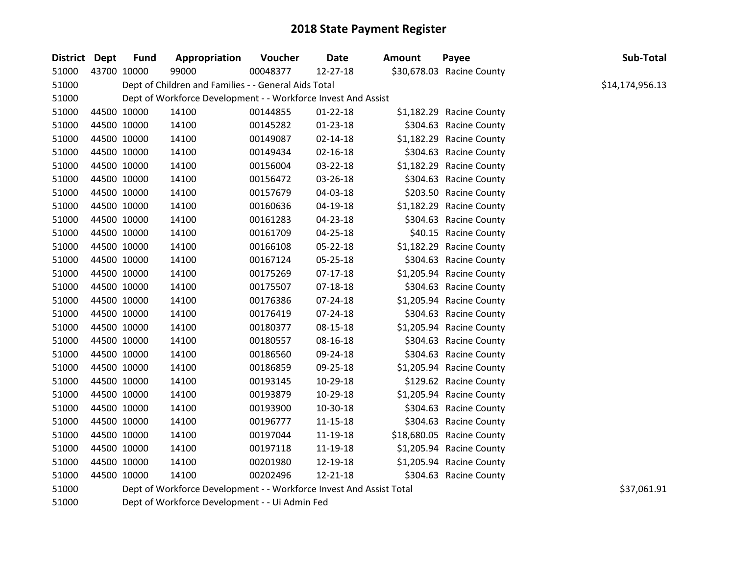| District Dept       |             | <b>Fund</b> | Appropriation                                                                                                                                         | Voucher  | <b>Date</b>    | <b>Amount</b>                                                              | Payee                     | Sub-Total           |
|---------------------|-------------|-------------|-------------------------------------------------------------------------------------------------------------------------------------------------------|----------|----------------|----------------------------------------------------------------------------|---------------------------|---------------------|
| 51000               | 43700 10000 |             | 99000                                                                                                                                                 | 00048377 | 12-27-18       |                                                                            | \$30,678.03 Racine County |                     |
| 51000               |             |             | Dept of Children and Families - - General Aids Total                                                                                                  |          |                |                                                                            |                           | \$14,174,956.13     |
| 51000               |             |             | Dept of Workforce Development - - Workforce Invest And Assist                                                                                         |          |                |                                                                            |                           |                     |
| 51000               | 44500 10000 |             | 14100                                                                                                                                                 | 00144855 | $01 - 22 - 18$ |                                                                            | \$1,182.29 Racine County  |                     |
| 51000               | 44500 10000 |             | 14100                                                                                                                                                 | 00145282 | $01 - 23 - 18$ |                                                                            | \$304.63 Racine County    |                     |
| 51000               | 44500 10000 |             | 14100                                                                                                                                                 | 00149087 | $02 - 14 - 18$ |                                                                            | \$1,182.29 Racine County  |                     |
| 51000               | 44500 10000 |             | 14100                                                                                                                                                 | 00149434 | 02-16-18       |                                                                            | \$304.63 Racine County    |                     |
| 51000               | 44500 10000 |             | 14100                                                                                                                                                 | 00156004 | 03-22-18       |                                                                            | \$1,182.29 Racine County  |                     |
| 51000               | 44500 10000 |             | 14100                                                                                                                                                 | 00156472 | 03-26-18       |                                                                            | \$304.63 Racine County    |                     |
| 51000               | 44500 10000 |             | 14100                                                                                                                                                 | 00157679 | 04-03-18       |                                                                            | \$203.50 Racine County    |                     |
| 51000               | 44500 10000 |             | 14100                                                                                                                                                 | 00160636 | 04-19-18       |                                                                            | \$1,182.29 Racine County  |                     |
| 51000               | 44500 10000 |             | 14100                                                                                                                                                 | 00161283 | 04-23-18       |                                                                            | \$304.63 Racine County    |                     |
| 51000               | 44500 10000 |             | 14100                                                                                                                                                 | 00161709 | 04-25-18       |                                                                            | \$40.15 Racine County     |                     |
| 51000               | 44500 10000 |             | 14100                                                                                                                                                 | 00166108 | 05-22-18       |                                                                            | \$1,182.29 Racine County  |                     |
| 51000               | 44500 10000 |             | 14100                                                                                                                                                 | 00167124 | 05-25-18       |                                                                            | \$304.63 Racine County    |                     |
| 51000               | 44500 10000 |             | 14100                                                                                                                                                 | 00175269 | 07-17-18       |                                                                            | \$1,205.94 Racine County  |                     |
| 51000               | 44500 10000 |             | 14100                                                                                                                                                 | 00175507 | 07-18-18       |                                                                            | \$304.63 Racine County    |                     |
| 51000               | 44500 10000 |             | 14100                                                                                                                                                 | 00176386 | 07-24-18       |                                                                            | \$1,205.94 Racine County  |                     |
| 51000               | 44500 10000 |             | 14100                                                                                                                                                 | 00176419 | 07-24-18       |                                                                            | \$304.63 Racine County    |                     |
| 51000               | 44500 10000 |             | 14100                                                                                                                                                 | 00180377 | 08-15-18       |                                                                            | \$1,205.94 Racine County  |                     |
| 51000               | 44500 10000 |             | 14100                                                                                                                                                 | 00180557 | 08-16-18       |                                                                            | \$304.63 Racine County    |                     |
| 51000               | 44500 10000 |             | 14100                                                                                                                                                 | 00186560 | 09-24-18       |                                                                            | \$304.63 Racine County    |                     |
| 51000               | 44500 10000 |             | 14100                                                                                                                                                 | 00186859 | 09-25-18       |                                                                            | \$1,205.94 Racine County  |                     |
| 51000               | 44500 10000 |             | 14100                                                                                                                                                 | 00193145 | 10-29-18       |                                                                            | \$129.62 Racine County    |                     |
| 51000               | 44500 10000 |             | 14100                                                                                                                                                 | 00193879 | 10-29-18       |                                                                            | \$1,205.94 Racine County  |                     |
| 51000               | 44500 10000 |             | 14100                                                                                                                                                 | 00193900 | 10-30-18       |                                                                            | \$304.63 Racine County    |                     |
| 51000               | 44500 10000 |             | 14100                                                                                                                                                 | 00196777 | 11-15-18       |                                                                            | \$304.63 Racine County    |                     |
| 51000               | 44500 10000 |             | 14100                                                                                                                                                 | 00197044 | 11-19-18       |                                                                            | \$18,680.05 Racine County |                     |
| 51000               | 44500 10000 |             | 14100                                                                                                                                                 | 00197118 | 11-19-18       |                                                                            | \$1,205.94 Racine County  |                     |
| 51000               | 44500 10000 |             | 14100                                                                                                                                                 | 00201980 | 12-19-18       |                                                                            | \$1,205.94 Racine County  |                     |
| 51000               | 44500 10000 |             | 14100                                                                                                                                                 | 00202496 | 12-21-18       |                                                                            | \$304.63 Racine County    |                     |
| $F \land Q \land Q$ |             |             | $\mathbf{D}$ and $\mathbf{D}$ and $\mathbf{D}$ are $\mathbf{D}$ and $\mathbf{D}$ are a set of $\mathbf{D}$ and $\mathbf{D}$ are a set of $\mathbf{D}$ |          |                | $\mathbf{A}$ and $\mathbf{A}$ are the set of $\mathbf{F}$ and $\mathbf{A}$ |                           | $\lambda$ 27.000.00 |

Dept of Workforce Development - - Workforce Invest And Assist Total \$37,061.91

Dept of Workforce Development - - Ui Admin Fed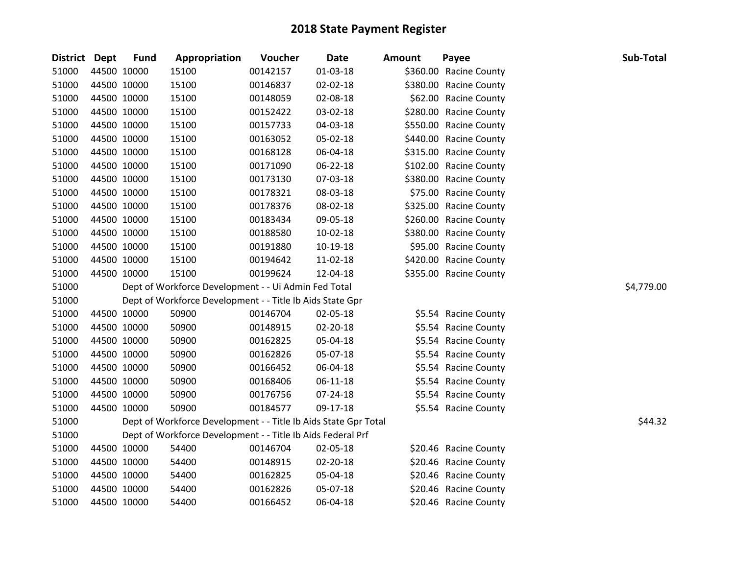| District Dept |             | <b>Fund</b> | Appropriation                                                   | Voucher  | <b>Date</b> | <b>Amount</b> | Payee                  | Sub-Total  |
|---------------|-------------|-------------|-----------------------------------------------------------------|----------|-------------|---------------|------------------------|------------|
| 51000         |             | 44500 10000 | 15100                                                           | 00142157 | 01-03-18    | \$360.00      | <b>Racine County</b>   |            |
| 51000         |             | 44500 10000 | 15100                                                           | 00146837 | 02-02-18    |               | \$380.00 Racine County |            |
| 51000         |             | 44500 10000 | 15100                                                           | 00148059 | 02-08-18    |               | \$62.00 Racine County  |            |
| 51000         |             | 44500 10000 | 15100                                                           | 00152422 | 03-02-18    |               | \$280.00 Racine County |            |
| 51000         |             | 44500 10000 | 15100                                                           | 00157733 | 04-03-18    |               | \$550.00 Racine County |            |
| 51000         |             | 44500 10000 | 15100                                                           | 00163052 | 05-02-18    |               | \$440.00 Racine County |            |
| 51000         |             | 44500 10000 | 15100                                                           | 00168128 | 06-04-18    |               | \$315.00 Racine County |            |
| 51000         |             | 44500 10000 | 15100                                                           | 00171090 | 06-22-18    |               | \$102.00 Racine County |            |
| 51000         |             | 44500 10000 | 15100                                                           | 00173130 | 07-03-18    |               | \$380.00 Racine County |            |
| 51000         |             | 44500 10000 | 15100                                                           | 00178321 | 08-03-18    |               | \$75.00 Racine County  |            |
| 51000         |             | 44500 10000 | 15100                                                           | 00178376 | 08-02-18    |               | \$325.00 Racine County |            |
| 51000         |             | 44500 10000 | 15100                                                           | 00183434 | 09-05-18    |               | \$260.00 Racine County |            |
| 51000         |             | 44500 10000 | 15100                                                           | 00188580 | 10-02-18    |               | \$380.00 Racine County |            |
| 51000         |             | 44500 10000 | 15100                                                           | 00191880 | 10-19-18    |               | \$95.00 Racine County  |            |
| 51000         |             | 44500 10000 | 15100                                                           | 00194642 | 11-02-18    |               | \$420.00 Racine County |            |
| 51000         | 44500 10000 |             | 15100                                                           | 00199624 | 12-04-18    |               | \$355.00 Racine County |            |
| 51000         |             |             | Dept of Workforce Development - - Ui Admin Fed Total            |          |             |               |                        | \$4,779.00 |
| 51000         |             |             | Dept of Workforce Development - - Title Ib Aids State Gpr       |          |             |               |                        |            |
| 51000         |             | 44500 10000 | 50900                                                           | 00146704 | 02-05-18    |               | \$5.54 Racine County   |            |
| 51000         |             | 44500 10000 | 50900                                                           | 00148915 | 02-20-18    |               | \$5.54 Racine County   |            |
| 51000         |             | 44500 10000 | 50900                                                           | 00162825 | 05-04-18    |               | \$5.54 Racine County   |            |
| 51000         |             | 44500 10000 | 50900                                                           | 00162826 | 05-07-18    |               | \$5.54 Racine County   |            |
| 51000         |             | 44500 10000 | 50900                                                           | 00166452 | 06-04-18    |               | \$5.54 Racine County   |            |
| 51000         |             | 44500 10000 | 50900                                                           | 00168406 | 06-11-18    |               | \$5.54 Racine County   |            |
| 51000         |             | 44500 10000 | 50900                                                           | 00176756 | 07-24-18    |               | \$5.54 Racine County   |            |
| 51000         |             | 44500 10000 | 50900                                                           | 00184577 | 09-17-18    |               | \$5.54 Racine County   |            |
| 51000         |             |             | Dept of Workforce Development - - Title Ib Aids State Gpr Total |          |             |               |                        | \$44.32    |
| 51000         |             |             | Dept of Workforce Development - - Title Ib Aids Federal Prf     |          |             |               |                        |            |
| 51000         |             | 44500 10000 | 54400                                                           | 00146704 | 02-05-18    |               | \$20.46 Racine County  |            |
| 51000         |             | 44500 10000 | 54400                                                           | 00148915 | 02-20-18    |               | \$20.46 Racine County  |            |
| 51000         |             | 44500 10000 | 54400                                                           | 00162825 | 05-04-18    |               | \$20.46 Racine County  |            |
| 51000         |             | 44500 10000 | 54400                                                           | 00162826 | 05-07-18    |               | \$20.46 Racine County  |            |
| 51000         | 44500 10000 |             | 54400                                                           | 00166452 | 06-04-18    |               | \$20.46 Racine County  |            |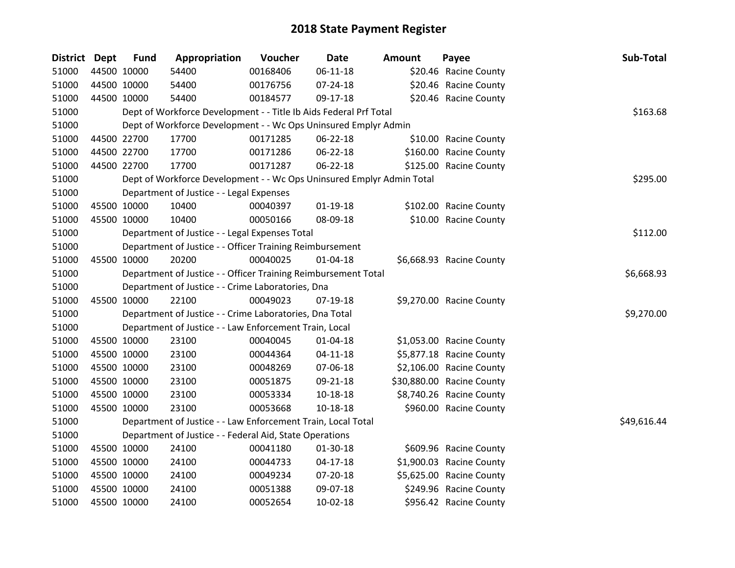| <b>District</b> | <b>Dept</b> | <b>Fund</b> | Appropriation                                                         | Voucher  | Date           | <b>Amount</b> | Payee                     | Sub-Total   |
|-----------------|-------------|-------------|-----------------------------------------------------------------------|----------|----------------|---------------|---------------------------|-------------|
| 51000           |             | 44500 10000 | 54400                                                                 | 00168406 | $06 - 11 - 18$ |               | \$20.46 Racine County     |             |
| 51000           |             | 44500 10000 | 54400                                                                 | 00176756 | 07-24-18       |               | \$20.46 Racine County     |             |
| 51000           |             | 44500 10000 | 54400                                                                 | 00184577 | 09-17-18       |               | \$20.46 Racine County     |             |
| 51000           |             |             | Dept of Workforce Development - - Title Ib Aids Federal Prf Total     |          |                |               |                           | \$163.68    |
| 51000           |             |             | Dept of Workforce Development - - Wc Ops Uninsured Emplyr Admin       |          |                |               |                           |             |
| 51000           |             | 44500 22700 | 17700                                                                 | 00171285 | 06-22-18       |               | \$10.00 Racine County     |             |
| 51000           |             | 44500 22700 | 17700                                                                 | 00171286 | 06-22-18       |               | \$160.00 Racine County    |             |
| 51000           |             | 44500 22700 | 17700                                                                 | 00171287 | 06-22-18       |               | \$125.00 Racine County    |             |
| 51000           |             |             | Dept of Workforce Development - - Wc Ops Uninsured Emplyr Admin Total |          |                |               |                           | \$295.00    |
| 51000           |             |             | Department of Justice - - Legal Expenses                              |          |                |               |                           |             |
| 51000           |             | 45500 10000 | 10400                                                                 | 00040397 | $01-19-18$     |               | \$102.00 Racine County    |             |
| 51000           |             | 45500 10000 | 10400                                                                 | 00050166 | 08-09-18       |               | \$10.00 Racine County     |             |
| 51000           |             |             | Department of Justice - - Legal Expenses Total                        |          |                |               |                           | \$112.00    |
| 51000           |             |             | Department of Justice - - Officer Training Reimbursement              |          |                |               |                           |             |
| 51000           |             | 45500 10000 | 20200                                                                 | 00040025 | $01 - 04 - 18$ |               | \$6,668.93 Racine County  |             |
| 51000           |             |             | Department of Justice - - Officer Training Reimbursement Total        |          |                |               |                           | \$6,668.93  |
| 51000           |             |             | Department of Justice - - Crime Laboratories, Dna                     |          |                |               |                           |             |
| 51000           |             | 45500 10000 | 22100                                                                 | 00049023 | 07-19-18       |               | \$9,270.00 Racine County  |             |
| 51000           |             |             | Department of Justice - - Crime Laboratories, Dna Total               |          |                |               |                           | \$9,270.00  |
| 51000           |             |             | Department of Justice - - Law Enforcement Train, Local                |          |                |               |                           |             |
| 51000           |             | 45500 10000 | 23100                                                                 | 00040045 | $01 - 04 - 18$ |               | \$1,053.00 Racine County  |             |
| 51000           |             | 45500 10000 | 23100                                                                 | 00044364 | $04 - 11 - 18$ |               | \$5,877.18 Racine County  |             |
| 51000           |             | 45500 10000 | 23100                                                                 | 00048269 | 07-06-18       |               | \$2,106.00 Racine County  |             |
| 51000           |             | 45500 10000 | 23100                                                                 | 00051875 | 09-21-18       |               | \$30,880.00 Racine County |             |
| 51000           |             | 45500 10000 | 23100                                                                 | 00053334 | $10 - 18 - 18$ |               | \$8,740.26 Racine County  |             |
| 51000           |             | 45500 10000 | 23100                                                                 | 00053668 | 10-18-18       |               | \$960.00 Racine County    |             |
| 51000           |             |             | Department of Justice - - Law Enforcement Train, Local Total          |          |                |               |                           | \$49,616.44 |
| 51000           |             |             | Department of Justice - - Federal Aid, State Operations               |          |                |               |                           |             |
| 51000           |             | 45500 10000 | 24100                                                                 | 00041180 | 01-30-18       |               | \$609.96 Racine County    |             |
| 51000           |             | 45500 10000 | 24100                                                                 | 00044733 | $04 - 17 - 18$ |               | \$1,900.03 Racine County  |             |
| 51000           |             | 45500 10000 | 24100                                                                 | 00049234 | 07-20-18       |               | \$5,625.00 Racine County  |             |
| 51000           |             | 45500 10000 | 24100                                                                 | 00051388 | 09-07-18       |               | \$249.96 Racine County    |             |
| 51000           |             | 45500 10000 | 24100                                                                 | 00052654 | 10-02-18       |               | \$956.42 Racine County    |             |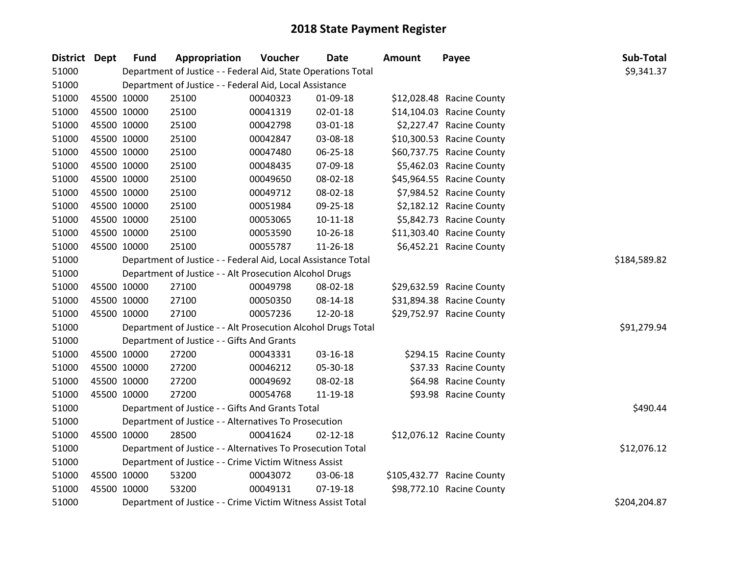| District Dept |             | <b>Fund</b> | Appropriation                                                 | Voucher      | <b>Date</b>    | <b>Amount</b> | Payee                      | Sub-Total    |
|---------------|-------------|-------------|---------------------------------------------------------------|--------------|----------------|---------------|----------------------------|--------------|
| 51000         |             |             | Department of Justice - - Federal Aid, State Operations Total |              |                |               |                            | \$9,341.37   |
| 51000         |             |             | Department of Justice - - Federal Aid, Local Assistance       |              |                |               |                            |              |
| 51000         | 45500 10000 |             | 25100                                                         | 00040323     | 01-09-18       |               | \$12,028.48 Racine County  |              |
| 51000         | 45500 10000 |             | 25100                                                         | 00041319     | 02-01-18       |               | \$14,104.03 Racine County  |              |
| 51000         | 45500 10000 |             | 25100                                                         | 00042798     | 03-01-18       |               | \$2,227.47 Racine County   |              |
| 51000         | 45500 10000 |             | 25100                                                         | 00042847     | 03-08-18       |               | \$10,300.53 Racine County  |              |
| 51000         | 45500 10000 |             | 25100                                                         | 00047480     | 06-25-18       |               | \$60,737.75 Racine County  |              |
| 51000         | 45500 10000 |             | 25100                                                         | 00048435     | 07-09-18       |               | \$5,462.03 Racine County   |              |
| 51000         | 45500 10000 |             | 25100                                                         | 00049650     | 08-02-18       |               | \$45,964.55 Racine County  |              |
| 51000         | 45500 10000 |             | 25100                                                         | 00049712     | 08-02-18       |               | \$7,984.52 Racine County   |              |
| 51000         | 45500 10000 |             | 25100                                                         | 00051984     | 09-25-18       |               | \$2,182.12 Racine County   |              |
| 51000         | 45500 10000 |             | 25100                                                         | 00053065     | $10-11-18$     |               | \$5,842.73 Racine County   |              |
| 51000         | 45500 10000 |             | 25100                                                         | 00053590     | 10-26-18       |               | \$11,303.40 Racine County  |              |
| 51000         | 45500 10000 |             | 25100                                                         | 00055787     | 11-26-18       |               | \$6,452.21 Racine County   |              |
| 51000         |             |             | Department of Justice - - Federal Aid, Local Assistance Total | \$184,589.82 |                |               |                            |              |
| 51000         |             |             | Department of Justice - - Alt Prosecution Alcohol Drugs       |              |                |               |                            |              |
| 51000         | 45500 10000 |             | 27100                                                         | 00049798     | 08-02-18       |               | \$29,632.59 Racine County  |              |
| 51000         | 45500 10000 |             | 27100                                                         | 00050350     | 08-14-18       |               | \$31,894.38 Racine County  |              |
| 51000         | 45500 10000 |             | 27100                                                         | 00057236     | 12-20-18       |               | \$29,752.97 Racine County  |              |
| 51000         |             |             | Department of Justice - - Alt Prosecution Alcohol Drugs Total |              |                |               |                            | \$91,279.94  |
| 51000         |             |             | Department of Justice - - Gifts And Grants                    |              |                |               |                            |              |
| 51000         |             | 45500 10000 | 27200                                                         | 00043331     | 03-16-18       |               | \$294.15 Racine County     |              |
| 51000         | 45500 10000 |             | 27200                                                         | 00046212     | 05-30-18       |               | \$37.33 Racine County      |              |
| 51000         | 45500 10000 |             | 27200                                                         | 00049692     | 08-02-18       |               | \$64.98 Racine County      |              |
| 51000         | 45500 10000 |             | 27200                                                         | 00054768     | 11-19-18       |               | \$93.98 Racine County      |              |
| 51000         |             |             | Department of Justice - - Gifts And Grants Total              |              |                |               |                            | \$490.44     |
| 51000         |             |             | Department of Justice - - Alternatives To Prosecution         |              |                |               |                            |              |
| 51000         | 45500 10000 |             | 28500                                                         | 00041624     | $02 - 12 - 18$ |               | \$12,076.12 Racine County  |              |
| 51000         |             |             | Department of Justice - - Alternatives To Prosecution Total   |              |                |               |                            | \$12,076.12  |
| 51000         |             |             | Department of Justice - - Crime Victim Witness Assist         |              |                |               |                            |              |
| 51000         | 45500 10000 |             | 53200                                                         | 00043072     | 03-06-18       |               | \$105,432.77 Racine County |              |
| 51000         | 45500 10000 |             | 53200                                                         | 00049131     | $07-19-18$     |               | \$98,772.10 Racine County  |              |
| 51000         |             |             | Department of Justice - - Crime Victim Witness Assist Total   |              |                |               |                            | \$204,204.87 |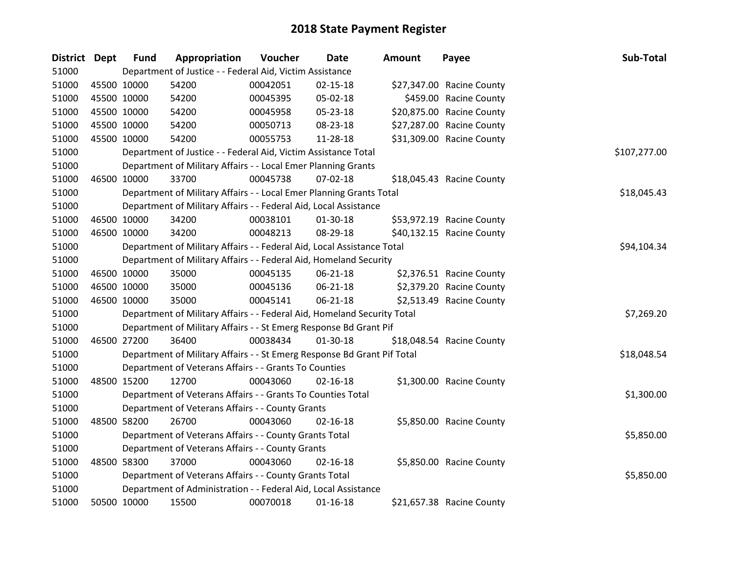| District Dept |             | <b>Fund</b> | Appropriation                                                           | Voucher  | Date           | Amount | Payee                     | Sub-Total    |
|---------------|-------------|-------------|-------------------------------------------------------------------------|----------|----------------|--------|---------------------------|--------------|
| 51000         |             |             | Department of Justice - - Federal Aid, Victim Assistance                |          |                |        |                           |              |
| 51000         | 45500 10000 |             | 54200                                                                   | 00042051 | $02 - 15 - 18$ |        | \$27,347.00 Racine County |              |
| 51000         | 45500 10000 |             | 54200                                                                   | 00045395 | 05-02-18       |        | \$459.00 Racine County    |              |
| 51000         |             | 45500 10000 | 54200                                                                   | 00045958 | 05-23-18       |        | \$20,875.00 Racine County |              |
| 51000         |             | 45500 10000 | 54200                                                                   | 00050713 | 08-23-18       |        | \$27,287.00 Racine County |              |
| 51000         |             | 45500 10000 | 54200                                                                   | 00055753 | 11-28-18       |        | \$31,309.00 Racine County |              |
| 51000         |             |             | Department of Justice - - Federal Aid, Victim Assistance Total          |          |                |        |                           | \$107,277.00 |
| 51000         |             |             | Department of Military Affairs - - Local Emer Planning Grants           |          |                |        |                           |              |
| 51000         | 46500 10000 |             | 33700                                                                   | 00045738 | 07-02-18       |        | \$18,045.43 Racine County |              |
| 51000         |             |             | Department of Military Affairs - - Local Emer Planning Grants Total     |          |                |        |                           | \$18,045.43  |
| 51000         |             |             | Department of Military Affairs - - Federal Aid, Local Assistance        |          |                |        |                           |              |
| 51000         |             | 46500 10000 | 34200                                                                   | 00038101 | 01-30-18       |        | \$53,972.19 Racine County |              |
| 51000         |             | 46500 10000 | 34200                                                                   | 00048213 | 08-29-18       |        | \$40,132.15 Racine County |              |
| 51000         |             |             | Department of Military Affairs - - Federal Aid, Local Assistance Total  |          |                |        |                           | \$94,104.34  |
| 51000         |             |             | Department of Military Affairs - - Federal Aid, Homeland Security       |          |                |        |                           |              |
| 51000         |             | 46500 10000 | 35000                                                                   | 00045135 | 06-21-18       |        | \$2,376.51 Racine County  |              |
| 51000         |             | 46500 10000 | 35000                                                                   | 00045136 | $06 - 21 - 18$ |        | \$2,379.20 Racine County  |              |
| 51000         |             | 46500 10000 | 35000                                                                   | 00045141 | 06-21-18       |        | \$2,513.49 Racine County  |              |
| 51000         |             |             | Department of Military Affairs - - Federal Aid, Homeland Security Total |          |                |        |                           | \$7,269.20   |
| 51000         |             |             | Department of Military Affairs - - St Emerg Response Bd Grant Pif       |          |                |        |                           |              |
| 51000         |             | 46500 27200 | 36400                                                                   | 00038434 | $01-30-18$     |        | \$18,048.54 Racine County |              |
| 51000         |             |             | Department of Military Affairs - - St Emerg Response Bd Grant Pif Total |          |                |        |                           | \$18,048.54  |
| 51000         |             |             | Department of Veterans Affairs - - Grants To Counties                   |          |                |        |                           |              |
| 51000         |             | 48500 15200 | 12700                                                                   | 00043060 | $02 - 16 - 18$ |        | \$1,300.00 Racine County  |              |
| 51000         |             |             | Department of Veterans Affairs - - Grants To Counties Total             |          |                |        |                           | \$1,300.00   |
| 51000         |             |             | Department of Veterans Affairs - - County Grants                        |          |                |        |                           |              |
| 51000         |             | 48500 58200 | 26700                                                                   | 00043060 | $02 - 16 - 18$ |        | \$5,850.00 Racine County  |              |
| 51000         |             |             | Department of Veterans Affairs - - County Grants Total                  |          |                |        |                           | \$5,850.00   |
| 51000         |             |             | Department of Veterans Affairs - - County Grants                        |          |                |        |                           |              |
| 51000         |             | 48500 58300 | 37000                                                                   | 00043060 | $02 - 16 - 18$ |        | \$5,850.00 Racine County  |              |
| 51000         |             |             | Department of Veterans Affairs - - County Grants Total                  |          |                |        |                           | \$5,850.00   |
| 51000         |             |             | Department of Administration - - Federal Aid, Local Assistance          |          |                |        |                           |              |
| 51000         |             | 50500 10000 | 15500                                                                   | 00070018 | $01 - 16 - 18$ |        | \$21,657.38 Racine County |              |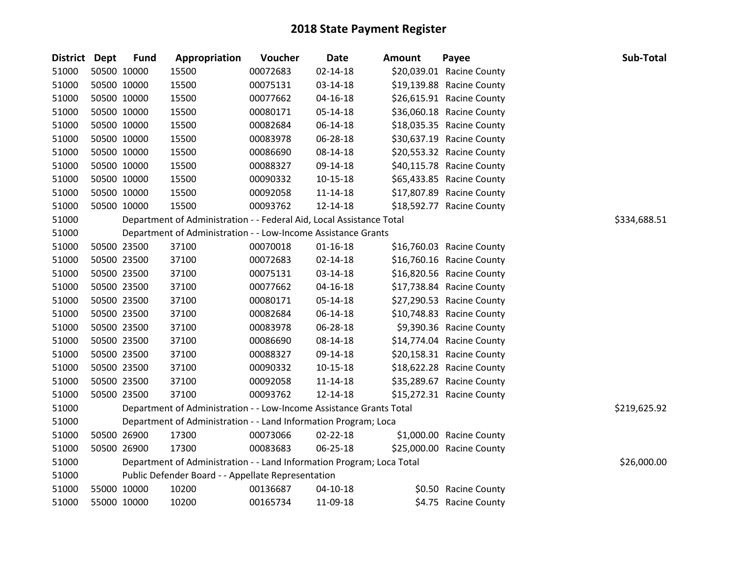| District Dept |             | <b>Fund</b> | Appropriation                                                         | Voucher  | Date           | <b>Amount</b> | Payee                     | Sub-Total    |
|---------------|-------------|-------------|-----------------------------------------------------------------------|----------|----------------|---------------|---------------------------|--------------|
| 51000         | 50500 10000 |             | 15500                                                                 | 00072683 | $02 - 14 - 18$ |               | \$20,039.01 Racine County |              |
| 51000         |             | 50500 10000 | 15500                                                                 | 00075131 | 03-14-18       |               | \$19,139.88 Racine County |              |
| 51000         | 50500 10000 |             | 15500                                                                 | 00077662 | 04-16-18       |               | \$26,615.91 Racine County |              |
| 51000         | 50500 10000 |             | 15500                                                                 | 00080171 | 05-14-18       |               | \$36,060.18 Racine County |              |
| 51000         | 50500 10000 |             | 15500                                                                 | 00082684 | 06-14-18       |               | \$18,035.35 Racine County |              |
| 51000         | 50500 10000 |             | 15500                                                                 | 00083978 | 06-28-18       |               | \$30,637.19 Racine County |              |
| 51000         |             | 50500 10000 | 15500                                                                 | 00086690 | 08-14-18       |               | \$20,553.32 Racine County |              |
| 51000         |             | 50500 10000 | 15500                                                                 | 00088327 | 09-14-18       |               | \$40,115.78 Racine County |              |
| 51000         |             | 50500 10000 | 15500                                                                 | 00090332 | $10 - 15 - 18$ |               | \$65,433.85 Racine County |              |
| 51000         | 50500 10000 |             | 15500                                                                 | 00092058 | $11 - 14 - 18$ |               | \$17,807.89 Racine County |              |
| 51000         | 50500 10000 |             | 15500                                                                 | 00093762 | 12-14-18       |               | \$18,592.77 Racine County |              |
| 51000         |             |             | Department of Administration - - Federal Aid, Local Assistance Total  |          |                |               |                           | \$334,688.51 |
| 51000         |             |             | Department of Administration - - Low-Income Assistance Grants         |          |                |               |                           |              |
| 51000         | 50500 23500 |             | 37100                                                                 | 00070018 | $01 - 16 - 18$ |               | \$16,760.03 Racine County |              |
| 51000         |             | 50500 23500 | 37100                                                                 | 00072683 | 02-14-18       |               | \$16,760.16 Racine County |              |
| 51000         |             | 50500 23500 | 37100                                                                 | 00075131 | 03-14-18       |               | \$16,820.56 Racine County |              |
| 51000         |             | 50500 23500 | 37100                                                                 | 00077662 | 04-16-18       |               | \$17,738.84 Racine County |              |
| 51000         |             | 50500 23500 | 37100                                                                 | 00080171 | 05-14-18       |               | \$27,290.53 Racine County |              |
| 51000         | 50500 23500 |             | 37100                                                                 | 00082684 | 06-14-18       |               | \$10,748.83 Racine County |              |
| 51000         |             | 50500 23500 | 37100                                                                 | 00083978 | 06-28-18       |               | \$9,390.36 Racine County  |              |
| 51000         |             | 50500 23500 | 37100                                                                 | 00086690 | 08-14-18       |               | \$14,774.04 Racine County |              |
| 51000         |             | 50500 23500 | 37100                                                                 | 00088327 | 09-14-18       |               | \$20,158.31 Racine County |              |
| 51000         | 50500 23500 |             | 37100                                                                 | 00090332 | $10 - 15 - 18$ |               | \$18,622.28 Racine County |              |
| 51000         | 50500 23500 |             | 37100                                                                 | 00092058 | $11 - 14 - 18$ |               | \$35,289.67 Racine County |              |
| 51000         | 50500 23500 |             | 37100                                                                 | 00093762 | 12-14-18       |               | \$15,272.31 Racine County |              |
| 51000         |             |             | Department of Administration - - Low-Income Assistance Grants Total   |          |                |               |                           | \$219,625.92 |
| 51000         |             |             | Department of Administration - - Land Information Program; Loca       |          |                |               |                           |              |
| 51000         |             | 50500 26900 | 17300                                                                 | 00073066 | $02 - 22 - 18$ |               | \$1,000.00 Racine County  |              |
| 51000         | 50500 26900 |             | 17300                                                                 | 00083683 | 06-25-18       |               | \$25,000.00 Racine County |              |
| 51000         |             |             | Department of Administration - - Land Information Program; Loca Total |          |                |               |                           | \$26,000.00  |
| 51000         |             |             | Public Defender Board - - Appellate Representation                    |          |                |               |                           |              |
| 51000         | 55000 10000 |             | 10200                                                                 | 00136687 | $04 - 10 - 18$ |               | \$0.50 Racine County      |              |
| 51000         | 55000 10000 |             | 10200                                                                 | 00165734 | 11-09-18       |               | \$4.75 Racine County      |              |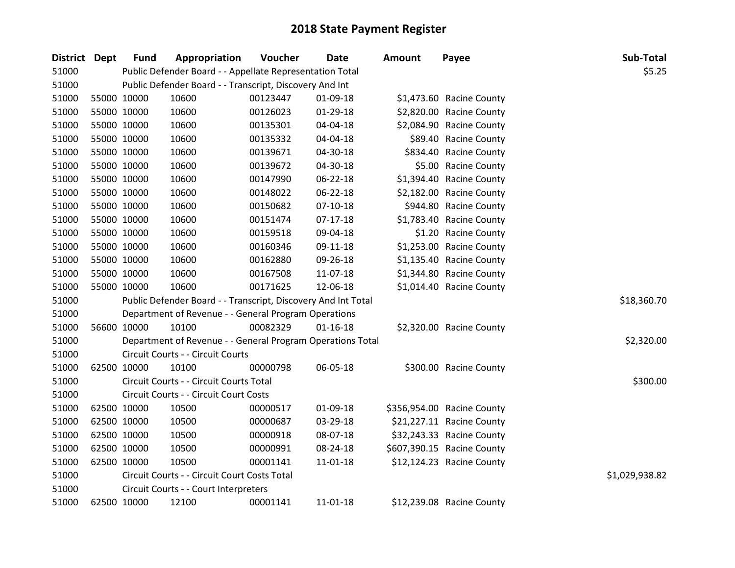| District Dept | <b>Fund</b> | Appropriation                                                 | Voucher  | <b>Date</b>    | <b>Amount</b> | Payee                      | Sub-Total      |
|---------------|-------------|---------------------------------------------------------------|----------|----------------|---------------|----------------------------|----------------|
| 51000         |             | Public Defender Board - - Appellate Representation Total      |          |                |               |                            | \$5.25         |
| 51000         |             | Public Defender Board - - Transcript, Discovery And Int       |          |                |               |                            |                |
| 51000         | 55000 10000 | 10600                                                         | 00123447 | 01-09-18       |               | \$1,473.60 Racine County   |                |
| 51000         | 55000 10000 | 10600                                                         | 00126023 | 01-29-18       |               | \$2,820.00 Racine County   |                |
| 51000         | 55000 10000 | 10600                                                         | 00135301 | 04-04-18       |               | \$2,084.90 Racine County   |                |
| 51000         | 55000 10000 | 10600                                                         | 00135332 | 04-04-18       |               | \$89.40 Racine County      |                |
| 51000         | 55000 10000 | 10600                                                         | 00139671 | 04-30-18       |               | \$834.40 Racine County     |                |
| 51000         | 55000 10000 | 10600                                                         | 00139672 | 04-30-18       |               | \$5.00 Racine County       |                |
| 51000         | 55000 10000 | 10600                                                         | 00147990 | $06 - 22 - 18$ |               | \$1,394.40 Racine County   |                |
| 51000         | 55000 10000 | 10600                                                         | 00148022 | 06-22-18       |               | \$2,182.00 Racine County   |                |
| 51000         | 55000 10000 | 10600                                                         | 00150682 | $07-10-18$     |               | \$944.80 Racine County     |                |
| 51000         | 55000 10000 | 10600                                                         | 00151474 | $07-17-18$     |               | \$1,783.40 Racine County   |                |
| 51000         | 55000 10000 | 10600                                                         | 00159518 | 09-04-18       |               | \$1.20 Racine County       |                |
| 51000         | 55000 10000 | 10600                                                         | 00160346 | 09-11-18       |               | \$1,253.00 Racine County   |                |
| 51000         | 55000 10000 | 10600                                                         | 00162880 | 09-26-18       |               | \$1,135.40 Racine County   |                |
| 51000         | 55000 10000 | 10600                                                         | 00167508 | 11-07-18       |               | \$1,344.80 Racine County   |                |
| 51000         | 55000 10000 | 10600                                                         | 00171625 | 12-06-18       |               | \$1,014.40 Racine County   |                |
| 51000         |             | Public Defender Board - - Transcript, Discovery And Int Total |          |                |               |                            | \$18,360.70    |
| 51000         |             | Department of Revenue - - General Program Operations          |          |                |               |                            |                |
| 51000         | 56600 10000 | 10100                                                         | 00082329 | $01 - 16 - 18$ |               | \$2,320.00 Racine County   |                |
| 51000         |             | Department of Revenue - - General Program Operations Total    |          |                |               |                            | \$2,320.00     |
| 51000         |             | Circuit Courts - - Circuit Courts                             |          |                |               |                            |                |
| 51000         | 62500 10000 | 10100                                                         | 00000798 | 06-05-18       |               | \$300.00 Racine County     |                |
| 51000         |             | Circuit Courts - - Circuit Courts Total                       |          |                |               |                            | \$300.00       |
| 51000         |             | Circuit Courts - - Circuit Court Costs                        |          |                |               |                            |                |
| 51000         | 62500 10000 | 10500                                                         | 00000517 | 01-09-18       |               | \$356,954.00 Racine County |                |
| 51000         | 62500 10000 | 10500                                                         | 00000687 | 03-29-18       |               | \$21,227.11 Racine County  |                |
| 51000         | 62500 10000 | 10500                                                         | 00000918 | 08-07-18       |               | \$32,243.33 Racine County  |                |
| 51000         | 62500 10000 | 10500                                                         | 00000991 | 08-24-18       |               | \$607,390.15 Racine County |                |
| 51000         | 62500 10000 | 10500                                                         | 00001141 | 11-01-18       |               | \$12,124.23 Racine County  |                |
| 51000         |             | Circuit Courts - - Circuit Court Costs Total                  |          |                |               |                            | \$1,029,938.82 |
| 51000         |             | Circuit Courts - - Court Interpreters                         |          |                |               |                            |                |
| 51000         | 62500 10000 | 12100                                                         | 00001141 | 11-01-18       |               | \$12,239.08 Racine County  |                |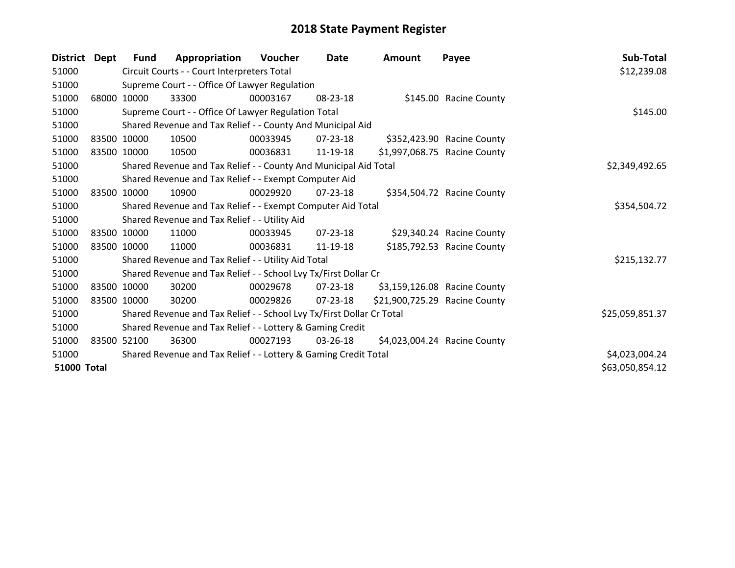| District           | Dept        | <b>Fund</b> | Appropriation                                                         | Voucher  | Date           | <b>Amount</b>                 | Payee                        | Sub-Total       |
|--------------------|-------------|-------------|-----------------------------------------------------------------------|----------|----------------|-------------------------------|------------------------------|-----------------|
| 51000              |             |             | Circuit Courts - - Court Interpreters Total                           |          |                |                               |                              | \$12,239.08     |
| 51000              |             |             | Supreme Court - - Office Of Lawyer Regulation                         |          |                |                               |                              |                 |
| 51000              |             | 68000 10000 | 33300                                                                 | 00003167 | 08-23-18       |                               | \$145.00 Racine County       |                 |
| 51000              |             |             | Supreme Court - - Office Of Lawyer Regulation Total                   |          |                |                               |                              | \$145.00        |
| 51000              |             |             | Shared Revenue and Tax Relief - - County And Municipal Aid            |          |                |                               |                              |                 |
| 51000              |             | 83500 10000 | 10500                                                                 | 00033945 | 07-23-18       |                               | \$352,423.90 Racine County   |                 |
| 51000              |             | 83500 10000 | 10500                                                                 | 00036831 | 11-19-18       |                               | \$1,997,068.75 Racine County |                 |
| 51000              |             |             | Shared Revenue and Tax Relief - - County And Municipal Aid Total      |          |                |                               |                              | \$2,349,492.65  |
| 51000              |             |             | Shared Revenue and Tax Relief - - Exempt Computer Aid                 |          |                |                               |                              |                 |
| 51000              | 83500 10000 |             | 10900                                                                 | 00029920 | 07-23-18       |                               | \$354,504.72 Racine County   |                 |
| 51000              |             |             | Shared Revenue and Tax Relief - - Exempt Computer Aid Total           |          |                |                               |                              | \$354,504.72    |
| 51000              |             |             | Shared Revenue and Tax Relief - - Utility Aid                         |          |                |                               |                              |                 |
| 51000              |             | 83500 10000 | 11000                                                                 | 00033945 | $07 - 23 - 18$ |                               | \$29,340.24 Racine County    |                 |
| 51000              |             | 83500 10000 | 11000                                                                 | 00036831 | 11-19-18       |                               | \$185,792.53 Racine County   |                 |
| 51000              |             |             | Shared Revenue and Tax Relief - - Utility Aid Total                   |          |                |                               |                              | \$215,132.77    |
| 51000              |             |             | Shared Revenue and Tax Relief - - School Lvy Tx/First Dollar Cr       |          |                |                               |                              |                 |
| 51000              |             | 83500 10000 | 30200                                                                 | 00029678 | $07 - 23 - 18$ |                               | \$3,159,126.08 Racine County |                 |
| 51000              |             | 83500 10000 | 30200                                                                 | 00029826 | 07-23-18       | \$21,900,725.29 Racine County |                              |                 |
| 51000              |             |             | Shared Revenue and Tax Relief - - School Lvy Tx/First Dollar Cr Total |          |                |                               |                              | \$25,059,851.37 |
| 51000              |             |             | Shared Revenue and Tax Relief - - Lottery & Gaming Credit             |          |                |                               |                              |                 |
| 51000              |             | 83500 52100 | 36300                                                                 | 00027193 | $03 - 26 - 18$ |                               | \$4,023,004.24 Racine County |                 |
| 51000              |             |             | Shared Revenue and Tax Relief - - Lottery & Gaming Credit Total       |          |                |                               |                              | \$4,023,004.24  |
| <b>51000 Total</b> |             |             |                                                                       |          |                |                               |                              | \$63,050,854.12 |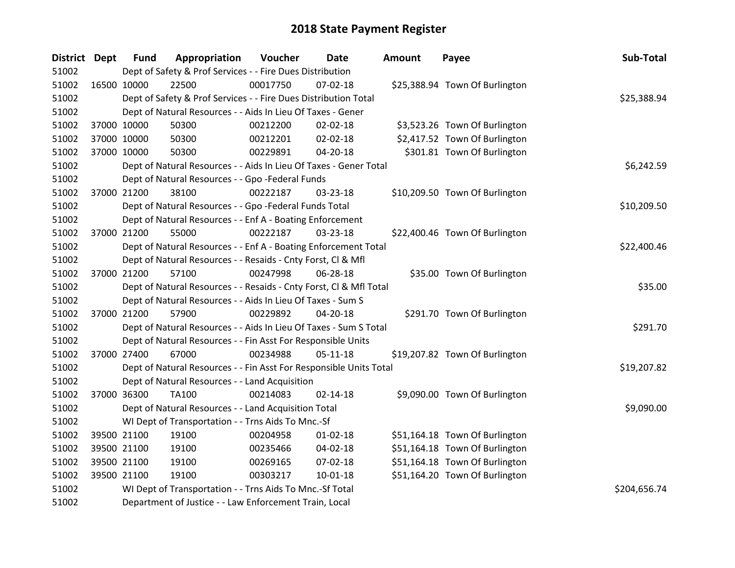| District Dept |             | <b>Fund</b> | Appropriation                                                      | Voucher  | <b>Date</b>    | Amount | Payee                          | Sub-Total    |
|---------------|-------------|-------------|--------------------------------------------------------------------|----------|----------------|--------|--------------------------------|--------------|
| 51002         |             |             | Dept of Safety & Prof Services - - Fire Dues Distribution          |          |                |        |                                |              |
| 51002         | 16500 10000 |             | 22500                                                              | 00017750 | $07 - 02 - 18$ |        | \$25,388.94 Town Of Burlington |              |
| 51002         |             |             | Dept of Safety & Prof Services - - Fire Dues Distribution Total    |          |                |        |                                | \$25,388.94  |
| 51002         |             |             | Dept of Natural Resources - - Aids In Lieu Of Taxes - Gener        |          |                |        |                                |              |
| 51002         |             | 37000 10000 | 50300                                                              | 00212200 | 02-02-18       |        | \$3,523.26 Town Of Burlington  |              |
| 51002         |             | 37000 10000 | 50300                                                              | 00212201 | 02-02-18       |        | \$2,417.52 Town Of Burlington  |              |
| 51002         |             | 37000 10000 | 50300                                                              | 00229891 | 04-20-18       |        | \$301.81 Town Of Burlington    |              |
| 51002         |             |             | Dept of Natural Resources - - Aids In Lieu Of Taxes - Gener Total  |          |                |        |                                | \$6,242.59   |
| 51002         |             |             | Dept of Natural Resources - - Gpo -Federal Funds                   |          |                |        |                                |              |
| 51002         |             | 37000 21200 | 38100                                                              | 00222187 | 03-23-18       |        | \$10,209.50 Town Of Burlington |              |
| 51002         |             |             | Dept of Natural Resources - - Gpo -Federal Funds Total             |          |                |        |                                | \$10,209.50  |
| 51002         |             |             | Dept of Natural Resources - - Enf A - Boating Enforcement          |          |                |        |                                |              |
| 51002         |             | 37000 21200 | 55000                                                              | 00222187 | 03-23-18       |        | \$22,400.46 Town Of Burlington |              |
| 51002         |             |             | Dept of Natural Resources - - Enf A - Boating Enforcement Total    |          |                |        |                                | \$22,400.46  |
| 51002         |             |             | Dept of Natural Resources - - Resaids - Cnty Forst, Cl & Mfl       |          |                |        |                                |              |
| 51002         |             | 37000 21200 | 57100                                                              | 00247998 | 06-28-18       |        | \$35.00 Town Of Burlington     |              |
| 51002         |             |             | Dept of Natural Resources - - Resaids - Cnty Forst, Cl & Mfl Total |          |                |        |                                | \$35.00      |
| 51002         |             |             | Dept of Natural Resources - - Aids In Lieu Of Taxes - Sum S        |          |                |        |                                |              |
| 51002         |             | 37000 21200 | 57900                                                              | 00229892 | $04 - 20 - 18$ |        | \$291.70 Town Of Burlington    |              |
| 51002         |             |             | Dept of Natural Resources - - Aids In Lieu Of Taxes - Sum S Total  |          |                |        |                                | \$291.70     |
| 51002         |             |             | Dept of Natural Resources - - Fin Asst For Responsible Units       |          |                |        |                                |              |
| 51002         |             | 37000 27400 | 67000                                                              | 00234988 | $05 - 11 - 18$ |        | \$19,207.82 Town Of Burlington |              |
| 51002         |             |             | Dept of Natural Resources - - Fin Asst For Responsible Units Total |          |                |        |                                | \$19,207.82  |
| 51002         |             |             | Dept of Natural Resources - - Land Acquisition                     |          |                |        |                                |              |
| 51002         |             | 37000 36300 | TA100                                                              | 00214083 | $02 - 14 - 18$ |        | \$9,090.00 Town Of Burlington  |              |
| 51002         |             |             | Dept of Natural Resources - - Land Acquisition Total               |          |                |        |                                | \$9,090.00   |
| 51002         |             |             | WI Dept of Transportation - - Trns Aids To Mnc.-Sf                 |          |                |        |                                |              |
| 51002         |             | 39500 21100 | 19100                                                              | 00204958 | $01 - 02 - 18$ |        | \$51,164.18 Town Of Burlington |              |
| 51002         |             | 39500 21100 | 19100                                                              | 00235466 | 04-02-18       |        | \$51,164.18 Town Of Burlington |              |
| 51002         |             | 39500 21100 | 19100                                                              | 00269165 | 07-02-18       |        | \$51,164.18 Town Of Burlington |              |
| 51002         |             | 39500 21100 | 19100                                                              | 00303217 | 10-01-18       |        | \$51,164.20 Town Of Burlington |              |
| 51002         |             |             | WI Dept of Transportation - - Trns Aids To Mnc.-Sf Total           |          |                |        |                                | \$204,656.74 |
| 51002         |             |             | Department of Justice - - Law Enforcement Train, Local             |          |                |        |                                |              |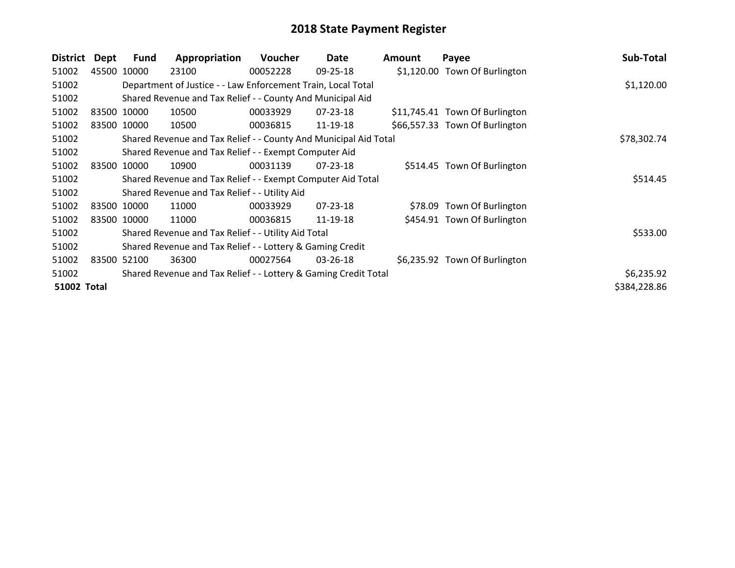| <b>District</b>    | <b>Dept</b> | <b>Fund</b> | Appropriation                                                    | <b>Voucher</b> | Date           | <b>Amount</b> | Payee                          | Sub-Total    |
|--------------------|-------------|-------------|------------------------------------------------------------------|----------------|----------------|---------------|--------------------------------|--------------|
| 51002              |             | 45500 10000 | 23100                                                            | 00052228       | 09-25-18       |               | \$1,120.00 Town Of Burlington  |              |
| 51002              |             |             | Department of Justice - - Law Enforcement Train, Local Total     |                |                |               |                                | \$1,120.00   |
| 51002              |             |             | Shared Revenue and Tax Relief - - County And Municipal Aid       |                |                |               |                                |              |
| 51002              |             | 83500 10000 | 10500                                                            | 00033929       | $07 - 23 - 18$ |               | \$11,745.41 Town Of Burlington |              |
| 51002              |             | 83500 10000 | 10500                                                            | 00036815       | 11-19-18       |               | \$66,557.33 Town Of Burlington |              |
| 51002              |             |             | Shared Revenue and Tax Relief - - County And Municipal Aid Total |                |                |               |                                | \$78,302.74  |
| 51002              |             |             | Shared Revenue and Tax Relief - - Exempt Computer Aid            |                |                |               |                                |              |
| 51002              |             | 83500 10000 | 10900                                                            | 00031139       | $07 - 23 - 18$ |               | \$514.45 Town Of Burlington    |              |
| 51002              |             |             | Shared Revenue and Tax Relief - - Exempt Computer Aid Total      |                |                |               |                                | \$514.45     |
| 51002              |             |             | Shared Revenue and Tax Relief - - Utility Aid                    |                |                |               |                                |              |
| 51002              |             | 83500 10000 | 11000                                                            | 00033929       | $07 - 23 - 18$ |               | \$78.09 Town Of Burlington     |              |
| 51002              |             | 83500 10000 | 11000                                                            | 00036815       | 11-19-18       |               | \$454.91 Town Of Burlington    |              |
| 51002              |             |             | Shared Revenue and Tax Relief - - Utility Aid Total              |                |                |               |                                | \$533.00     |
| 51002              |             |             | Shared Revenue and Tax Relief - - Lottery & Gaming Credit        |                |                |               |                                |              |
| 51002              | 83500       | 52100       | 36300                                                            | 00027564       | 03-26-18       |               | \$6,235.92 Town Of Burlington  |              |
| 51002              |             |             | Shared Revenue and Tax Relief - - Lottery & Gaming Credit Total  |                |                |               |                                | \$6,235.92   |
| <b>51002 Total</b> |             |             |                                                                  |                |                |               |                                | \$384,228.86 |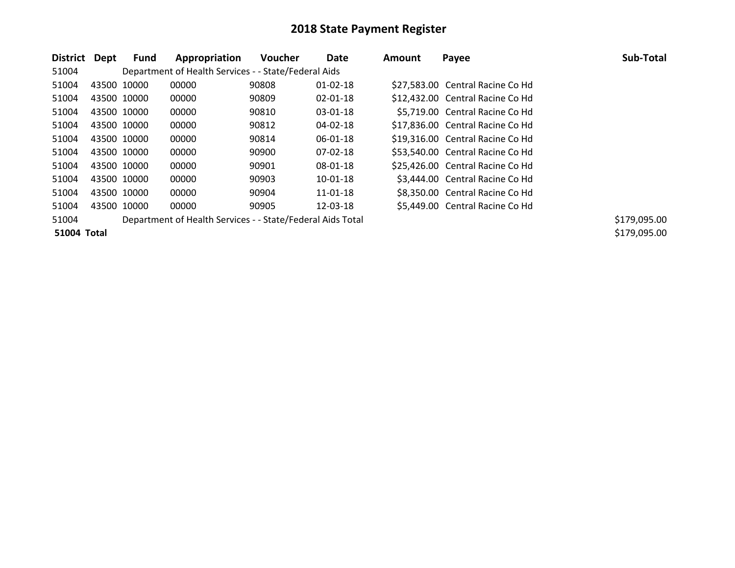| District           | Dept | Fund        | Appropriation                                              | <b>Voucher</b> | Date           | Amount | Payee                            | Sub-Total    |
|--------------------|------|-------------|------------------------------------------------------------|----------------|----------------|--------|----------------------------------|--------------|
| 51004              |      |             | Department of Health Services - - State/Federal Aids       |                |                |        |                                  |              |
| 51004              |      | 43500 10000 | 00000                                                      | 90808          | $01 - 02 - 18$ |        | \$27,583.00 Central Racine Co Hd |              |
| 51004              |      | 43500 10000 | 00000                                                      | 90809          | $02 - 01 - 18$ |        | \$12,432.00 Central Racine Co Hd |              |
| 51004              |      | 43500 10000 | 00000                                                      | 90810          | 03-01-18       |        | \$5,719.00 Central Racine Co Hd  |              |
| 51004              |      | 43500 10000 | 00000                                                      | 90812          | 04-02-18       |        | \$17,836.00 Central Racine Co Hd |              |
| 51004              |      | 43500 10000 | 00000                                                      | 90814          | $06 - 01 - 18$ |        | \$19,316.00 Central Racine Co Hd |              |
| 51004              |      | 43500 10000 | 00000                                                      | 90900          | 07-02-18       |        | \$53,540.00 Central Racine Co Hd |              |
| 51004              |      | 43500 10000 | 00000                                                      | 90901          | 08-01-18       |        | \$25,426.00 Central Racine Co Hd |              |
| 51004              |      | 43500 10000 | 00000                                                      | 90903          | 10-01-18       |        | \$3,444.00 Central Racine Co Hd  |              |
| 51004              |      | 43500 10000 | 00000                                                      | 90904          | 11-01-18       |        | \$8,350.00 Central Racine Co Hd  |              |
| 51004              |      | 43500 10000 | 00000                                                      | 90905          | 12-03-18       |        | \$5,449.00 Central Racine Co Hd  |              |
| 51004              |      |             | Department of Health Services - - State/Federal Aids Total |                |                |        |                                  | \$179,095.00 |
| <b>51004 Total</b> |      |             |                                                            |                |                |        |                                  | \$179,095.00 |

| \$27,583.00 Central Racine Co Hd |
|----------------------------------|
| \$12,432.00 Central Racine Co Hd |
| \$5,719.00 Central Racine Co Hd  |
| \$17,836.00 Central Racine Co Hd |
| \$19,316.00 Central Racine Co Hd |
| \$53,540.00 Central Racine Co Hd |
| \$25,426.00 Central Racine Co Hd |
| \$3,444.00 Central Racine Co Hd  |
| \$8,350.00 Central Racine Co Hd  |
| \$5,449.00 Central Racine Co Hd  |
|                                  |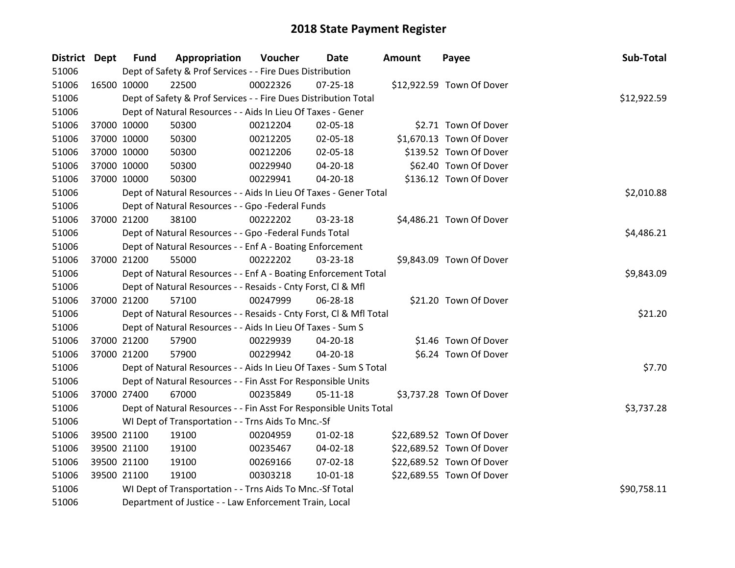| District Dept |             | <b>Fund</b> | Appropriation                                                      | Voucher  | <b>Date</b>    | <b>Amount</b> | Payee                     | Sub-Total   |
|---------------|-------------|-------------|--------------------------------------------------------------------|----------|----------------|---------------|---------------------------|-------------|
| 51006         |             |             | Dept of Safety & Prof Services - - Fire Dues Distribution          |          |                |               |                           |             |
| 51006         | 16500 10000 |             | 22500                                                              | 00022326 | 07-25-18       |               | \$12,922.59 Town Of Dover |             |
| 51006         |             |             | Dept of Safety & Prof Services - - Fire Dues Distribution Total    |          |                |               |                           | \$12,922.59 |
| 51006         |             |             | Dept of Natural Resources - - Aids In Lieu Of Taxes - Gener        |          |                |               |                           |             |
| 51006         | 37000 10000 |             | 50300                                                              | 00212204 | 02-05-18       |               | \$2.71 Town Of Dover      |             |
| 51006         |             | 37000 10000 | 50300                                                              | 00212205 | 02-05-18       |               | \$1,670.13 Town Of Dover  |             |
| 51006         |             | 37000 10000 | 50300                                                              | 00212206 | 02-05-18       |               | \$139.52 Town Of Dover    |             |
| 51006         |             | 37000 10000 | 50300                                                              | 00229940 | $04 - 20 - 18$ |               | \$62.40 Town Of Dover     |             |
| 51006         | 37000 10000 |             | 50300                                                              | 00229941 | 04-20-18       |               | \$136.12 Town Of Dover    |             |
| 51006         |             |             | Dept of Natural Resources - - Aids In Lieu Of Taxes - Gener Total  |          |                |               |                           | \$2,010.88  |
| 51006         |             |             | Dept of Natural Resources - - Gpo - Federal Funds                  |          |                |               |                           |             |
| 51006         |             | 37000 21200 | 38100                                                              | 00222202 | 03-23-18       |               | \$4,486.21 Town Of Dover  |             |
| 51006         |             |             | Dept of Natural Resources - - Gpo -Federal Funds Total             |          |                |               |                           | \$4,486.21  |
| 51006         |             |             | Dept of Natural Resources - - Enf A - Boating Enforcement          |          |                |               |                           |             |
| 51006         | 37000 21200 |             | 55000                                                              | 00222202 | 03-23-18       |               | \$9,843.09 Town Of Dover  |             |
| 51006         |             |             | Dept of Natural Resources - - Enf A - Boating Enforcement Total    |          |                |               |                           | \$9,843.09  |
| 51006         |             |             | Dept of Natural Resources - - Resaids - Cnty Forst, Cl & Mfl       |          |                |               |                           |             |
| 51006         |             | 37000 21200 | 57100                                                              | 00247999 | 06-28-18       |               | \$21.20 Town Of Dover     |             |
| 51006         |             |             | Dept of Natural Resources - - Resaids - Cnty Forst, Cl & Mfl Total |          |                |               |                           | \$21.20     |
| 51006         |             |             | Dept of Natural Resources - - Aids In Lieu Of Taxes - Sum S        |          |                |               |                           |             |
| 51006         |             | 37000 21200 | 57900                                                              | 00229939 | 04-20-18       |               | \$1.46 Town Of Dover      |             |
| 51006         | 37000 21200 |             | 57900                                                              | 00229942 | 04-20-18       |               | \$6.24 Town Of Dover      |             |
| 51006         |             |             | Dept of Natural Resources - - Aids In Lieu Of Taxes - Sum S Total  |          |                |               |                           | \$7.70      |
| 51006         |             |             | Dept of Natural Resources - - Fin Asst For Responsible Units       |          |                |               |                           |             |
| 51006         | 37000 27400 |             | 67000                                                              | 00235849 | $05 - 11 - 18$ |               | \$3,737.28 Town Of Dover  |             |
| 51006         |             |             | Dept of Natural Resources - - Fin Asst For Responsible Units Total |          |                |               |                           | \$3,737.28  |
| 51006         |             |             | WI Dept of Transportation - - Trns Aids To Mnc.-Sf                 |          |                |               |                           |             |
| 51006         |             | 39500 21100 | 19100                                                              | 00204959 | $01 - 02 - 18$ |               | \$22,689.52 Town Of Dover |             |
| 51006         |             | 39500 21100 | 19100                                                              | 00235467 | 04-02-18       |               | \$22,689.52 Town Of Dover |             |
| 51006         |             | 39500 21100 | 19100                                                              | 00269166 | 07-02-18       |               | \$22,689.52 Town Of Dover |             |
| 51006         |             | 39500 21100 | 19100                                                              | 00303218 | $10 - 01 - 18$ |               | \$22,689.55 Town Of Dover |             |
| 51006         |             |             | WI Dept of Transportation - - Trns Aids To Mnc.-Sf Total           |          |                |               |                           | \$90,758.11 |
| 51006         |             |             | Department of Justice - - Law Enforcement Train, Local             |          |                |               |                           |             |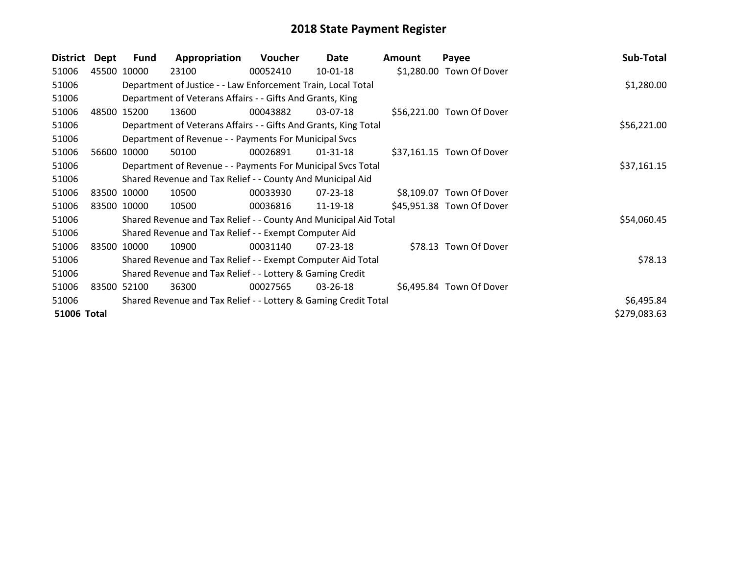| District           | Dept  | Fund        | Appropriation                                                    | <b>Voucher</b> | Date           | <b>Amount</b> | Payee                     | Sub-Total    |
|--------------------|-------|-------------|------------------------------------------------------------------|----------------|----------------|---------------|---------------------------|--------------|
| 51006              |       | 45500 10000 | 23100                                                            | 00052410       | 10-01-18       |               | \$1,280.00 Town Of Dover  |              |
| 51006              |       |             | Department of Justice - - Law Enforcement Train, Local Total     |                |                |               |                           | \$1,280.00   |
| 51006              |       |             | Department of Veterans Affairs - - Gifts And Grants, King        |                |                |               |                           |              |
| 51006              | 48500 | 15200       | 13600                                                            | 00043882       | $03-07-18$     |               | \$56,221.00 Town Of Dover |              |
| 51006              |       |             | Department of Veterans Affairs - - Gifts And Grants, King Total  |                |                |               |                           | \$56,221.00  |
| 51006              |       |             | Department of Revenue - - Payments For Municipal Svcs            |                |                |               |                           |              |
| 51006              | 56600 | 10000       | 50100                                                            | 00026891       | 01-31-18       |               | \$37,161.15 Town Of Dover |              |
| 51006              |       |             | Department of Revenue - - Payments For Municipal Svcs Total      |                |                |               |                           | \$37,161.15  |
| 51006              |       |             | Shared Revenue and Tax Relief - - County And Municipal Aid       |                |                |               |                           |              |
| 51006              | 83500 | 10000       | 10500                                                            | 00033930       | $07 - 23 - 18$ |               | \$8,109.07 Town Of Dover  |              |
| 51006              |       | 83500 10000 | 10500                                                            | 00036816       | 11-19-18       |               | \$45,951.38 Town Of Dover |              |
| 51006              |       |             | Shared Revenue and Tax Relief - - County And Municipal Aid Total |                |                |               |                           | \$54,060.45  |
| 51006              |       |             | Shared Revenue and Tax Relief - - Exempt Computer Aid            |                |                |               |                           |              |
| 51006              |       | 83500 10000 | 10900                                                            | 00031140       | $07 - 23 - 18$ |               | \$78.13 Town Of Dover     |              |
| 51006              |       |             | Shared Revenue and Tax Relief - - Exempt Computer Aid Total      |                |                |               |                           | \$78.13      |
| 51006              |       |             | Shared Revenue and Tax Relief - - Lottery & Gaming Credit        |                |                |               |                           |              |
| 51006              |       | 83500 52100 | 36300                                                            | 00027565       | 03-26-18       |               | \$6,495.84 Town Of Dover  |              |
| 51006              |       |             | Shared Revenue and Tax Relief - - Lottery & Gaming Credit Total  |                |                |               |                           | \$6,495.84   |
| <b>51006 Total</b> |       |             |                                                                  |                |                |               |                           | \$279,083.63 |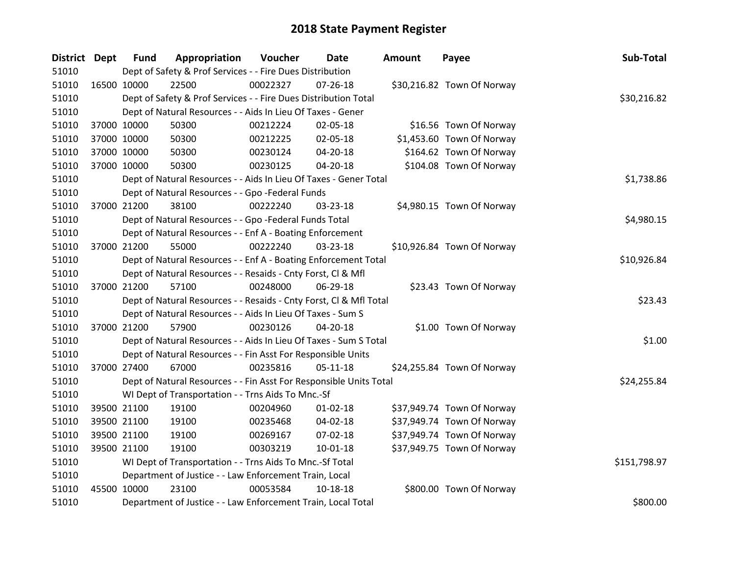| <b>District Dept</b> | <b>Fund</b> | Appropriation                                                      | Voucher  | <b>Date</b>    | <b>Amount</b> | Payee                      | Sub-Total    |
|----------------------|-------------|--------------------------------------------------------------------|----------|----------------|---------------|----------------------------|--------------|
| 51010                |             | Dept of Safety & Prof Services - - Fire Dues Distribution          |          |                |               |                            |              |
| 51010                | 16500 10000 | 22500                                                              | 00022327 | $07 - 26 - 18$ |               | \$30,216.82 Town Of Norway |              |
| 51010                |             | Dept of Safety & Prof Services - - Fire Dues Distribution Total    |          |                |               |                            | \$30,216.82  |
| 51010                |             | Dept of Natural Resources - - Aids In Lieu Of Taxes - Gener        |          |                |               |                            |              |
| 51010                | 37000 10000 | 50300                                                              | 00212224 | 02-05-18       |               | \$16.56 Town Of Norway     |              |
| 51010                | 37000 10000 | 50300                                                              | 00212225 | 02-05-18       |               | \$1,453.60 Town Of Norway  |              |
| 51010                | 37000 10000 | 50300                                                              | 00230124 | 04-20-18       |               | \$164.62 Town Of Norway    |              |
| 51010                | 37000 10000 | 50300                                                              | 00230125 | 04-20-18       |               | \$104.08 Town Of Norway    |              |
| 51010                |             | Dept of Natural Resources - - Aids In Lieu Of Taxes - Gener Total  |          |                |               |                            | \$1,738.86   |
| 51010                |             | Dept of Natural Resources - - Gpo -Federal Funds                   |          |                |               |                            |              |
| 51010                | 37000 21200 | 38100                                                              | 00222240 | 03-23-18       |               | \$4,980.15 Town Of Norway  |              |
| 51010                |             | Dept of Natural Resources - - Gpo -Federal Funds Total             |          |                |               |                            | \$4,980.15   |
| 51010                |             | Dept of Natural Resources - - Enf A - Boating Enforcement          |          |                |               |                            |              |
| 51010                | 37000 21200 | 55000                                                              | 00222240 | 03-23-18       |               | \$10,926.84 Town Of Norway |              |
| 51010                |             | Dept of Natural Resources - - Enf A - Boating Enforcement Total    |          |                |               |                            | \$10,926.84  |
| 51010                |             | Dept of Natural Resources - - Resaids - Cnty Forst, Cl & Mfl       |          |                |               |                            |              |
| 51010                | 37000 21200 | 57100                                                              | 00248000 | 06-29-18       |               | \$23.43 Town Of Norway     |              |
| 51010                |             | Dept of Natural Resources - - Resaids - Cnty Forst, Cl & Mfl Total |          |                |               |                            | \$23.43      |
| 51010                |             | Dept of Natural Resources - - Aids In Lieu Of Taxes - Sum S        |          |                |               |                            |              |
| 51010                | 37000 21200 | 57900                                                              | 00230126 | $04 - 20 - 18$ |               | \$1.00 Town Of Norway      |              |
| 51010                |             | Dept of Natural Resources - - Aids In Lieu Of Taxes - Sum S Total  |          |                |               |                            | \$1.00       |
| 51010                |             | Dept of Natural Resources - - Fin Asst For Responsible Units       |          |                |               |                            |              |
| 51010                | 37000 27400 | 67000                                                              | 00235816 | 05-11-18       |               | \$24,255.84 Town Of Norway |              |
| 51010                |             | Dept of Natural Resources - - Fin Asst For Responsible Units Total |          |                |               |                            | \$24,255.84  |
| 51010                |             | WI Dept of Transportation - - Trns Aids To Mnc.-Sf                 |          |                |               |                            |              |
| 51010                | 39500 21100 | 19100                                                              | 00204960 | $01 - 02 - 18$ |               | \$37,949.74 Town Of Norway |              |
| 51010                | 39500 21100 | 19100                                                              | 00235468 | 04-02-18       |               | \$37,949.74 Town Of Norway |              |
| 51010                | 39500 21100 | 19100                                                              | 00269167 | 07-02-18       |               | \$37,949.74 Town Of Norway |              |
| 51010                | 39500 21100 | 19100                                                              | 00303219 | $10-01-18$     |               | \$37,949.75 Town Of Norway |              |
| 51010                |             | WI Dept of Transportation - - Trns Aids To Mnc.-Sf Total           |          |                |               |                            | \$151,798.97 |
| 51010                |             | Department of Justice - - Law Enforcement Train, Local             |          |                |               |                            |              |
| 51010                | 45500 10000 | 23100                                                              | 00053584 | 10-18-18       |               | \$800.00 Town Of Norway    |              |
| 51010                |             | Department of Justice - - Law Enforcement Train, Local Total       |          |                |               |                            | \$800.00     |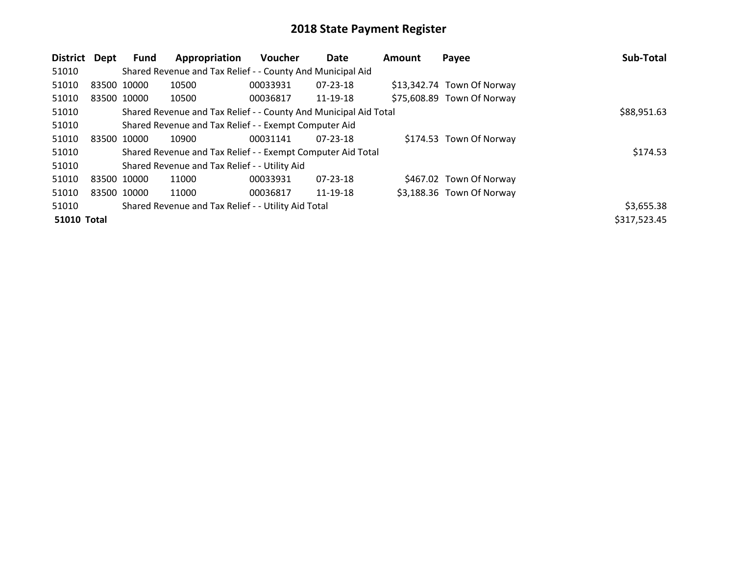| District Dept      |             | <b>Fund</b> | Appropriation                                                    | <b>Voucher</b> | Date           | <b>Amount</b> | Payee                      | Sub-Total    |
|--------------------|-------------|-------------|------------------------------------------------------------------|----------------|----------------|---------------|----------------------------|--------------|
| 51010              |             |             | Shared Revenue and Tax Relief - - County And Municipal Aid       |                |                |               |                            |              |
| 51010              | 83500 10000 |             | 10500                                                            | 00033931       | 07-23-18       |               | \$13,342.74 Town Of Norway |              |
| 51010              |             | 83500 10000 | 10500                                                            | 00036817       | 11-19-18       |               | \$75,608.89 Town Of Norway |              |
| 51010              |             |             | Shared Revenue and Tax Relief - - County And Municipal Aid Total |                |                |               |                            | \$88,951.63  |
| 51010              |             |             | Shared Revenue and Tax Relief - - Exempt Computer Aid            |                |                |               |                            |              |
| 51010              | 83500 10000 |             | 10900                                                            | 00031141       | 07-23-18       |               | \$174.53 Town Of Norway    |              |
| 51010              |             |             | Shared Revenue and Tax Relief - - Exempt Computer Aid Total      |                |                |               |                            | \$174.53     |
| 51010              |             |             | Shared Revenue and Tax Relief - - Utility Aid                    |                |                |               |                            |              |
| 51010              | 83500 10000 |             | 11000                                                            | 00033931       | $07 - 23 - 18$ |               | \$467.02 Town Of Norway    |              |
| 51010              |             | 83500 10000 | 11000                                                            | 00036817       | 11-19-18       |               | \$3,188.36 Town Of Norway  |              |
| 51010              |             |             | Shared Revenue and Tax Relief - - Utility Aid Total              |                |                |               |                            | \$3,655.38   |
| <b>51010 Total</b> |             |             |                                                                  |                |                |               |                            | \$317,523.45 |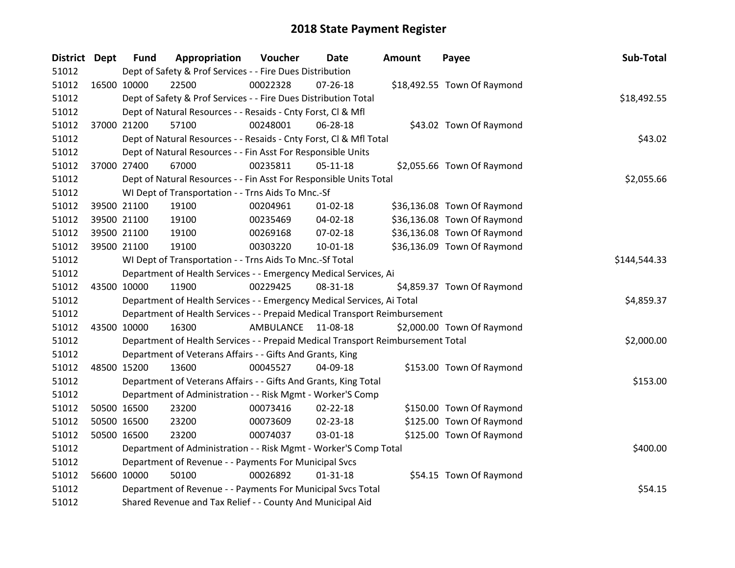| <b>District Dept</b> |             | <b>Fund</b> | Appropriation                                                                   | Voucher   | <b>Date</b>    | <b>Amount</b> | Payee                       | Sub-Total    |
|----------------------|-------------|-------------|---------------------------------------------------------------------------------|-----------|----------------|---------------|-----------------------------|--------------|
| 51012                |             |             | Dept of Safety & Prof Services - - Fire Dues Distribution                       |           |                |               |                             |              |
| 51012                | 16500 10000 |             | 22500                                                                           | 00022328  | $07 - 26 - 18$ |               | \$18,492.55 Town Of Raymond |              |
| 51012                |             |             | Dept of Safety & Prof Services - - Fire Dues Distribution Total                 |           | \$18,492.55    |               |                             |              |
| 51012                |             |             | Dept of Natural Resources - - Resaids - Cnty Forst, CI & Mfl                    |           |                |               |                             |              |
| 51012                | 37000 21200 |             | 57100                                                                           | 00248001  | 06-28-18       |               | \$43.02 Town Of Raymond     |              |
| 51012                |             |             | Dept of Natural Resources - - Resaids - Cnty Forst, Cl & Mfl Total              |           |                |               |                             | \$43.02      |
| 51012                |             |             | Dept of Natural Resources - - Fin Asst For Responsible Units                    |           |                |               |                             |              |
| 51012                | 37000 27400 |             | 67000                                                                           | 00235811  | $05 - 11 - 18$ |               | \$2,055.66 Town Of Raymond  |              |
| 51012                |             |             | Dept of Natural Resources - - Fin Asst For Responsible Units Total              |           |                |               |                             | \$2,055.66   |
| 51012                |             |             | WI Dept of Transportation - - Trns Aids To Mnc.-Sf                              |           |                |               |                             |              |
| 51012                | 39500 21100 |             | 19100                                                                           | 00204961  | $01 - 02 - 18$ |               | \$36,136.08 Town Of Raymond |              |
| 51012                | 39500 21100 |             | 19100                                                                           | 00235469  | 04-02-18       |               | \$36,136.08 Town Of Raymond |              |
| 51012                | 39500 21100 |             | 19100                                                                           | 00269168  | 07-02-18       |               | \$36,136.08 Town Of Raymond |              |
| 51012                | 39500 21100 |             | 19100                                                                           | 00303220  | 10-01-18       |               | \$36,136.09 Town Of Raymond |              |
| 51012                |             |             | WI Dept of Transportation - - Trns Aids To Mnc.-Sf Total                        |           |                |               |                             | \$144,544.33 |
| 51012                |             |             | Department of Health Services - - Emergency Medical Services, Ai                |           |                |               |                             |              |
| 51012                | 43500 10000 |             | 11900                                                                           | 00229425  | 08-31-18       |               | \$4,859.37 Town Of Raymond  |              |
| 51012                |             |             | Department of Health Services - - Emergency Medical Services, Ai Total          |           |                |               |                             | \$4,859.37   |
| 51012                |             |             | Department of Health Services - - Prepaid Medical Transport Reimbursement       |           |                |               |                             |              |
| 51012                | 43500 10000 |             | 16300                                                                           | AMBULANCE | 11-08-18       |               | \$2,000.00 Town Of Raymond  |              |
| 51012                |             |             | Department of Health Services - - Prepaid Medical Transport Reimbursement Total |           |                |               |                             | \$2,000.00   |
| 51012                |             |             | Department of Veterans Affairs - - Gifts And Grants, King                       |           |                |               |                             |              |
| 51012                | 48500 15200 |             | 13600                                                                           | 00045527  | 04-09-18       |               | \$153.00 Town Of Raymond    |              |
| 51012                |             |             | Department of Veterans Affairs - - Gifts And Grants, King Total                 |           |                |               |                             | \$153.00     |
| 51012                |             |             | Department of Administration - - Risk Mgmt - Worker'S Comp                      |           |                |               |                             |              |
| 51012                | 50500 16500 |             | 23200                                                                           | 00073416  | 02-22-18       |               | \$150.00 Town Of Raymond    |              |
| 51012                | 50500 16500 |             | 23200                                                                           | 00073609  | 02-23-18       |               | \$125.00 Town Of Raymond    |              |
| 51012                | 50500 16500 |             | 23200                                                                           | 00074037  | 03-01-18       |               | \$125.00 Town Of Raymond    |              |
| 51012                |             |             | Department of Administration - - Risk Mgmt - Worker'S Comp Total                |           |                |               |                             | \$400.00     |
| 51012                |             |             | Department of Revenue - - Payments For Municipal Svcs                           |           |                |               |                             |              |
| 51012                | 56600 10000 |             | 50100                                                                           | 00026892  | $01 - 31 - 18$ |               | \$54.15 Town Of Raymond     |              |
| 51012                |             |             | Department of Revenue - - Payments For Municipal Svcs Total                     |           |                |               |                             | \$54.15      |
| 51012                |             |             | Shared Revenue and Tax Relief - - County And Municipal Aid                      |           |                |               |                             |              |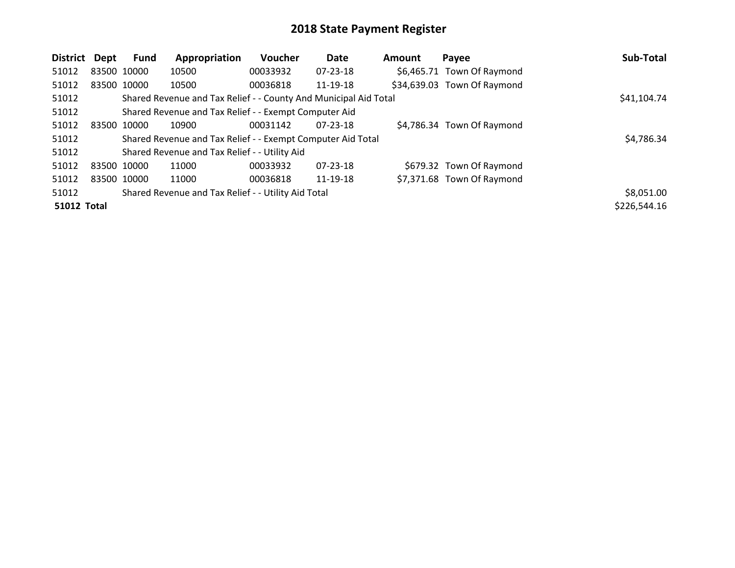| District Dept      |             | <b>Fund</b> | Appropriation                                                    | Voucher  | Date           | <b>Amount</b> | Payee                       | Sub-Total    |
|--------------------|-------------|-------------|------------------------------------------------------------------|----------|----------------|---------------|-----------------------------|--------------|
| 51012              |             | 83500 10000 | 10500                                                            | 00033932 | $07 - 23 - 18$ |               | \$6,465.71 Town Of Raymond  |              |
| 51012              |             | 83500 10000 | 10500                                                            | 00036818 | 11-19-18       |               | \$34,639.03 Town Of Raymond |              |
| 51012              |             |             | Shared Revenue and Tax Relief - - County And Municipal Aid Total |          |                |               |                             | \$41,104.74  |
| 51012              |             |             | Shared Revenue and Tax Relief - - Exempt Computer Aid            |          |                |               |                             |              |
| 51012              | 83500 10000 |             | 10900                                                            | 00031142 | $07 - 23 - 18$ |               | \$4,786.34 Town Of Raymond  |              |
| 51012              |             |             | Shared Revenue and Tax Relief - - Exempt Computer Aid Total      |          |                |               |                             | \$4,786.34   |
| 51012              |             |             | Shared Revenue and Tax Relief - - Utility Aid                    |          |                |               |                             |              |
| 51012              | 83500 10000 |             | 11000                                                            | 00033932 | 07-23-18       |               | \$679.32 Town Of Raymond    |              |
| 51012              |             | 83500 10000 | 11000                                                            | 00036818 | 11-19-18       |               | \$7,371.68 Town Of Raymond  |              |
| 51012              |             |             | Shared Revenue and Tax Relief - - Utility Aid Total              |          |                |               |                             | \$8,051.00   |
| <b>51012 Total</b> |             |             |                                                                  |          |                |               |                             | \$226,544.16 |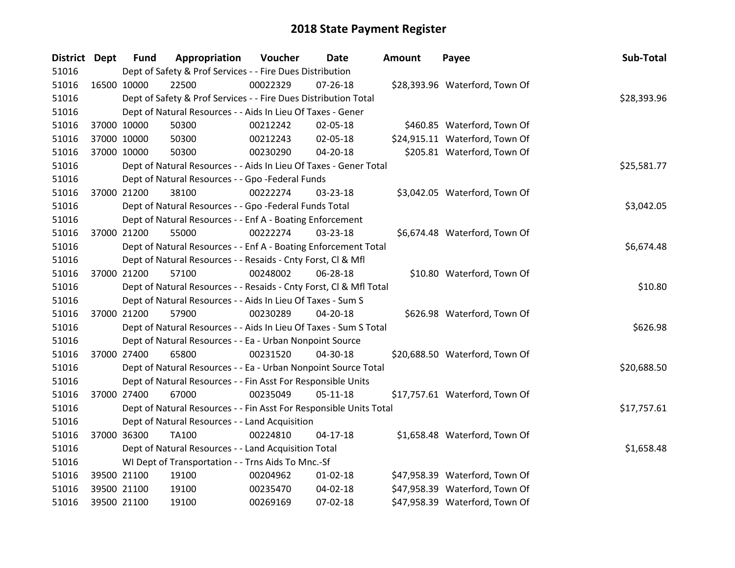| District Dept |             | <b>Fund</b> | Appropriation                                                      | Voucher     | <b>Date</b>    | <b>Amount</b> | Payee                          | Sub-Total   |
|---------------|-------------|-------------|--------------------------------------------------------------------|-------------|----------------|---------------|--------------------------------|-------------|
| 51016         |             |             | Dept of Safety & Prof Services - - Fire Dues Distribution          |             |                |               |                                |             |
| 51016         | 16500 10000 |             | 22500                                                              | 00022329    | $07 - 26 - 18$ |               | \$28,393.96 Waterford, Town Of |             |
| 51016         |             |             | Dept of Safety & Prof Services - - Fire Dues Distribution Total    |             |                |               |                                | \$28,393.96 |
| 51016         |             |             | Dept of Natural Resources - - Aids In Lieu Of Taxes - Gener        |             |                |               |                                |             |
| 51016         |             | 37000 10000 | 50300                                                              | 00212242    | 02-05-18       |               | \$460.85 Waterford, Town Of    |             |
| 51016         |             | 37000 10000 | 50300                                                              | 00212243    | 02-05-18       |               | \$24,915.11 Waterford, Town Of |             |
| 51016         |             | 37000 10000 | 50300                                                              | 00230290    | 04-20-18       |               | \$205.81 Waterford, Town Of    |             |
| 51016         |             |             | Dept of Natural Resources - - Aids In Lieu Of Taxes - Gener Total  | \$25,581.77 |                |               |                                |             |
| 51016         |             |             | Dept of Natural Resources - - Gpo -Federal Funds                   |             |                |               |                                |             |
| 51016         | 37000 21200 |             | 38100                                                              | 00222274    | 03-23-18       |               | \$3,042.05 Waterford, Town Of  |             |
| 51016         |             |             | Dept of Natural Resources - - Gpo -Federal Funds Total             |             |                |               |                                | \$3,042.05  |
| 51016         |             |             | Dept of Natural Resources - - Enf A - Boating Enforcement          |             |                |               |                                |             |
| 51016         |             | 37000 21200 | 55000                                                              | 00222274    | 03-23-18       |               | \$6,674.48 Waterford, Town Of  |             |
| 51016         |             |             | Dept of Natural Resources - - Enf A - Boating Enforcement Total    |             |                |               |                                | \$6,674.48  |
| 51016         |             |             | Dept of Natural Resources - - Resaids - Cnty Forst, CI & Mfl       |             |                |               |                                |             |
| 51016         | 37000 21200 |             | 57100                                                              | 00248002    | 06-28-18       |               | \$10.80 Waterford, Town Of     |             |
| 51016         |             |             | Dept of Natural Resources - - Resaids - Cnty Forst, CI & Mfl Total |             |                |               |                                | \$10.80     |
| 51016         |             |             | Dept of Natural Resources - - Aids In Lieu Of Taxes - Sum S        |             |                |               |                                |             |
| 51016         |             | 37000 21200 | 57900                                                              | 00230289    | 04-20-18       |               | \$626.98 Waterford, Town Of    |             |
| 51016         |             |             | Dept of Natural Resources - - Aids In Lieu Of Taxes - Sum S Total  |             |                |               |                                | \$626.98    |
| 51016         |             |             | Dept of Natural Resources - - Ea - Urban Nonpoint Source           |             |                |               |                                |             |
| 51016         |             | 37000 27400 | 65800                                                              | 00231520    | 04-30-18       |               | \$20,688.50 Waterford, Town Of |             |
| 51016         |             |             | Dept of Natural Resources - - Ea - Urban Nonpoint Source Total     |             |                |               |                                | \$20,688.50 |
| 51016         |             |             | Dept of Natural Resources - - Fin Asst For Responsible Units       |             |                |               |                                |             |
| 51016         | 37000 27400 |             | 67000                                                              | 00235049    | 05-11-18       |               | \$17,757.61 Waterford, Town Of |             |
| 51016         |             |             | Dept of Natural Resources - - Fin Asst For Responsible Units Total |             |                |               |                                | \$17,757.61 |
| 51016         |             |             | Dept of Natural Resources - - Land Acquisition                     |             |                |               |                                |             |
| 51016         | 37000 36300 |             | TA100                                                              | 00224810    | $04-17-18$     |               | \$1,658.48 Waterford, Town Of  |             |
| 51016         |             |             | Dept of Natural Resources - - Land Acquisition Total               |             |                |               |                                | \$1,658.48  |
| 51016         |             |             | WI Dept of Transportation - - Trns Aids To Mnc.-Sf                 |             |                |               |                                |             |
| 51016         |             | 39500 21100 | 19100                                                              | 00204962    | $01 - 02 - 18$ |               | \$47,958.39 Waterford, Town Of |             |
| 51016         |             | 39500 21100 | 19100                                                              | 00235470    | 04-02-18       |               | \$47,958.39 Waterford, Town Of |             |
| 51016         | 39500 21100 |             | 19100                                                              | 00269169    | 07-02-18       |               | \$47,958.39 Waterford, Town Of |             |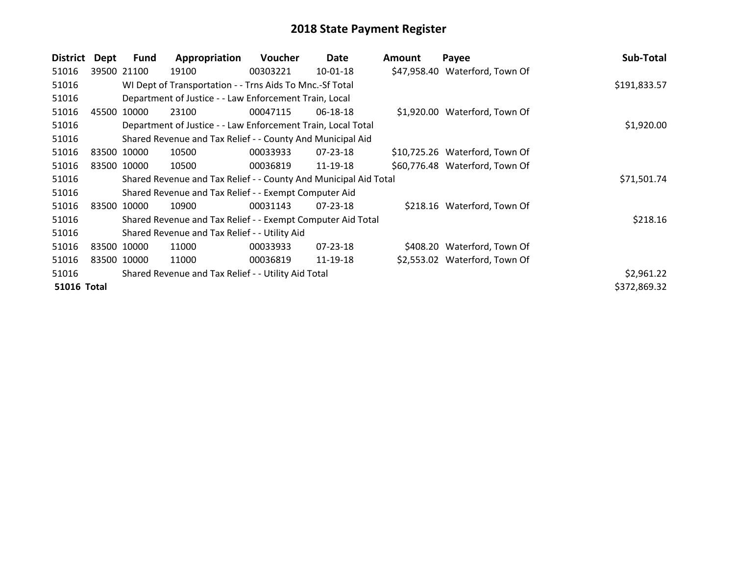| <b>District</b>    | Dept | <b>Fund</b> | Appropriation                                                    | Voucher  | Date           | <b>Amount</b> | Payee                          | Sub-Total    |
|--------------------|------|-------------|------------------------------------------------------------------|----------|----------------|---------------|--------------------------------|--------------|
| 51016              |      | 39500 21100 | 19100                                                            | 00303221 | 10-01-18       |               | \$47,958.40 Waterford, Town Of |              |
| 51016              |      |             | WI Dept of Transportation - - Trns Aids To Mnc.-Sf Total         |          |                |               |                                | \$191,833.57 |
| 51016              |      |             | Department of Justice - - Law Enforcement Train, Local           |          |                |               |                                |              |
| 51016              |      | 45500 10000 | 23100                                                            | 00047115 | 06-18-18       |               | \$1,920.00 Waterford, Town Of  |              |
| 51016              |      |             | Department of Justice - - Law Enforcement Train, Local Total     |          |                |               |                                | \$1,920.00   |
| 51016              |      |             | Shared Revenue and Tax Relief - - County And Municipal Aid       |          |                |               |                                |              |
| 51016              |      | 83500 10000 | 10500                                                            | 00033933 | $07 - 23 - 18$ |               | \$10,725.26 Waterford, Town Of |              |
| 51016              |      | 83500 10000 | 10500                                                            | 00036819 | 11-19-18       |               | \$60,776.48 Waterford, Town Of |              |
| 51016              |      |             | Shared Revenue and Tax Relief - - County And Municipal Aid Total |          |                |               |                                | \$71,501.74  |
| 51016              |      |             | Shared Revenue and Tax Relief - - Exempt Computer Aid            |          |                |               |                                |              |
| 51016              |      | 83500 10000 | 10900                                                            | 00031143 | $07 - 23 - 18$ |               | \$218.16 Waterford, Town Of    |              |
| 51016              |      |             | Shared Revenue and Tax Relief - - Exempt Computer Aid Total      |          |                |               |                                | \$218.16     |
| 51016              |      |             | Shared Revenue and Tax Relief - - Utility Aid                    |          |                |               |                                |              |
| 51016              |      | 83500 10000 | 11000                                                            | 00033933 | 07-23-18       |               | \$408.20 Waterford, Town Of    |              |
| 51016              |      | 83500 10000 | 11000                                                            | 00036819 | 11-19-18       |               | \$2,553.02 Waterford, Town Of  |              |
| 51016              |      |             | Shared Revenue and Tax Relief - - Utility Aid Total              |          |                |               |                                | \$2,961.22   |
| <b>51016 Total</b> |      |             |                                                                  |          |                |               |                                | \$372,869.32 |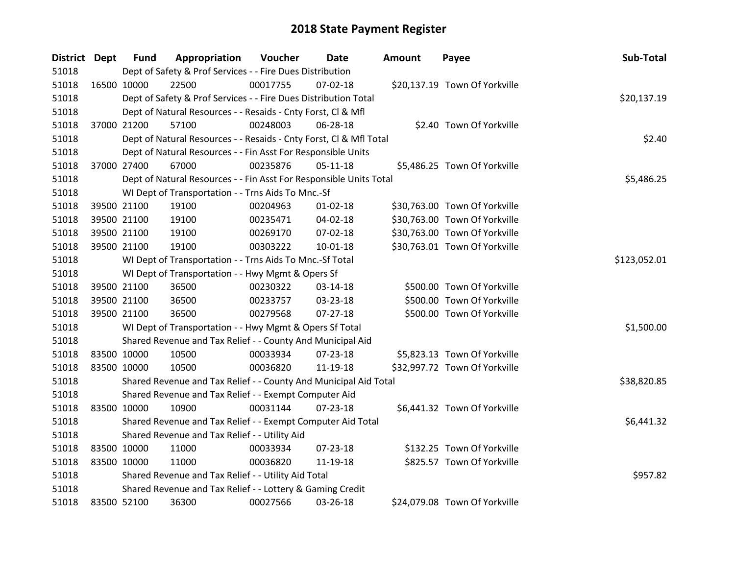| <b>District Dept</b> |             | <b>Fund</b> | Appropriation                                                      | Voucher  | <b>Date</b>    | <b>Amount</b> | Payee                         | Sub-Total   |
|----------------------|-------------|-------------|--------------------------------------------------------------------|----------|----------------|---------------|-------------------------------|-------------|
| 51018                |             |             | Dept of Safety & Prof Services - - Fire Dues Distribution          |          |                |               |                               |             |
| 51018                |             | 16500 10000 | 22500                                                              | 00017755 | 07-02-18       |               | \$20,137.19 Town Of Yorkville |             |
| 51018                |             |             | Dept of Safety & Prof Services - - Fire Dues Distribution Total    |          |                |               |                               | \$20,137.19 |
| 51018                |             |             | Dept of Natural Resources - - Resaids - Cnty Forst, Cl & Mfl       |          |                |               |                               |             |
| 51018                |             | 37000 21200 | 57100                                                              | 00248003 | 06-28-18       |               | \$2.40 Town Of Yorkville      |             |
| 51018                |             |             | Dept of Natural Resources - - Resaids - Cnty Forst, Cl & Mfl Total |          |                |               |                               | \$2.40      |
| 51018                |             |             | Dept of Natural Resources - - Fin Asst For Responsible Units       |          |                |               |                               |             |
| 51018                |             | 37000 27400 | 67000                                                              | 00235876 | $05 - 11 - 18$ |               | \$5,486.25 Town Of Yorkville  |             |
| 51018                |             |             | Dept of Natural Resources - - Fin Asst For Responsible Units Total |          |                |               |                               | \$5,486.25  |
| 51018                |             |             | WI Dept of Transportation - - Trns Aids To Mnc.-Sf                 |          |                |               |                               |             |
| 51018                |             | 39500 21100 | 19100                                                              | 00204963 | $01 - 02 - 18$ |               | \$30,763.00 Town Of Yorkville |             |
| 51018                |             | 39500 21100 | 19100                                                              | 00235471 | 04-02-18       |               | \$30,763.00 Town Of Yorkville |             |
| 51018                |             | 39500 21100 | 19100                                                              | 00269170 | 07-02-18       |               | \$30,763.00 Town Of Yorkville |             |
| 51018                |             | 39500 21100 | 19100                                                              | 00303222 | 10-01-18       |               | \$30,763.01 Town Of Yorkville |             |
| 51018                |             |             | WI Dept of Transportation - - Trns Aids To Mnc.-Sf Total           |          | \$123,052.01   |               |                               |             |
| 51018                |             |             | WI Dept of Transportation - - Hwy Mgmt & Opers Sf                  |          |                |               |                               |             |
| 51018                |             | 39500 21100 | 36500                                                              | 00230322 | 03-14-18       |               | \$500.00 Town Of Yorkville    |             |
| 51018                |             | 39500 21100 | 36500                                                              | 00233757 | 03-23-18       |               | \$500.00 Town Of Yorkville    |             |
| 51018                |             | 39500 21100 | 36500                                                              | 00279568 | $07 - 27 - 18$ |               | \$500.00 Town Of Yorkville    |             |
| 51018                |             |             | WI Dept of Transportation - - Hwy Mgmt & Opers Sf Total            |          |                |               |                               | \$1,500.00  |
| 51018                |             |             | Shared Revenue and Tax Relief - - County And Municipal Aid         |          |                |               |                               |             |
| 51018                | 83500 10000 |             | 10500                                                              | 00033934 | $07 - 23 - 18$ |               | \$5,823.13 Town Of Yorkville  |             |
| 51018                |             | 83500 10000 | 10500                                                              | 00036820 | 11-19-18       |               | \$32,997.72 Town Of Yorkville |             |
| 51018                |             |             | Shared Revenue and Tax Relief - - County And Municipal Aid Total   |          |                |               |                               | \$38,820.85 |
| 51018                |             |             | Shared Revenue and Tax Relief - - Exempt Computer Aid              |          |                |               |                               |             |
| 51018                |             | 83500 10000 | 10900                                                              | 00031144 | $07 - 23 - 18$ |               | \$6,441.32 Town Of Yorkville  |             |
| 51018                |             |             | Shared Revenue and Tax Relief - - Exempt Computer Aid Total        |          |                |               |                               | \$6,441.32  |
| 51018                |             |             | Shared Revenue and Tax Relief - - Utility Aid                      |          |                |               |                               |             |
| 51018                |             | 83500 10000 | 11000                                                              | 00033934 | 07-23-18       |               | \$132.25 Town Of Yorkville    |             |
| 51018                |             | 83500 10000 | 11000                                                              | 00036820 | 11-19-18       |               | \$825.57 Town Of Yorkville    |             |
| 51018                |             |             | Shared Revenue and Tax Relief - - Utility Aid Total                |          |                |               |                               | \$957.82    |
| 51018                |             |             | Shared Revenue and Tax Relief - - Lottery & Gaming Credit          |          |                |               |                               |             |
| 51018                |             | 83500 52100 | 36300                                                              | 00027566 | 03-26-18       |               | \$24,079.08 Town Of Yorkville |             |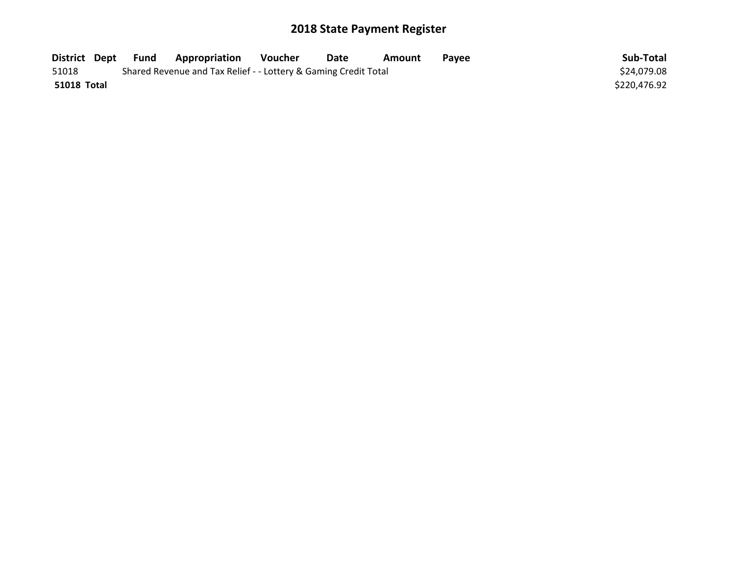| District Dept | Fund | <b>Appropriation</b>                                            | Voucher | Date | Amount | Payee | Sub-Total    |
|---------------|------|-----------------------------------------------------------------|---------|------|--------|-------|--------------|
| 51018         |      | Shared Revenue and Tax Relief - - Lottery & Gaming Credit Total |         |      |        |       | \$24,079.08  |
| 51018 Total   |      |                                                                 |         |      |        |       | \$220,476.92 |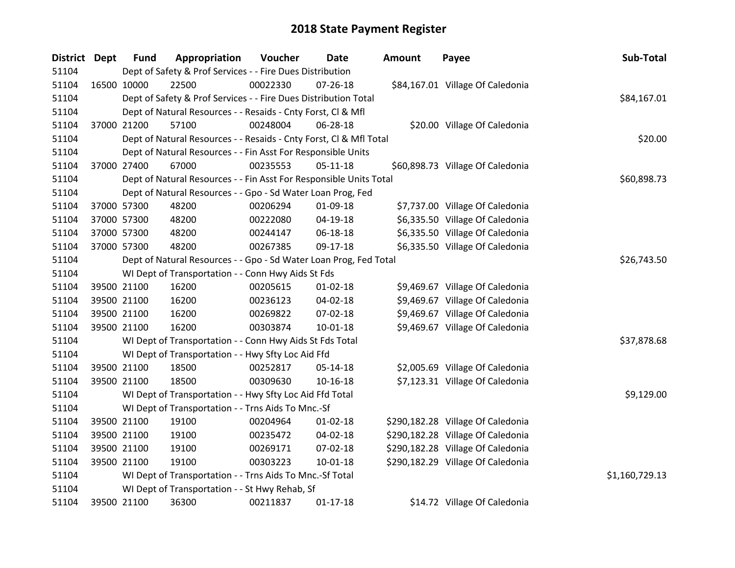| <b>District</b> | <b>Dept</b> | <b>Fund</b> | Appropriation                                                      | Voucher     | <b>Date</b>    | <b>Amount</b> | Payee                             | Sub-Total      |
|-----------------|-------------|-------------|--------------------------------------------------------------------|-------------|----------------|---------------|-----------------------------------|----------------|
| 51104           |             |             | Dept of Safety & Prof Services - - Fire Dues Distribution          |             |                |               |                                   |                |
| 51104           | 16500 10000 |             | 22500                                                              | 00022330    | $07 - 26 - 18$ |               | \$84,167.01 Village Of Caledonia  |                |
| 51104           |             |             | Dept of Safety & Prof Services - - Fire Dues Distribution Total    |             |                |               |                                   | \$84,167.01    |
| 51104           |             |             | Dept of Natural Resources - - Resaids - Cnty Forst, Cl & Mfl       |             |                |               |                                   |                |
| 51104           |             | 37000 21200 | 57100                                                              | 00248004    | 06-28-18       |               | \$20.00 Village Of Caledonia      |                |
| 51104           |             |             | Dept of Natural Resources - - Resaids - Cnty Forst, Cl & Mfl Total |             |                |               |                                   | \$20.00        |
| 51104           |             |             | Dept of Natural Resources - - Fin Asst For Responsible Units       |             |                |               |                                   |                |
| 51104           |             | 37000 27400 | 67000                                                              | 00235553    | 05-11-18       |               | \$60,898.73 Village Of Caledonia  |                |
| 51104           |             |             | Dept of Natural Resources - - Fin Asst For Responsible Units Total |             |                |               |                                   | \$60,898.73    |
| 51104           |             |             | Dept of Natural Resources - - Gpo - Sd Water Loan Prog, Fed        |             |                |               |                                   |                |
| 51104           |             | 37000 57300 | 48200                                                              | 00206294    | 01-09-18       |               | \$7,737.00 Village Of Caledonia   |                |
| 51104           |             | 37000 57300 | 48200                                                              | 00222080    | 04-19-18       |               | \$6,335.50 Village Of Caledonia   |                |
| 51104           |             | 37000 57300 | 48200                                                              | 00244147    | 06-18-18       |               | \$6,335.50 Village Of Caledonia   |                |
| 51104           |             | 37000 57300 | 48200                                                              | 00267385    | 09-17-18       |               | \$6,335.50 Village Of Caledonia   |                |
| 51104           |             |             | Dept of Natural Resources - - Gpo - Sd Water Loan Prog, Fed Total  | \$26,743.50 |                |               |                                   |                |
| 51104           |             |             | WI Dept of Transportation - - Conn Hwy Aids St Fds                 |             |                |               |                                   |                |
| 51104           |             | 39500 21100 | 16200                                                              | 00205615    | $01 - 02 - 18$ |               | \$9,469.67 Village Of Caledonia   |                |
| 51104           |             | 39500 21100 | 16200                                                              | 00236123    | 04-02-18       |               | \$9,469.67 Village Of Caledonia   |                |
| 51104           |             | 39500 21100 | 16200                                                              | 00269822    | 07-02-18       |               | \$9,469.67 Village Of Caledonia   |                |
| 51104           |             | 39500 21100 | 16200                                                              | 00303874    | $10 - 01 - 18$ |               | \$9,469.67 Village Of Caledonia   |                |
| 51104           |             |             | WI Dept of Transportation - - Conn Hwy Aids St Fds Total           |             |                |               |                                   | \$37,878.68    |
| 51104           |             |             | WI Dept of Transportation - - Hwy Sfty Loc Aid Ffd                 |             |                |               |                                   |                |
| 51104           |             | 39500 21100 | 18500                                                              | 00252817    | 05-14-18       |               | \$2,005.69 Village Of Caledonia   |                |
| 51104           |             | 39500 21100 | 18500                                                              | 00309630    | $10 - 16 - 18$ |               | \$7,123.31 Village Of Caledonia   |                |
| 51104           |             |             | WI Dept of Transportation - - Hwy Sfty Loc Aid Ffd Total           |             |                |               |                                   | \$9,129.00     |
| 51104           |             |             | WI Dept of Transportation - - Trns Aids To Mnc.-Sf                 |             |                |               |                                   |                |
| 51104           |             | 39500 21100 | 19100                                                              | 00204964    | $01 - 02 - 18$ |               | \$290,182.28 Village Of Caledonia |                |
| 51104           |             | 39500 21100 | 19100                                                              | 00235472    | 04-02-18       |               | \$290,182.28 Village Of Caledonia |                |
| 51104           |             | 39500 21100 | 19100                                                              | 00269171    | 07-02-18       |               | \$290,182.28 Village Of Caledonia |                |
| 51104           |             | 39500 21100 | 19100                                                              | 00303223    | 10-01-18       |               | \$290,182.29 Village Of Caledonia |                |
| 51104           |             |             | WI Dept of Transportation - - Trns Aids To Mnc.-Sf Total           |             |                |               |                                   | \$1,160,729.13 |
| 51104           |             |             | WI Dept of Transportation - - St Hwy Rehab, Sf                     |             |                |               |                                   |                |
| 51104           |             | 39500 21100 | 36300                                                              | 00211837    | $01 - 17 - 18$ |               | \$14.72 Village Of Caledonia      |                |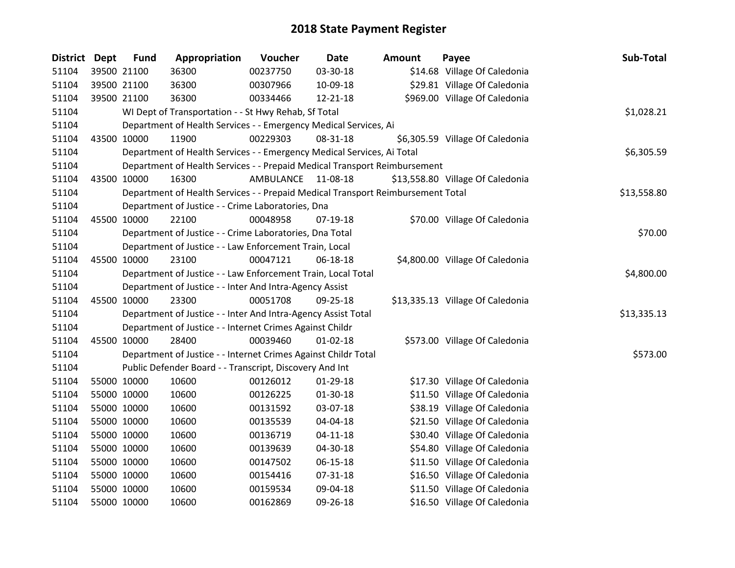| District Dept |             | <b>Fund</b> | Appropriation                                                                   | Voucher            | Date           | <b>Amount</b> | Payee                            | Sub-Total   |  |  |
|---------------|-------------|-------------|---------------------------------------------------------------------------------|--------------------|----------------|---------------|----------------------------------|-------------|--|--|
| 51104         | 39500 21100 |             | 36300                                                                           | 00237750           | 03-30-18       |               | \$14.68 Village Of Caledonia     |             |  |  |
| 51104         | 39500 21100 |             | 36300                                                                           | 00307966           | 10-09-18       |               | \$29.81 Village Of Caledonia     |             |  |  |
| 51104         | 39500 21100 |             | 36300                                                                           | 00334466           | 12-21-18       |               | \$969.00 Village Of Caledonia    |             |  |  |
| 51104         |             |             | WI Dept of Transportation - - St Hwy Rehab, Sf Total                            |                    |                |               |                                  | \$1,028.21  |  |  |
| 51104         |             |             | Department of Health Services - - Emergency Medical Services, Ai                |                    |                |               |                                  |             |  |  |
| 51104         | 43500 10000 |             | 11900                                                                           | 00229303           | 08-31-18       |               | \$6,305.59 Village Of Caledonia  |             |  |  |
| 51104         |             |             | Department of Health Services - - Emergency Medical Services, Ai Total          |                    |                |               |                                  | \$6,305.59  |  |  |
| 51104         |             |             | Department of Health Services - - Prepaid Medical Transport Reimbursement       |                    |                |               |                                  |             |  |  |
| 51104         | 43500 10000 |             | 16300                                                                           | AMBULANCE 11-08-18 |                |               | \$13,558.80 Village Of Caledonia |             |  |  |
| 51104         |             |             | Department of Health Services - - Prepaid Medical Transport Reimbursement Total |                    |                |               |                                  | \$13,558.80 |  |  |
| 51104         |             |             | Department of Justice - - Crime Laboratories, Dna                               |                    |                |               |                                  |             |  |  |
| 51104         | 45500 10000 |             | 22100                                                                           | 00048958           | 07-19-18       |               | \$70.00 Village Of Caledonia     |             |  |  |
| 51104         |             |             | Department of Justice - - Crime Laboratories, Dna Total                         |                    |                |               |                                  | \$70.00     |  |  |
| 51104         |             |             | Department of Justice - - Law Enforcement Train, Local                          |                    |                |               |                                  |             |  |  |
| 51104         | 45500 10000 |             | 23100                                                                           | 00047121           | 06-18-18       |               | \$4,800.00 Village Of Caledonia  |             |  |  |
| 51104         |             |             | Department of Justice - - Law Enforcement Train, Local Total                    |                    |                |               |                                  |             |  |  |
| 51104         |             |             | Department of Justice - - Inter And Intra-Agency Assist                         |                    |                |               |                                  |             |  |  |
| 51104         | 45500 10000 |             | 23300                                                                           | 00051708           | 09-25-18       |               | \$13,335.13 Village Of Caledonia |             |  |  |
| 51104         |             |             | Department of Justice - - Inter And Intra-Agency Assist Total                   |                    |                |               |                                  | \$13,335.13 |  |  |
| 51104         |             |             | Department of Justice - - Internet Crimes Against Childr                        |                    |                |               |                                  |             |  |  |
| 51104         | 45500 10000 |             | 28400                                                                           | 00039460           | $01 - 02 - 18$ |               | \$573.00 Village Of Caledonia    |             |  |  |
| 51104         |             |             | Department of Justice - - Internet Crimes Against Childr Total                  |                    |                |               |                                  | \$573.00    |  |  |
| 51104         |             |             | Public Defender Board - - Transcript, Discovery And Int                         |                    |                |               |                                  |             |  |  |
| 51104         | 55000 10000 |             | 10600                                                                           | 00126012           | 01-29-18       |               | \$17.30 Village Of Caledonia     |             |  |  |
| 51104         | 55000 10000 |             | 10600                                                                           | 00126225           | 01-30-18       |               | \$11.50 Village Of Caledonia     |             |  |  |
| 51104         | 55000 10000 |             | 10600                                                                           | 00131592           | 03-07-18       |               | \$38.19 Village Of Caledonia     |             |  |  |
| 51104         | 55000 10000 |             | 10600                                                                           | 00135539           | 04-04-18       |               | \$21.50 Village Of Caledonia     |             |  |  |
| 51104         | 55000 10000 |             | 10600                                                                           | 00136719           | $04 - 11 - 18$ |               | \$30.40 Village Of Caledonia     |             |  |  |
| 51104         | 55000 10000 |             | 10600                                                                           | 00139639           | 04-30-18       |               | \$54.80 Village Of Caledonia     |             |  |  |
| 51104         | 55000 10000 |             | 10600                                                                           | 00147502           | 06-15-18       |               | \$11.50 Village Of Caledonia     |             |  |  |
| 51104         | 55000 10000 |             | 10600                                                                           | 00154416           | 07-31-18       |               | \$16.50 Village Of Caledonia     |             |  |  |
| 51104         | 55000 10000 |             | 10600                                                                           | 00159534           | 09-04-18       |               | \$11.50 Village Of Caledonia     |             |  |  |
| 51104         | 55000 10000 |             | 10600                                                                           | 00162869           | 09-26-18       |               | \$16.50 Village Of Caledonia     |             |  |  |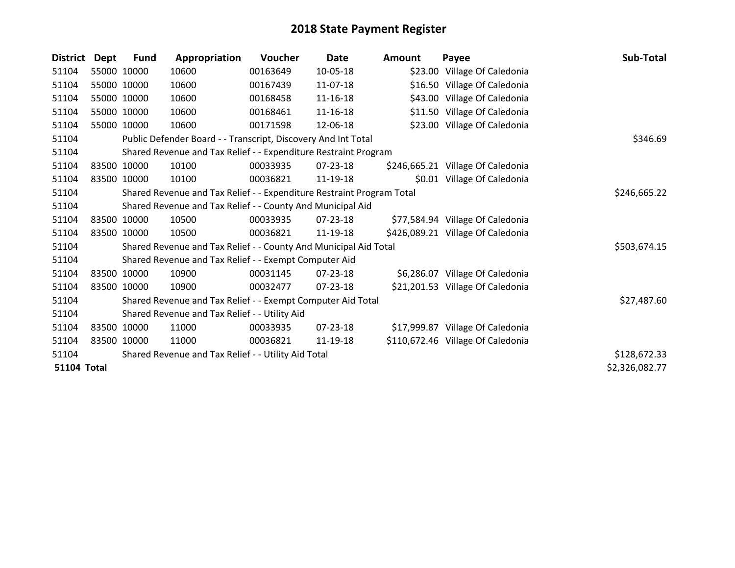| <b>District</b>    | Dept        | Fund        | Appropriation                                                         | <b>Voucher</b> | <b>Date</b>    | <b>Amount</b> | Payee                             | Sub-Total      |
|--------------------|-------------|-------------|-----------------------------------------------------------------------|----------------|----------------|---------------|-----------------------------------|----------------|
| 51104              |             | 55000 10000 | 10600                                                                 | 00163649       | 10-05-18       |               | \$23.00 Village Of Caledonia      |                |
| 51104              |             | 55000 10000 | 10600                                                                 | 00167439       | 11-07-18       |               | \$16.50 Village Of Caledonia      |                |
| 51104              | 55000 10000 |             | 10600                                                                 | 00168458       | 11-16-18       |               | \$43.00 Village Of Caledonia      |                |
| 51104              | 55000 10000 |             | 10600                                                                 | 00168461       | 11-16-18       |               | \$11.50 Village Of Caledonia      |                |
| 51104              | 55000 10000 |             | 10600                                                                 | 00171598       | 12-06-18       |               | \$23.00 Village Of Caledonia      |                |
| 51104              |             |             | Public Defender Board - - Transcript, Discovery And Int Total         |                |                |               |                                   | \$346.69       |
| 51104              |             |             | Shared Revenue and Tax Relief - - Expenditure Restraint Program       |                |                |               |                                   |                |
| 51104              | 83500 10000 |             | 10100                                                                 | 00033935       | 07-23-18       |               | \$246,665.21 Village Of Caledonia |                |
| 51104              | 83500 10000 |             | 10100                                                                 | 00036821       | 11-19-18       |               | \$0.01 Village Of Caledonia       |                |
| 51104              |             |             | Shared Revenue and Tax Relief - - Expenditure Restraint Program Total |                | \$246,665.22   |               |                                   |                |
| 51104              |             |             | Shared Revenue and Tax Relief - - County And Municipal Aid            |                |                |               |                                   |                |
| 51104              | 83500 10000 |             | 10500                                                                 | 00033935       | 07-23-18       |               | \$77,584.94 Village Of Caledonia  |                |
| 51104              | 83500 10000 |             | 10500                                                                 | 00036821       | 11-19-18       |               | \$426,089.21 Village Of Caledonia |                |
| 51104              |             |             | Shared Revenue and Tax Relief - - County And Municipal Aid Total      |                |                |               |                                   | \$503,674.15   |
| 51104              |             |             | Shared Revenue and Tax Relief - - Exempt Computer Aid                 |                |                |               |                                   |                |
| 51104              | 83500 10000 |             | 10900                                                                 | 00031145       | 07-23-18       |               | \$6,286.07 Village Of Caledonia   |                |
| 51104              | 83500 10000 |             | 10900                                                                 | 00032477       | 07-23-18       |               | \$21,201.53 Village Of Caledonia  |                |
| 51104              |             |             | Shared Revenue and Tax Relief - - Exempt Computer Aid Total           |                |                |               |                                   | \$27,487.60    |
| 51104              |             |             | Shared Revenue and Tax Relief - - Utility Aid                         |                |                |               |                                   |                |
| 51104              | 83500 10000 |             | 11000                                                                 | 00033935       | $07 - 23 - 18$ |               | \$17,999.87 Village Of Caledonia  |                |
| 51104              | 83500 10000 |             | 11000                                                                 | 00036821       | 11-19-18       |               | \$110,672.46 Village Of Caledonia |                |
| 51104              |             |             | Shared Revenue and Tax Relief - - Utility Aid Total                   |                |                |               |                                   | \$128,672.33   |
| <b>51104 Total</b> |             |             |                                                                       |                |                |               |                                   | \$2,326,082.77 |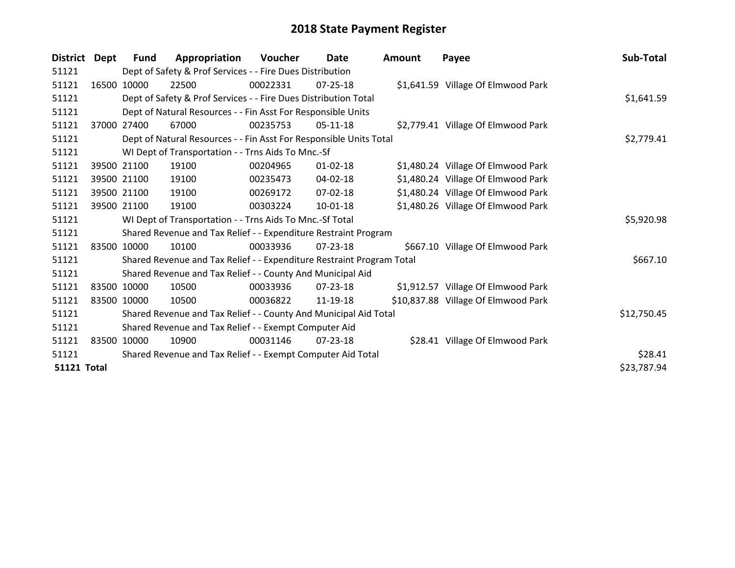| <b>District</b>    | Dept | <b>Fund</b> | Appropriation                                                         | Voucher  | <b>Date</b>    | Amount | Payee                               | Sub-Total   |
|--------------------|------|-------------|-----------------------------------------------------------------------|----------|----------------|--------|-------------------------------------|-------------|
| 51121              |      |             | Dept of Safety & Prof Services - - Fire Dues Distribution             |          |                |        |                                     |             |
| 51121              |      | 16500 10000 | 22500                                                                 | 00022331 | $07 - 25 - 18$ |        | \$1,641.59 Village Of Elmwood Park  |             |
| 51121              |      |             | Dept of Safety & Prof Services - - Fire Dues Distribution Total       |          |                |        |                                     | \$1,641.59  |
| 51121              |      |             | Dept of Natural Resources - - Fin Asst For Responsible Units          |          |                |        |                                     |             |
| 51121              |      | 37000 27400 | 67000                                                                 | 00235753 | $05-11-18$     |        | \$2,779.41 Village Of Elmwood Park  |             |
| 51121              |      |             | Dept of Natural Resources - - Fin Asst For Responsible Units Total    |          |                |        |                                     | \$2,779.41  |
| 51121              |      |             | WI Dept of Transportation - - Trns Aids To Mnc.-Sf                    |          |                |        |                                     |             |
| 51121              |      | 39500 21100 | 19100                                                                 | 00204965 | $01 - 02 - 18$ |        | \$1,480.24 Village Of Elmwood Park  |             |
| 51121              |      | 39500 21100 | 19100                                                                 | 00235473 | $04 - 02 - 18$ |        | \$1,480.24 Village Of Elmwood Park  |             |
| 51121              |      | 39500 21100 | 19100                                                                 | 00269172 | $07-02-18$     |        | \$1,480.24 Village Of Elmwood Park  |             |
| 51121              |      | 39500 21100 | 19100                                                                 | 00303224 | 10-01-18       |        | \$1,480.26 Village Of Elmwood Park  |             |
| 51121              |      |             | WI Dept of Transportation - - Trns Aids To Mnc.-Sf Total              |          |                |        |                                     | \$5,920.98  |
| 51121              |      |             | Shared Revenue and Tax Relief - - Expenditure Restraint Program       |          |                |        |                                     |             |
| 51121              |      | 83500 10000 | 10100                                                                 | 00033936 | $07 - 23 - 18$ |        | \$667.10 Village Of Elmwood Park    |             |
| 51121              |      |             | Shared Revenue and Tax Relief - - Expenditure Restraint Program Total |          |                |        |                                     | \$667.10    |
| 51121              |      |             | Shared Revenue and Tax Relief - - County And Municipal Aid            |          |                |        |                                     |             |
| 51121              |      | 83500 10000 | 10500                                                                 | 00033936 | 07-23-18       |        | \$1,912.57 Village Of Elmwood Park  |             |
| 51121              |      | 83500 10000 | 10500                                                                 | 00036822 | 11-19-18       |        | \$10,837.88 Village Of Elmwood Park |             |
| 51121              |      |             | Shared Revenue and Tax Relief - - County And Municipal Aid Total      |          |                |        |                                     | \$12,750.45 |
| 51121              |      |             | Shared Revenue and Tax Relief - - Exempt Computer Aid                 |          |                |        |                                     |             |
| 51121              |      | 83500 10000 | 10900                                                                 | 00031146 | $07 - 23 - 18$ |        | \$28.41 Village Of Elmwood Park     |             |
| 51121              |      |             | Shared Revenue and Tax Relief - - Exempt Computer Aid Total           |          |                |        |                                     | \$28.41     |
| <b>51121 Total</b> |      |             |                                                                       |          |                |        |                                     | \$23,787.94 |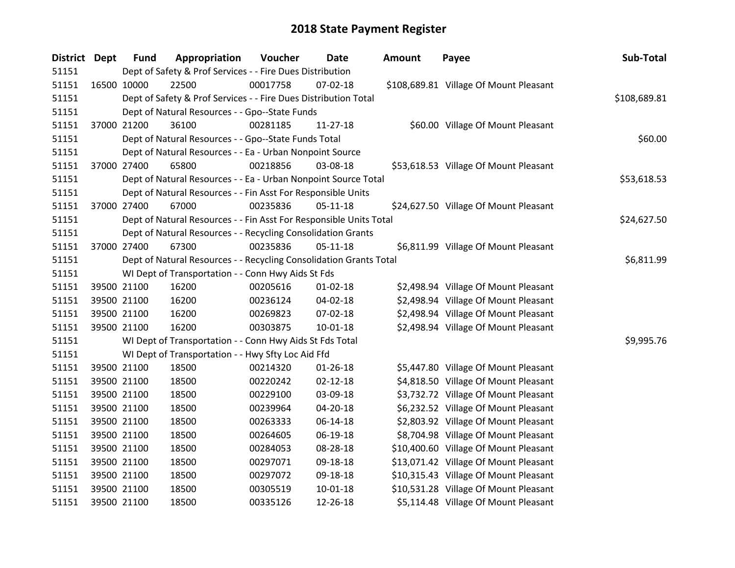| <b>District Dept</b> |             | <b>Fund</b> | Appropriation                                                      | Voucher  | <b>Date</b>    | <b>Amount</b> | Payee                                  | Sub-Total    |  |  |
|----------------------|-------------|-------------|--------------------------------------------------------------------|----------|----------------|---------------|----------------------------------------|--------------|--|--|
| 51151                |             |             | Dept of Safety & Prof Services - - Fire Dues Distribution          |          |                |               |                                        |              |  |  |
| 51151                | 16500 10000 |             | 22500                                                              | 00017758 | 07-02-18       |               | \$108,689.81 Village Of Mount Pleasant |              |  |  |
| 51151                |             |             | Dept of Safety & Prof Services - - Fire Dues Distribution Total    |          |                |               |                                        | \$108,689.81 |  |  |
| 51151                |             |             | Dept of Natural Resources - - Gpo--State Funds                     |          |                |               |                                        |              |  |  |
| 51151                |             | 37000 21200 | 36100                                                              | 00281185 | $11-27-18$     |               | \$60.00 Village Of Mount Pleasant      |              |  |  |
| 51151                |             |             | Dept of Natural Resources - - Gpo--State Funds Total               |          |                |               |                                        | \$60.00      |  |  |
| 51151                |             |             | Dept of Natural Resources - - Ea - Urban Nonpoint Source           |          |                |               |                                        |              |  |  |
| 51151                |             | 37000 27400 | 65800                                                              | 00218856 | 03-08-18       |               | \$53,618.53 Village Of Mount Pleasant  |              |  |  |
| 51151                |             |             | Dept of Natural Resources - - Ea - Urban Nonpoint Source Total     |          |                |               |                                        | \$53,618.53  |  |  |
| 51151                |             |             | Dept of Natural Resources - - Fin Asst For Responsible Units       |          |                |               |                                        |              |  |  |
| 51151                |             | 37000 27400 | 67000                                                              | 00235836 | $05-11-18$     |               | \$24,627.50 Village Of Mount Pleasant  |              |  |  |
| 51151                |             |             | Dept of Natural Resources - - Fin Asst For Responsible Units Total |          |                |               |                                        | \$24,627.50  |  |  |
| 51151                |             |             | Dept of Natural Resources - - Recycling Consolidation Grants       |          |                |               |                                        |              |  |  |
| 51151                |             | 37000 27400 | 67300                                                              | 00235836 | $05-11-18$     |               | \$6,811.99 Village Of Mount Pleasant   |              |  |  |
| 51151                |             |             | Dept of Natural Resources - - Recycling Consolidation Grants Total |          |                |               |                                        |              |  |  |
| 51151                |             |             | WI Dept of Transportation - - Conn Hwy Aids St Fds                 |          |                |               |                                        |              |  |  |
| 51151                |             | 39500 21100 | 16200                                                              | 00205616 | $01 - 02 - 18$ |               | \$2,498.94 Village Of Mount Pleasant   |              |  |  |
| 51151                |             | 39500 21100 | 16200                                                              | 00236124 | 04-02-18       |               | \$2,498.94 Village Of Mount Pleasant   |              |  |  |
| 51151                |             | 39500 21100 | 16200                                                              | 00269823 | 07-02-18       |               | \$2,498.94 Village Of Mount Pleasant   |              |  |  |
| 51151                |             | 39500 21100 | 16200                                                              | 00303875 | 10-01-18       |               | \$2,498.94 Village Of Mount Pleasant   |              |  |  |
| 51151                |             |             | WI Dept of Transportation - - Conn Hwy Aids St Fds Total           |          |                |               |                                        | \$9,995.76   |  |  |
| 51151                |             |             | WI Dept of Transportation - - Hwy Sfty Loc Aid Ffd                 |          |                |               |                                        |              |  |  |
| 51151                |             | 39500 21100 | 18500                                                              | 00214320 | $01 - 26 - 18$ |               | \$5,447.80 Village Of Mount Pleasant   |              |  |  |
| 51151                |             | 39500 21100 | 18500                                                              | 00220242 | $02 - 12 - 18$ |               | \$4,818.50 Village Of Mount Pleasant   |              |  |  |
| 51151                |             | 39500 21100 | 18500                                                              | 00229100 | 03-09-18       |               | \$3,732.72 Village Of Mount Pleasant   |              |  |  |
| 51151                |             | 39500 21100 | 18500                                                              | 00239964 | 04-20-18       |               | \$6,232.52 Village Of Mount Pleasant   |              |  |  |
| 51151                |             | 39500 21100 | 18500                                                              | 00263333 | 06-14-18       |               | \$2,803.92 Village Of Mount Pleasant   |              |  |  |
| 51151                |             | 39500 21100 | 18500                                                              | 00264605 | 06-19-18       |               | \$8,704.98 Village Of Mount Pleasant   |              |  |  |
| 51151                |             | 39500 21100 | 18500                                                              | 00284053 | 08-28-18       |               | \$10,400.60 Village Of Mount Pleasant  |              |  |  |
| 51151                | 39500 21100 |             | 18500                                                              | 00297071 | 09-18-18       |               | \$13,071.42 Village Of Mount Pleasant  |              |  |  |
| 51151                |             | 39500 21100 | 18500                                                              | 00297072 | 09-18-18       |               | \$10,315.43 Village Of Mount Pleasant  |              |  |  |
| 51151                |             | 39500 21100 | 18500                                                              | 00305519 | 10-01-18       |               | \$10,531.28 Village Of Mount Pleasant  |              |  |  |
| 51151                |             | 39500 21100 | 18500                                                              | 00335126 | 12-26-18       |               | \$5,114.48 Village Of Mount Pleasant   |              |  |  |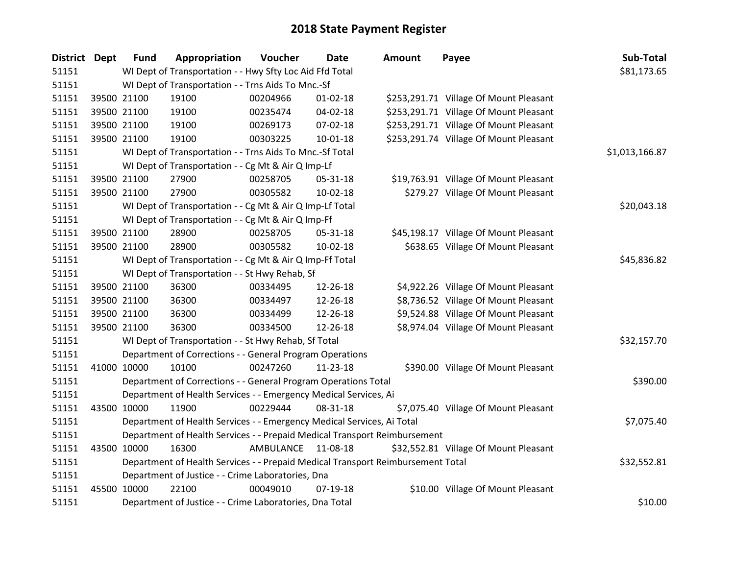| <b>District Dept</b> |             | <b>Fund</b> | Appropriation                                                                   | Voucher            | <b>Date</b>    | <b>Amount</b> | Payee                                  | Sub-Total      |  |  |
|----------------------|-------------|-------------|---------------------------------------------------------------------------------|--------------------|----------------|---------------|----------------------------------------|----------------|--|--|
| 51151                |             |             | WI Dept of Transportation - - Hwy Sfty Loc Aid Ffd Total                        |                    |                |               |                                        | \$81,173.65    |  |  |
| 51151                |             |             | WI Dept of Transportation - - Trns Aids To Mnc.-Sf                              |                    |                |               |                                        |                |  |  |
| 51151                |             | 39500 21100 | 19100                                                                           | 00204966           | $01 - 02 - 18$ |               | \$253,291.71 Village Of Mount Pleasant |                |  |  |
| 51151                |             | 39500 21100 | 19100                                                                           | 00235474           | 04-02-18       |               | \$253,291.71 Village Of Mount Pleasant |                |  |  |
| 51151                |             | 39500 21100 | 19100                                                                           | 00269173           | 07-02-18       |               | \$253,291.71 Village Of Mount Pleasant |                |  |  |
| 51151                |             | 39500 21100 | 19100                                                                           | 00303225           | $10 - 01 - 18$ |               | \$253,291.74 Village Of Mount Pleasant |                |  |  |
| 51151                |             |             | WI Dept of Transportation - - Trns Aids To Mnc.-Sf Total                        |                    |                |               |                                        | \$1,013,166.87 |  |  |
| 51151                |             |             | WI Dept of Transportation - - Cg Mt & Air Q Imp-Lf                              |                    |                |               |                                        |                |  |  |
| 51151                |             | 39500 21100 | 27900                                                                           | 00258705           | 05-31-18       |               | \$19,763.91 Village Of Mount Pleasant  |                |  |  |
| 51151                |             | 39500 21100 | 27900                                                                           | 00305582           | 10-02-18       |               | \$279.27 Village Of Mount Pleasant     |                |  |  |
| 51151                |             |             | WI Dept of Transportation - - Cg Mt & Air Q Imp-Lf Total                        |                    |                |               |                                        | \$20,043.18    |  |  |
| 51151                |             |             | WI Dept of Transportation - - Cg Mt & Air Q Imp-Ff                              |                    |                |               |                                        |                |  |  |
| 51151                |             | 39500 21100 | 28900                                                                           | 00258705           | 05-31-18       |               | \$45,198.17 Village Of Mount Pleasant  |                |  |  |
| 51151                |             | 39500 21100 | 28900                                                                           | 00305582           | 10-02-18       |               | \$638.65 Village Of Mount Pleasant     |                |  |  |
| 51151                |             |             | WI Dept of Transportation - - Cg Mt & Air Q Imp-Ff Total                        |                    |                |               |                                        |                |  |  |
| 51151                |             |             | WI Dept of Transportation - - St Hwy Rehab, Sf                                  |                    |                |               |                                        |                |  |  |
| 51151                |             | 39500 21100 | 36300                                                                           | 00334495           | 12-26-18       |               | \$4,922.26 Village Of Mount Pleasant   |                |  |  |
| 51151                |             | 39500 21100 | 36300                                                                           | 00334497           | 12-26-18       |               | \$8,736.52 Village Of Mount Pleasant   |                |  |  |
| 51151                |             | 39500 21100 | 36300                                                                           | 00334499           | 12-26-18       |               | \$9,524.88 Village Of Mount Pleasant   |                |  |  |
| 51151                |             | 39500 21100 | 36300                                                                           | 00334500           | 12-26-18       |               | \$8,974.04 Village Of Mount Pleasant   |                |  |  |
| 51151                |             |             | WI Dept of Transportation - - St Hwy Rehab, Sf Total                            |                    |                |               |                                        | \$32,157.70    |  |  |
| 51151                |             |             | Department of Corrections - - General Program Operations                        |                    |                |               |                                        |                |  |  |
| 51151                | 41000 10000 |             | 10100                                                                           | 00247260           | $11 - 23 - 18$ |               | \$390.00 Village Of Mount Pleasant     |                |  |  |
| 51151                |             |             | Department of Corrections - - General Program Operations Total                  |                    |                |               |                                        | \$390.00       |  |  |
| 51151                |             |             | Department of Health Services - - Emergency Medical Services, Ai                |                    |                |               |                                        |                |  |  |
| 51151                |             | 43500 10000 | 11900                                                                           | 00229444           | 08-31-18       |               | \$7,075.40 Village Of Mount Pleasant   |                |  |  |
| 51151                |             |             | Department of Health Services - - Emergency Medical Services, Ai Total          |                    |                |               |                                        | \$7,075.40     |  |  |
| 51151                |             |             | Department of Health Services - - Prepaid Medical Transport Reimbursement       |                    |                |               |                                        |                |  |  |
| 51151                |             | 43500 10000 | 16300                                                                           | AMBULANCE 11-08-18 |                |               | \$32,552.81 Village Of Mount Pleasant  |                |  |  |
| 51151                |             |             | Department of Health Services - - Prepaid Medical Transport Reimbursement Total |                    |                |               |                                        | \$32,552.81    |  |  |
| 51151                |             |             | Department of Justice - - Crime Laboratories, Dna                               |                    |                |               |                                        |                |  |  |
| 51151                |             | 45500 10000 | 22100                                                                           | 00049010           | $07-19-18$     |               | \$10.00 Village Of Mount Pleasant      |                |  |  |
| 51151                |             |             | Department of Justice - - Crime Laboratories, Dna Total                         |                    |                |               |                                        | \$10.00        |  |  |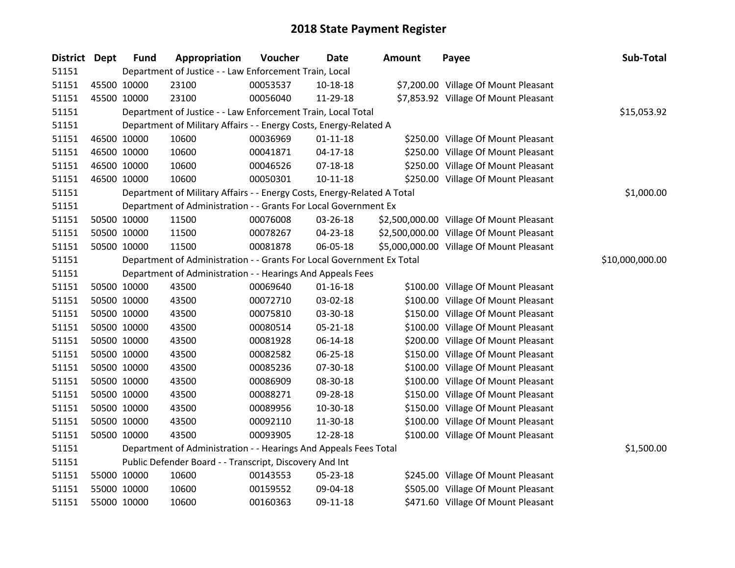| <b>District Dept</b> |             | <b>Fund</b> | Appropriation                                                           | Voucher  | <b>Date</b>    | <b>Amount</b> | Payee                                    | Sub-Total       |
|----------------------|-------------|-------------|-------------------------------------------------------------------------|----------|----------------|---------------|------------------------------------------|-----------------|
| 51151                |             |             | Department of Justice - - Law Enforcement Train, Local                  |          |                |               |                                          |                 |
| 51151                |             | 45500 10000 | 23100                                                                   | 00053537 | 10-18-18       |               | \$7,200.00 Village Of Mount Pleasant     |                 |
| 51151                | 45500 10000 |             | 23100                                                                   | 00056040 | 11-29-18       |               | \$7,853.92 Village Of Mount Pleasant     |                 |
| 51151                |             |             | Department of Justice - - Law Enforcement Train, Local Total            |          |                |               |                                          | \$15,053.92     |
| 51151                |             |             | Department of Military Affairs - - Energy Costs, Energy-Related A       |          |                |               |                                          |                 |
| 51151                | 46500 10000 |             | 10600                                                                   | 00036969 | $01 - 11 - 18$ |               | \$250.00 Village Of Mount Pleasant       |                 |
| 51151                |             | 46500 10000 | 10600                                                                   | 00041871 | $04 - 17 - 18$ |               | \$250.00 Village Of Mount Pleasant       |                 |
| 51151                |             | 46500 10000 | 10600                                                                   | 00046526 | $07 - 18 - 18$ |               | \$250.00 Village Of Mount Pleasant       |                 |
| 51151                |             | 46500 10000 | 10600                                                                   | 00050301 | $10 - 11 - 18$ |               | \$250.00 Village Of Mount Pleasant       |                 |
| 51151                |             |             | Department of Military Affairs - - Energy Costs, Energy-Related A Total |          |                |               |                                          | \$1,000.00      |
| 51151                |             |             | Department of Administration - - Grants For Local Government Ex         |          |                |               |                                          |                 |
| 51151                |             | 50500 10000 | 11500                                                                   | 00076008 | 03-26-18       |               | \$2,500,000.00 Village Of Mount Pleasant |                 |
| 51151                |             | 50500 10000 | 11500                                                                   | 00078267 | 04-23-18       |               | \$2,500,000.00 Village Of Mount Pleasant |                 |
| 51151                | 50500 10000 |             | 11500                                                                   | 00081878 | 06-05-18       |               | \$5,000,000.00 Village Of Mount Pleasant |                 |
| 51151                |             |             | Department of Administration - - Grants For Local Government Ex Total   |          |                |               |                                          | \$10,000,000.00 |
| 51151                |             |             | Department of Administration - - Hearings And Appeals Fees              |          |                |               |                                          |                 |
| 51151                |             | 50500 10000 | 43500                                                                   | 00069640 | $01 - 16 - 18$ |               | \$100.00 Village Of Mount Pleasant       |                 |
| 51151                |             | 50500 10000 | 43500                                                                   | 00072710 | 03-02-18       |               | \$100.00 Village Of Mount Pleasant       |                 |
| 51151                |             | 50500 10000 | 43500                                                                   | 00075810 | 03-30-18       |               | \$150.00 Village Of Mount Pleasant       |                 |
| 51151                |             | 50500 10000 | 43500                                                                   | 00080514 | $05 - 21 - 18$ |               | \$100.00 Village Of Mount Pleasant       |                 |
| 51151                |             | 50500 10000 | 43500                                                                   | 00081928 | 06-14-18       |               | \$200.00 Village Of Mount Pleasant       |                 |
| 51151                |             | 50500 10000 | 43500                                                                   | 00082582 | 06-25-18       |               | \$150.00 Village Of Mount Pleasant       |                 |
| 51151                |             | 50500 10000 | 43500                                                                   | 00085236 | 07-30-18       |               | \$100.00 Village Of Mount Pleasant       |                 |
| 51151                |             | 50500 10000 | 43500                                                                   | 00086909 | 08-30-18       |               | \$100.00 Village Of Mount Pleasant       |                 |
| 51151                | 50500 10000 |             | 43500                                                                   | 00088271 | 09-28-18       |               | \$150.00 Village Of Mount Pleasant       |                 |
| 51151                |             | 50500 10000 | 43500                                                                   | 00089956 | 10-30-18       |               | \$150.00 Village Of Mount Pleasant       |                 |
| 51151                |             | 50500 10000 | 43500                                                                   | 00092110 | 11-30-18       |               | \$100.00 Village Of Mount Pleasant       |                 |
| 51151                |             | 50500 10000 | 43500                                                                   | 00093905 | 12-28-18       |               | \$100.00 Village Of Mount Pleasant       |                 |
| 51151                |             |             | Department of Administration - - Hearings And Appeals Fees Total        |          |                |               |                                          | \$1,500.00      |
| 51151                |             |             | Public Defender Board - - Transcript, Discovery And Int                 |          |                |               |                                          |                 |
| 51151                |             | 55000 10000 | 10600                                                                   | 00143553 | 05-23-18       |               | \$245.00 Village Of Mount Pleasant       |                 |
| 51151                |             | 55000 10000 | 10600                                                                   | 00159552 | 09-04-18       |               | \$505.00 Village Of Mount Pleasant       |                 |
| 51151                | 55000 10000 |             | 10600                                                                   | 00160363 | 09-11-18       |               | \$471.60 Village Of Mount Pleasant       |                 |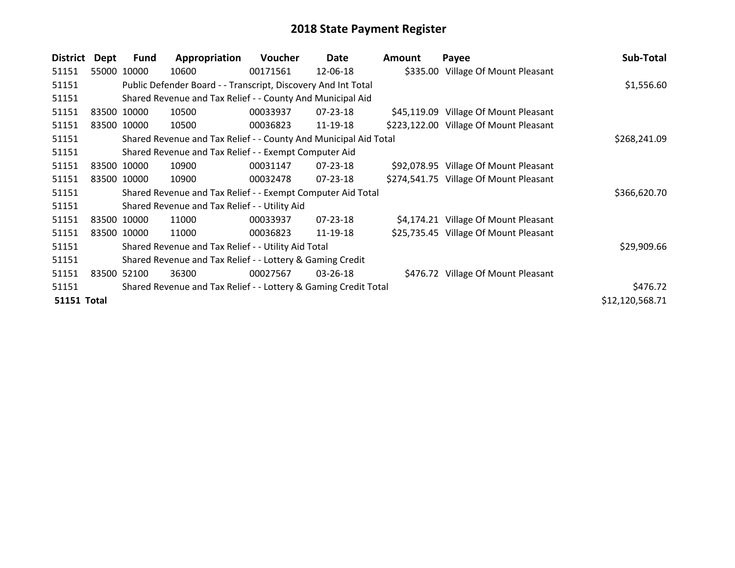| <b>District</b>    | Dept  | <b>Fund</b> | Appropriation                                                    | <b>Voucher</b> | Date           | <b>Amount</b> | Payee                                  | Sub-Total       |
|--------------------|-------|-------------|------------------------------------------------------------------|----------------|----------------|---------------|----------------------------------------|-----------------|
| 51151              |       | 55000 10000 | 10600                                                            | 00171561       | 12-06-18       |               | \$335.00 Village Of Mount Pleasant     |                 |
| 51151              |       |             | Public Defender Board - - Transcript, Discovery And Int Total    |                |                |               |                                        | \$1,556.60      |
| 51151              |       |             | Shared Revenue and Tax Relief - - County And Municipal Aid       |                |                |               |                                        |                 |
| 51151              |       | 83500 10000 | 10500                                                            | 00033937       | $07 - 23 - 18$ |               | \$45,119.09 Village Of Mount Pleasant  |                 |
| 51151              |       | 83500 10000 | 10500                                                            | 00036823       | 11-19-18       |               | \$223,122.00 Village Of Mount Pleasant |                 |
| 51151              |       |             | Shared Revenue and Tax Relief - - County And Municipal Aid Total |                |                |               |                                        | \$268,241.09    |
| 51151              |       |             | Shared Revenue and Tax Relief - - Exempt Computer Aid            |                |                |               |                                        |                 |
| 51151              |       | 83500 10000 | 10900                                                            | 00031147       | 07-23-18       |               | \$92,078.95 Village Of Mount Pleasant  |                 |
| 51151              |       | 83500 10000 | 10900                                                            | 00032478       | 07-23-18       |               | \$274,541.75 Village Of Mount Pleasant |                 |
| 51151              |       |             | Shared Revenue and Tax Relief - - Exempt Computer Aid Total      |                |                |               |                                        | \$366,620.70    |
| 51151              |       |             | Shared Revenue and Tax Relief - - Utility Aid                    |                |                |               |                                        |                 |
| 51151              | 83500 | 10000       | 11000                                                            | 00033937       | 07-23-18       |               | \$4,174.21 Village Of Mount Pleasant   |                 |
| 51151              |       | 83500 10000 | 11000                                                            | 00036823       | 11-19-18       |               | \$25,735.45 Village Of Mount Pleasant  |                 |
| 51151              |       |             | Shared Revenue and Tax Relief - - Utility Aid Total              |                |                |               |                                        | \$29,909.66     |
| 51151              |       |             | Shared Revenue and Tax Relief - - Lottery & Gaming Credit        |                |                |               |                                        |                 |
| 51151              |       | 83500 52100 | 36300                                                            | 00027567       | $03 - 26 - 18$ |               | \$476.72 Village Of Mount Pleasant     |                 |
| 51151              |       |             | Shared Revenue and Tax Relief - - Lottery & Gaming Credit Total  |                |                |               |                                        | \$476.72        |
| <b>51151 Total</b> |       |             |                                                                  |                |                |               |                                        | \$12,120,568.71 |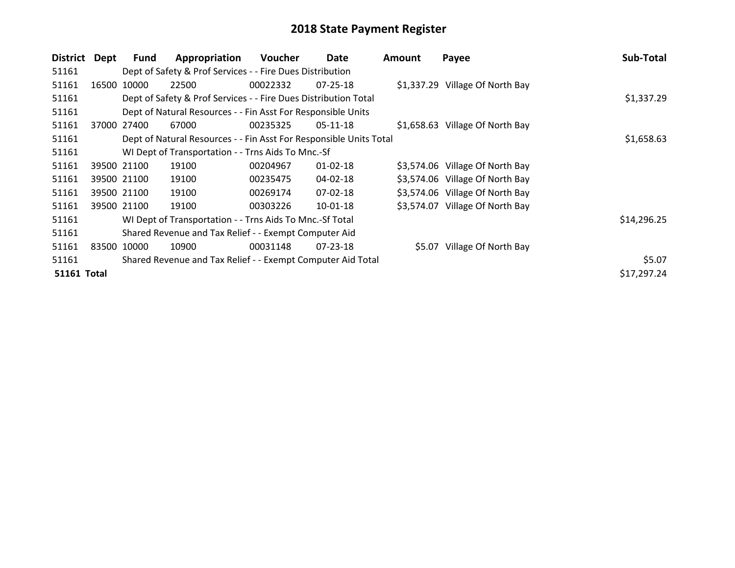| <b>District</b>    | Dept  | Fund        | Appropriation                                                      | Voucher  | Date           | Amount | Payee                           | Sub-Total   |
|--------------------|-------|-------------|--------------------------------------------------------------------|----------|----------------|--------|---------------------------------|-------------|
| 51161              |       |             | Dept of Safety & Prof Services - - Fire Dues Distribution          |          |                |        |                                 |             |
| 51161              |       | 16500 10000 | 22500                                                              | 00022332 | $07 - 25 - 18$ |        | \$1,337.29 Village Of North Bay |             |
| 51161              |       |             | Dept of Safety & Prof Services - - Fire Dues Distribution Total    |          | \$1,337.29     |        |                                 |             |
| 51161              |       |             | Dept of Natural Resources - - Fin Asst For Responsible Units       |          |                |        |                                 |             |
| 51161              | 37000 | 27400       | 67000                                                              | 00235325 | 05-11-18       |        | \$1,658.63 Village Of North Bay |             |
| 51161              |       |             | Dept of Natural Resources - - Fin Asst For Responsible Units Total |          |                |        |                                 | \$1,658.63  |
| 51161              |       |             | WI Dept of Transportation - - Trns Aids To Mnc.-Sf                 |          |                |        |                                 |             |
| 51161              |       | 39500 21100 | 19100                                                              | 00204967 | $01 - 02 - 18$ |        | \$3,574.06 Village Of North Bay |             |
| 51161              |       | 39500 21100 | 19100                                                              | 00235475 | 04-02-18       |        | \$3,574.06 Village Of North Bay |             |
| 51161              |       | 39500 21100 | 19100                                                              | 00269174 | 07-02-18       |        | \$3,574.06 Village Of North Bay |             |
| 51161              |       | 39500 21100 | 19100                                                              | 00303226 | 10-01-18       |        | \$3,574.07 Village Of North Bay |             |
| 51161              |       |             | WI Dept of Transportation - - Trns Aids To Mnc.-Sf Total           |          |                |        |                                 | \$14,296.25 |
| 51161              |       |             | Shared Revenue and Tax Relief - - Exempt Computer Aid              |          |                |        |                                 |             |
| 51161              |       | 83500 10000 | 10900                                                              | 00031148 | $07 - 23 - 18$ |        | \$5.07 Village Of North Bay     |             |
| 51161              |       |             | Shared Revenue and Tax Relief - - Exempt Computer Aid Total        |          |                |        |                                 | \$5.07      |
| <b>51161 Total</b> |       |             |                                                                    |          |                |        |                                 | \$17,297.24 |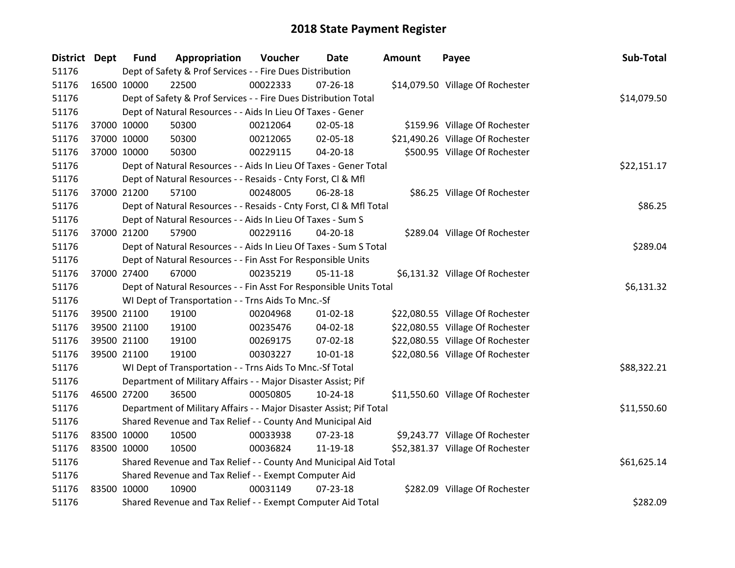| District Dept |             | <b>Fund</b> | Appropriation                                                       | Voucher  | <b>Date</b>    | Amount | Payee                            | Sub-Total   |
|---------------|-------------|-------------|---------------------------------------------------------------------|----------|----------------|--------|----------------------------------|-------------|
| 51176         |             |             | Dept of Safety & Prof Services - - Fire Dues Distribution           |          |                |        |                                  |             |
| 51176         | 16500 10000 |             | 22500                                                               | 00022333 | $07 - 26 - 18$ |        | \$14,079.50 Village Of Rochester |             |
| 51176         |             |             | Dept of Safety & Prof Services - - Fire Dues Distribution Total     |          |                |        |                                  | \$14,079.50 |
| 51176         |             |             | Dept of Natural Resources - - Aids In Lieu Of Taxes - Gener         |          |                |        |                                  |             |
| 51176         |             | 37000 10000 | 50300                                                               | 00212064 | 02-05-18       |        | \$159.96 Village Of Rochester    |             |
| 51176         |             | 37000 10000 | 50300                                                               | 00212065 | 02-05-18       |        | \$21,490.26 Village Of Rochester |             |
| 51176         |             | 37000 10000 | 50300                                                               | 00229115 | 04-20-18       |        | \$500.95 Village Of Rochester    |             |
| 51176         |             |             | Dept of Natural Resources - - Aids In Lieu Of Taxes - Gener Total   |          |                |        |                                  | \$22,151.17 |
| 51176         |             |             | Dept of Natural Resources - - Resaids - Cnty Forst, Cl & Mfl        |          |                |        |                                  |             |
| 51176         |             | 37000 21200 | 57100                                                               | 00248005 | 06-28-18       |        | \$86.25 Village Of Rochester     |             |
| 51176         |             |             | Dept of Natural Resources - - Resaids - Cnty Forst, Cl & Mfl Total  |          |                |        |                                  | \$86.25     |
| 51176         |             |             | Dept of Natural Resources - - Aids In Lieu Of Taxes - Sum S         |          |                |        |                                  |             |
| 51176         |             | 37000 21200 | 57900                                                               | 00229116 | $04 - 20 - 18$ |        | \$289.04 Village Of Rochester    |             |
| 51176         |             |             | Dept of Natural Resources - - Aids In Lieu Of Taxes - Sum S Total   |          |                |        |                                  | \$289.04    |
| 51176         |             |             | Dept of Natural Resources - - Fin Asst For Responsible Units        |          |                |        |                                  |             |
| 51176         | 37000 27400 |             | 67000                                                               | 00235219 | $05-11-18$     |        | \$6,131.32 Village Of Rochester  |             |
| 51176         |             |             | Dept of Natural Resources - - Fin Asst For Responsible Units Total  |          |                |        |                                  | \$6,131.32  |
| 51176         |             |             | WI Dept of Transportation - - Trns Aids To Mnc.-Sf                  |          |                |        |                                  |             |
| 51176         |             | 39500 21100 | 19100                                                               | 00204968 | $01 - 02 - 18$ |        | \$22,080.55 Village Of Rochester |             |
| 51176         |             | 39500 21100 | 19100                                                               | 00235476 | 04-02-18       |        | \$22,080.55 Village Of Rochester |             |
| 51176         |             | 39500 21100 | 19100                                                               | 00269175 | 07-02-18       |        | \$22,080.55 Village Of Rochester |             |
| 51176         | 39500 21100 |             | 19100                                                               | 00303227 | $10 - 01 - 18$ |        | \$22,080.56 Village Of Rochester |             |
| 51176         |             |             | WI Dept of Transportation - - Trns Aids To Mnc.-Sf Total            |          |                |        |                                  | \$88,322.21 |
| 51176         |             |             | Department of Military Affairs - - Major Disaster Assist; Pif       |          |                |        |                                  |             |
| 51176         | 46500 27200 |             | 36500                                                               | 00050805 | $10-24-18$     |        | \$11,550.60 Village Of Rochester |             |
| 51176         |             |             | Department of Military Affairs - - Major Disaster Assist; Pif Total |          |                |        |                                  | \$11,550.60 |
| 51176         |             |             | Shared Revenue and Tax Relief - - County And Municipal Aid          |          |                |        |                                  |             |
| 51176         | 83500 10000 |             | 10500                                                               | 00033938 | 07-23-18       |        | \$9,243.77 Village Of Rochester  |             |
| 51176         | 83500 10000 |             | 10500                                                               | 00036824 | 11-19-18       |        | \$52,381.37 Village Of Rochester |             |
| 51176         |             |             | Shared Revenue and Tax Relief - - County And Municipal Aid Total    |          |                |        |                                  | \$61,625.14 |
| 51176         |             |             | Shared Revenue and Tax Relief - - Exempt Computer Aid               |          |                |        |                                  |             |
| 51176         | 83500 10000 |             | 10900                                                               | 00031149 | $07 - 23 - 18$ |        | \$282.09 Village Of Rochester    |             |
| 51176         |             |             | Shared Revenue and Tax Relief - - Exempt Computer Aid Total         |          |                |        |                                  | \$282.09    |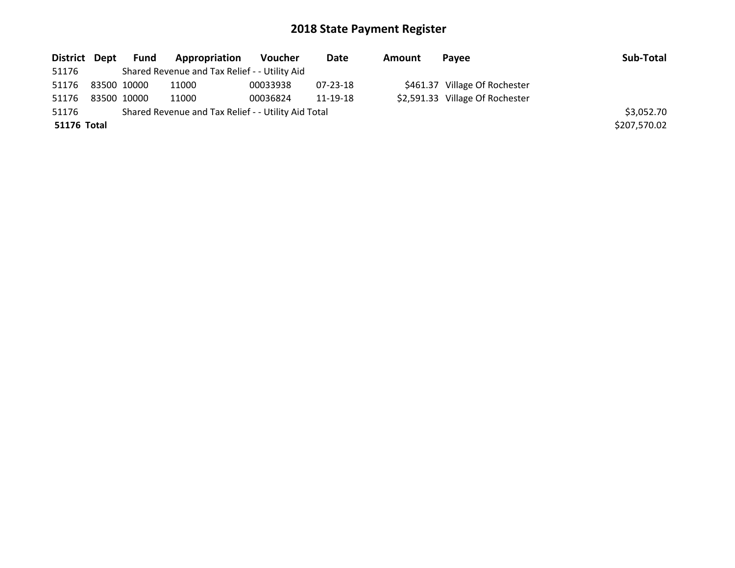| District Dept      | Fund        | <b>Appropriation</b>                                | Voucher  | Date     | Amount | Pavee                           | Sub-Total    |
|--------------------|-------------|-----------------------------------------------------|----------|----------|--------|---------------------------------|--------------|
| 51176              |             | Shared Revenue and Tax Relief - - Utility Aid       |          |          |        |                                 |              |
| 51176              | 83500 10000 | 11000                                               | 00033938 | 07-23-18 |        | \$461.37 Village Of Rochester   |              |
| 51176              | 83500 10000 | 11000                                               | 00036824 | 11-19-18 |        | \$2,591.33 Village Of Rochester |              |
| 51176              |             | Shared Revenue and Tax Relief - - Utility Aid Total |          |          |        |                                 | \$3,052.70   |
| <b>51176 Total</b> |             |                                                     |          |          |        |                                 | \$207,570.02 |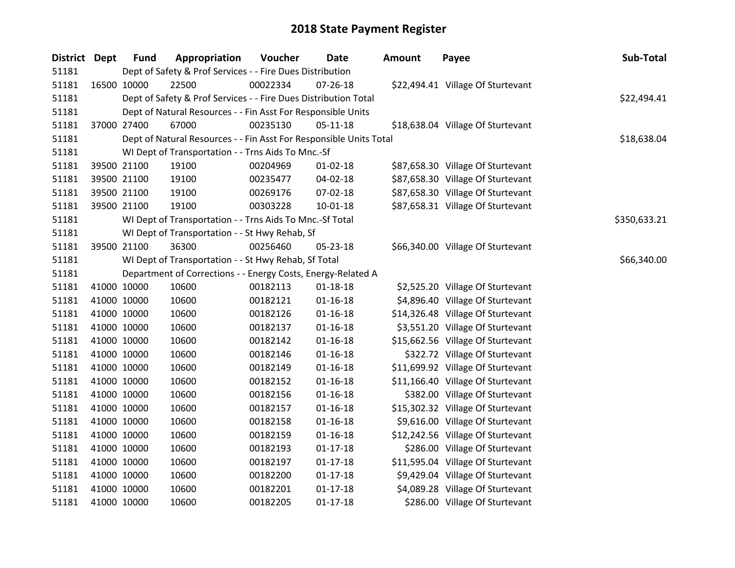| District Dept | <b>Fund</b> | Appropriation                                                      | Voucher  | <b>Date</b>    | <b>Amount</b> | Payee                             | Sub-Total    |
|---------------|-------------|--------------------------------------------------------------------|----------|----------------|---------------|-----------------------------------|--------------|
| 51181         |             | Dept of Safety & Prof Services - - Fire Dues Distribution          |          |                |               |                                   |              |
| 51181         | 16500 10000 | 22500                                                              | 00022334 | 07-26-18       |               | \$22,494.41 Village Of Sturtevant |              |
| 51181         |             | Dept of Safety & Prof Services - - Fire Dues Distribution Total    |          |                |               |                                   | \$22,494.41  |
| 51181         |             | Dept of Natural Resources - - Fin Asst For Responsible Units       |          |                |               |                                   |              |
| 51181         | 37000 27400 | 67000                                                              | 00235130 | $05-11-18$     |               | \$18,638.04 Village Of Sturtevant |              |
| 51181         |             | Dept of Natural Resources - - Fin Asst For Responsible Units Total |          |                |               |                                   | \$18,638.04  |
| 51181         |             | WI Dept of Transportation - - Trns Aids To Mnc.-Sf                 |          |                |               |                                   |              |
| 51181         | 39500 21100 | 19100                                                              | 00204969 | $01 - 02 - 18$ |               | \$87,658.30 Village Of Sturtevant |              |
| 51181         | 39500 21100 | 19100                                                              | 00235477 | 04-02-18       |               | \$87,658.30 Village Of Sturtevant |              |
| 51181         | 39500 21100 | 19100                                                              | 00269176 | 07-02-18       |               | \$87,658.30 Village Of Sturtevant |              |
| 51181         | 39500 21100 | 19100                                                              | 00303228 | $10 - 01 - 18$ |               | \$87,658.31 Village Of Sturtevant |              |
| 51181         |             | WI Dept of Transportation - - Trns Aids To Mnc.-Sf Total           |          |                |               |                                   | \$350,633.21 |
| 51181         |             | WI Dept of Transportation - - St Hwy Rehab, Sf                     |          |                |               |                                   |              |
| 51181         | 39500 21100 | 36300                                                              | 00256460 | 05-23-18       |               | \$66,340.00 Village Of Sturtevant |              |
| 51181         |             | WI Dept of Transportation - - St Hwy Rehab, Sf Total               |          |                |               |                                   | \$66,340.00  |
| 51181         |             | Department of Corrections - - Energy Costs, Energy-Related A       |          |                |               |                                   |              |
| 51181         | 41000 10000 | 10600                                                              | 00182113 | $01 - 18 - 18$ |               | \$2,525.20 Village Of Sturtevant  |              |
| 51181         | 41000 10000 | 10600                                                              | 00182121 | $01 - 16 - 18$ |               | \$4,896.40 Village Of Sturtevant  |              |
| 51181         | 41000 10000 | 10600                                                              | 00182126 | $01 - 16 - 18$ |               | \$14,326.48 Village Of Sturtevant |              |
| 51181         | 41000 10000 | 10600                                                              | 00182137 | $01 - 16 - 18$ |               | \$3,551.20 Village Of Sturtevant  |              |
| 51181         | 41000 10000 | 10600                                                              | 00182142 | $01 - 16 - 18$ |               | \$15,662.56 Village Of Sturtevant |              |
| 51181         | 41000 10000 | 10600                                                              | 00182146 | $01 - 16 - 18$ |               | \$322.72 Village Of Sturtevant    |              |
| 51181         | 41000 10000 | 10600                                                              | 00182149 | $01 - 16 - 18$ |               | \$11,699.92 Village Of Sturtevant |              |
| 51181         | 41000 10000 | 10600                                                              | 00182152 | $01 - 16 - 18$ |               | \$11,166.40 Village Of Sturtevant |              |
| 51181         | 41000 10000 | 10600                                                              | 00182156 | $01 - 16 - 18$ |               | \$382.00 Village Of Sturtevant    |              |
| 51181         | 41000 10000 | 10600                                                              | 00182157 | $01 - 16 - 18$ |               | \$15,302.32 Village Of Sturtevant |              |
| 51181         | 41000 10000 | 10600                                                              | 00182158 | $01 - 16 - 18$ |               | \$9,616.00 Village Of Sturtevant  |              |
| 51181         | 41000 10000 | 10600                                                              | 00182159 | $01 - 16 - 18$ |               | \$12,242.56 Village Of Sturtevant |              |
| 51181         | 41000 10000 | 10600                                                              | 00182193 | $01 - 17 - 18$ |               | \$286.00 Village Of Sturtevant    |              |
| 51181         | 41000 10000 | 10600                                                              | 00182197 | $01 - 17 - 18$ |               | \$11,595.04 Village Of Sturtevant |              |
| 51181         | 41000 10000 | 10600                                                              | 00182200 | $01 - 17 - 18$ |               | \$9,429.04 Village Of Sturtevant  |              |
| 51181         | 41000 10000 | 10600                                                              | 00182201 | $01 - 17 - 18$ |               | \$4,089.28 Village Of Sturtevant  |              |
| 51181         | 41000 10000 | 10600                                                              | 00182205 | $01 - 17 - 18$ |               | \$286.00 Village Of Sturtevant    |              |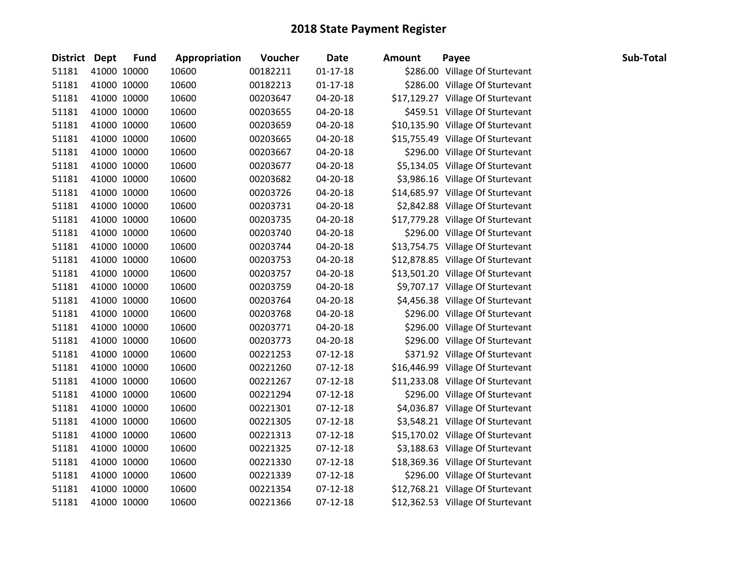| District Dept |             | <b>Fund</b> | Appropriation | Voucher  | <b>Date</b>    | <b>Amount</b> | Payee                             | Sub-Total |
|---------------|-------------|-------------|---------------|----------|----------------|---------------|-----------------------------------|-----------|
| 51181         | 41000 10000 |             | 10600         | 00182211 | $01 - 17 - 18$ |               | \$286.00 Village Of Sturtevant    |           |
| 51181         | 41000 10000 |             | 10600         | 00182213 | $01 - 17 - 18$ |               | \$286.00 Village Of Sturtevant    |           |
| 51181         | 41000 10000 |             | 10600         | 00203647 | 04-20-18       |               | \$17,129.27 Village Of Sturtevant |           |
| 51181         | 41000 10000 |             | 10600         | 00203655 | 04-20-18       |               | \$459.51 Village Of Sturtevant    |           |
| 51181         | 41000 10000 |             | 10600         | 00203659 | 04-20-18       |               | \$10,135.90 Village Of Sturtevant |           |
| 51181         | 41000 10000 |             | 10600         | 00203665 | $04 - 20 - 18$ |               | \$15,755.49 Village Of Sturtevant |           |
| 51181         | 41000 10000 |             | 10600         | 00203667 | 04-20-18       |               | \$296.00 Village Of Sturtevant    |           |
| 51181         | 41000 10000 |             | 10600         | 00203677 | 04-20-18       |               | \$5,134.05 Village Of Sturtevant  |           |
| 51181         | 41000 10000 |             | 10600         | 00203682 | 04-20-18       |               | \$3,986.16 Village Of Sturtevant  |           |
| 51181         | 41000 10000 |             | 10600         | 00203726 | 04-20-18       |               | \$14,685.97 Village Of Sturtevant |           |
| 51181         | 41000 10000 |             | 10600         | 00203731 | 04-20-18       |               | \$2,842.88 Village Of Sturtevant  |           |
| 51181         | 41000 10000 |             | 10600         | 00203735 | 04-20-18       |               | \$17,779.28 Village Of Sturtevant |           |
| 51181         | 41000 10000 |             | 10600         | 00203740 | 04-20-18       |               | \$296.00 Village Of Sturtevant    |           |
| 51181         | 41000 10000 |             | 10600         | 00203744 | 04-20-18       |               | \$13,754.75 Village Of Sturtevant |           |
| 51181         | 41000 10000 |             | 10600         | 00203753 | 04-20-18       |               | \$12,878.85 Village Of Sturtevant |           |
| 51181         | 41000 10000 |             | 10600         | 00203757 | 04-20-18       |               | \$13,501.20 Village Of Sturtevant |           |
| 51181         | 41000 10000 |             | 10600         | 00203759 | 04-20-18       |               | \$9,707.17 Village Of Sturtevant  |           |
| 51181         | 41000 10000 |             | 10600         | 00203764 | 04-20-18       |               | \$4,456.38 Village Of Sturtevant  |           |
| 51181         | 41000 10000 |             | 10600         | 00203768 | 04-20-18       |               | \$296.00 Village Of Sturtevant    |           |
| 51181         | 41000 10000 |             | 10600         | 00203771 | 04-20-18       |               | \$296.00 Village Of Sturtevant    |           |
| 51181         | 41000 10000 |             | 10600         | 00203773 | 04-20-18       |               | \$296.00 Village Of Sturtevant    |           |
| 51181         | 41000 10000 |             | 10600         | 00221253 | $07-12-18$     |               | \$371.92 Village Of Sturtevant    |           |
| 51181         | 41000 10000 |             | 10600         | 00221260 | 07-12-18       |               | \$16,446.99 Village Of Sturtevant |           |
| 51181         | 41000 10000 |             | 10600         | 00221267 | $07-12-18$     |               | \$11,233.08 Village Of Sturtevant |           |
| 51181         | 41000 10000 |             | 10600         | 00221294 | 07-12-18       |               | \$296.00 Village Of Sturtevant    |           |
| 51181         | 41000 10000 |             | 10600         | 00221301 | $07-12-18$     |               | \$4,036.87 Village Of Sturtevant  |           |
| 51181         | 41000 10000 |             | 10600         | 00221305 | $07 - 12 - 18$ |               | \$3,548.21 Village Of Sturtevant  |           |
| 51181         | 41000 10000 |             | 10600         | 00221313 | $07-12-18$     |               | \$15,170.02 Village Of Sturtevant |           |
| 51181         | 41000 10000 |             | 10600         | 00221325 | $07 - 12 - 18$ |               | \$3,188.63 Village Of Sturtevant  |           |
| 51181         | 41000 10000 |             | 10600         | 00221330 | 07-12-18       |               | \$18,369.36 Village Of Sturtevant |           |
| 51181         | 41000 10000 |             | 10600         | 00221339 | $07 - 12 - 18$ |               | \$296.00 Village Of Sturtevant    |           |
| 51181         | 41000 10000 |             | 10600         | 00221354 | $07 - 12 - 18$ |               | \$12,768.21 Village Of Sturtevant |           |
| 51181         | 41000 10000 |             | 10600         | 00221366 | $07-12-18$     |               | \$12,362.53 Village Of Sturtevant |           |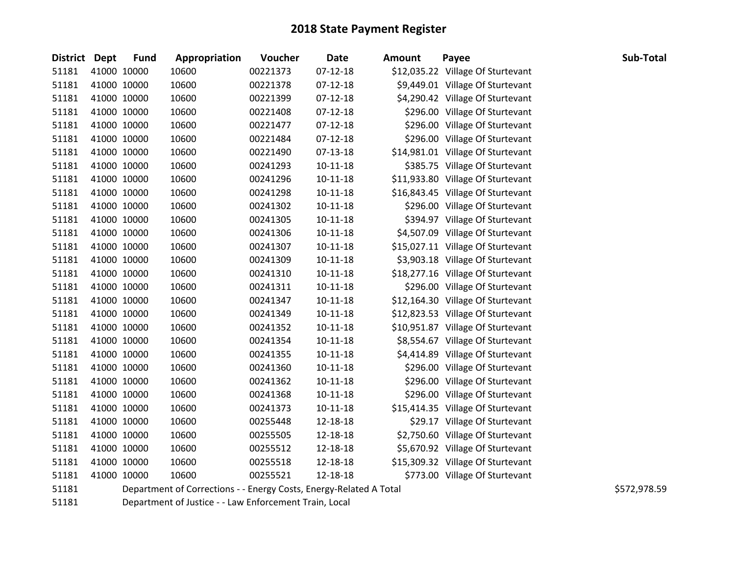| District Dept | <b>Fund</b> | Appropriation                                                      | Voucher  | <b>Date</b>    | <b>Amount</b> | Payee                             | Sub-Total    |
|---------------|-------------|--------------------------------------------------------------------|----------|----------------|---------------|-----------------------------------|--------------|
| 51181         | 41000 10000 | 10600                                                              | 00221373 | $07 - 12 - 18$ |               | \$12,035.22 Village Of Sturtevant |              |
| 51181         | 41000 10000 | 10600                                                              | 00221378 | $07 - 12 - 18$ |               | \$9,449.01 Village Of Sturtevant  |              |
| 51181         | 41000 10000 | 10600                                                              | 00221399 | $07-12-18$     |               | \$4,290.42 Village Of Sturtevant  |              |
| 51181         | 41000 10000 | 10600                                                              | 00221408 | $07-12-18$     |               | \$296.00 Village Of Sturtevant    |              |
| 51181         | 41000 10000 | 10600                                                              | 00221477 | $07-12-18$     |               | \$296.00 Village Of Sturtevant    |              |
| 51181         | 41000 10000 | 10600                                                              | 00221484 | $07-12-18$     |               | \$296.00 Village Of Sturtevant    |              |
| 51181         | 41000 10000 | 10600                                                              | 00221490 | 07-13-18       |               | \$14,981.01 Village Of Sturtevant |              |
| 51181         | 41000 10000 | 10600                                                              | 00241293 | $10-11-18$     |               | \$385.75 Village Of Sturtevant    |              |
| 51181         | 41000 10000 | 10600                                                              | 00241296 | $10 - 11 - 18$ |               | \$11,933.80 Village Of Sturtevant |              |
| 51181         | 41000 10000 | 10600                                                              | 00241298 | 10-11-18       |               | \$16,843.45 Village Of Sturtevant |              |
| 51181         | 41000 10000 | 10600                                                              | 00241302 | 10-11-18       |               | \$296.00 Village Of Sturtevant    |              |
| 51181         | 41000 10000 | 10600                                                              | 00241305 | $10-11-18$     |               | \$394.97 Village Of Sturtevant    |              |
| 51181         | 41000 10000 | 10600                                                              | 00241306 | $10 - 11 - 18$ |               | \$4,507.09 Village Of Sturtevant  |              |
| 51181         | 41000 10000 | 10600                                                              | 00241307 | $10 - 11 - 18$ |               | \$15,027.11 Village Of Sturtevant |              |
| 51181         | 41000 10000 | 10600                                                              | 00241309 | $10 - 11 - 18$ |               | \$3,903.18 Village Of Sturtevant  |              |
| 51181         | 41000 10000 | 10600                                                              | 00241310 | $10-11-18$     |               | \$18,277.16 Village Of Sturtevant |              |
| 51181         | 41000 10000 | 10600                                                              | 00241311 | $10 - 11 - 18$ |               | \$296.00 Village Of Sturtevant    |              |
| 51181         | 41000 10000 | 10600                                                              | 00241347 | $10 - 11 - 18$ |               | \$12,164.30 Village Of Sturtevant |              |
| 51181         | 41000 10000 | 10600                                                              | 00241349 | $10 - 11 - 18$ |               | \$12,823.53 Village Of Sturtevant |              |
| 51181         | 41000 10000 | 10600                                                              | 00241352 | $10-11-18$     |               | \$10,951.87 Village Of Sturtevant |              |
| 51181         | 41000 10000 | 10600                                                              | 00241354 | $10 - 11 - 18$ |               | \$8,554.67 Village Of Sturtevant  |              |
| 51181         | 41000 10000 | 10600                                                              | 00241355 | $10 - 11 - 18$ |               | \$4,414.89 Village Of Sturtevant  |              |
| 51181         | 41000 10000 | 10600                                                              | 00241360 | $10-11-18$     |               | \$296.00 Village Of Sturtevant    |              |
| 51181         | 41000 10000 | 10600                                                              | 00241362 | $10-11-18$     |               | \$296.00 Village Of Sturtevant    |              |
| 51181         | 41000 10000 | 10600                                                              | 00241368 | $10 - 11 - 18$ |               | \$296.00 Village Of Sturtevant    |              |
| 51181         | 41000 10000 | 10600                                                              | 00241373 | $10-11-18$     |               | \$15,414.35 Village Of Sturtevant |              |
| 51181         | 41000 10000 | 10600                                                              | 00255448 | 12-18-18       |               | \$29.17 Village Of Sturtevant     |              |
| 51181         | 41000 10000 | 10600                                                              | 00255505 | 12-18-18       |               | \$2,750.60 Village Of Sturtevant  |              |
| 51181         | 41000 10000 | 10600                                                              | 00255512 | 12-18-18       |               | \$5,670.92 Village Of Sturtevant  |              |
| 51181         | 41000 10000 | 10600                                                              | 00255518 | 12-18-18       |               | \$15,309.32 Village Of Sturtevant |              |
| 51181         | 41000 10000 | 10600                                                              | 00255521 | 12-18-18       |               | \$773.00 Village Of Sturtevant    |              |
| 51181         |             | Department of Corrections - - Energy Costs, Energy-Related A Total |          |                |               |                                   | \$572,978.59 |

Department of Justice - - Law Enforcement Train, Local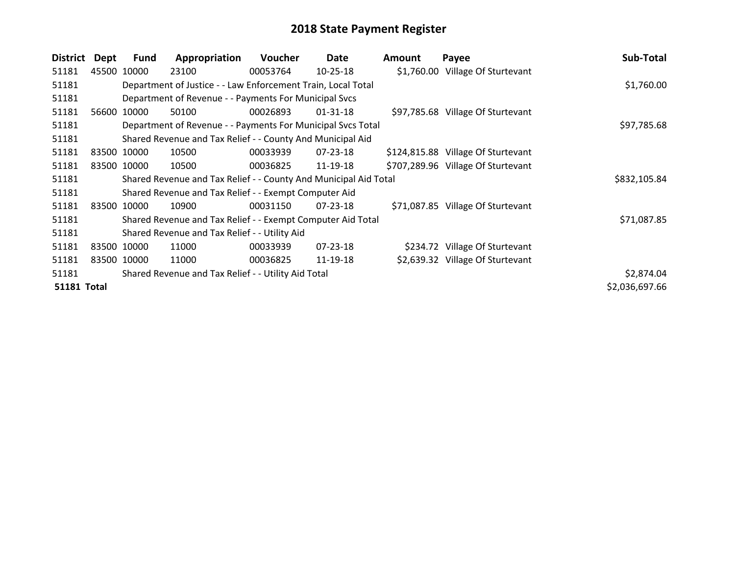| <b>District</b>    | Dept        | <b>Fund</b> | Appropriation                                                    | <b>Voucher</b> | Date           | <b>Amount</b> | Payee                              | Sub-Total      |
|--------------------|-------------|-------------|------------------------------------------------------------------|----------------|----------------|---------------|------------------------------------|----------------|
| 51181              | 45500 10000 |             | 23100                                                            | 00053764       | 10-25-18       |               | \$1,760.00 Village Of Sturtevant   |                |
| 51181              |             |             | Department of Justice - - Law Enforcement Train, Local Total     |                |                |               |                                    | \$1,760.00     |
| 51181              |             |             | Department of Revenue - - Payments For Municipal Svcs            |                |                |               |                                    |                |
| 51181              |             | 56600 10000 | 50100                                                            | 00026893       | $01 - 31 - 18$ |               | \$97,785.68 Village Of Sturtevant  |                |
| 51181              |             |             | Department of Revenue - - Payments For Municipal Svcs Total      |                |                |               |                                    | \$97,785.68    |
| 51181              |             |             | Shared Revenue and Tax Relief - - County And Municipal Aid       |                |                |               |                                    |                |
| 51181              |             | 83500 10000 | 10500                                                            | 00033939       | $07 - 23 - 18$ |               | \$124,815.88 Village Of Sturtevant |                |
| 51181              |             | 83500 10000 | 10500                                                            | 00036825       | 11-19-18       |               | \$707,289.96 Village Of Sturtevant |                |
| 51181              |             |             | Shared Revenue and Tax Relief - - County And Municipal Aid Total |                |                |               |                                    | \$832,105.84   |
| 51181              |             |             | Shared Revenue and Tax Relief - - Exempt Computer Aid            |                |                |               |                                    |                |
| 51181              |             | 83500 10000 | 10900                                                            | 00031150       | $07 - 23 - 18$ |               | \$71,087.85 Village Of Sturtevant  |                |
| 51181              |             |             | Shared Revenue and Tax Relief - - Exempt Computer Aid Total      |                |                |               |                                    | \$71,087.85    |
| 51181              |             |             | Shared Revenue and Tax Relief - - Utility Aid                    |                |                |               |                                    |                |
| 51181              |             | 83500 10000 | 11000                                                            | 00033939       | 07-23-18       |               | \$234.72 Village Of Sturtevant     |                |
| 51181              |             | 83500 10000 | 11000                                                            | 00036825       | 11-19-18       |               | \$2,639.32 Village Of Sturtevant   |                |
| 51181              |             |             | Shared Revenue and Tax Relief - - Utility Aid Total              |                |                |               |                                    | \$2,874.04     |
| <b>51181 Total</b> |             |             |                                                                  |                |                |               |                                    | \$2,036,697.66 |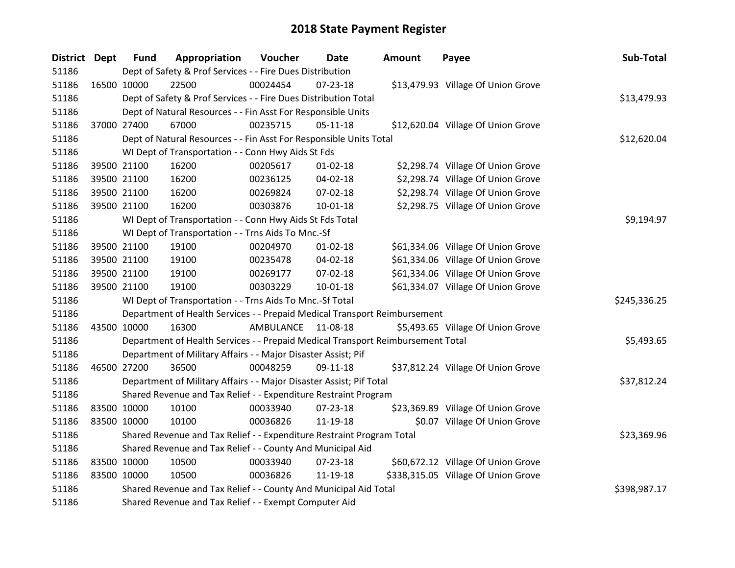| District Dept |             | <b>Fund</b> | Appropriation                                                                   | Voucher            | <b>Date</b>    | <b>Amount</b> | Payee                               | Sub-Total    |
|---------------|-------------|-------------|---------------------------------------------------------------------------------|--------------------|----------------|---------------|-------------------------------------|--------------|
| 51186         |             |             | Dept of Safety & Prof Services - - Fire Dues Distribution                       |                    |                |               |                                     |              |
| 51186         | 16500 10000 |             | 22500                                                                           | 00024454           | 07-23-18       |               | \$13,479.93 Village Of Union Grove  |              |
| 51186         |             |             | Dept of Safety & Prof Services - - Fire Dues Distribution Total                 |                    |                |               |                                     | \$13,479.93  |
| 51186         |             |             | Dept of Natural Resources - - Fin Asst For Responsible Units                    |                    |                |               |                                     |              |
| 51186         |             | 37000 27400 | 67000                                                                           | 00235715           | $05-11-18$     |               | \$12,620.04 Village Of Union Grove  |              |
| 51186         |             |             | Dept of Natural Resources - - Fin Asst For Responsible Units Total              |                    | \$12,620.04    |               |                                     |              |
| 51186         |             |             | WI Dept of Transportation - - Conn Hwy Aids St Fds                              |                    |                |               |                                     |              |
| 51186         |             | 39500 21100 | 16200                                                                           | 00205617           | $01 - 02 - 18$ |               | \$2,298.74 Village Of Union Grove   |              |
| 51186         |             | 39500 21100 | 16200                                                                           | 00236125           | 04-02-18       |               | \$2,298.74 Village Of Union Grove   |              |
| 51186         |             | 39500 21100 | 16200                                                                           | 00269824           | 07-02-18       |               | \$2,298.74 Village Of Union Grove   |              |
| 51186         |             | 39500 21100 | 16200                                                                           | 00303876           | $10 - 01 - 18$ |               | \$2,298.75 Village Of Union Grove   |              |
| 51186         |             |             | WI Dept of Transportation - - Conn Hwy Aids St Fds Total                        |                    |                |               |                                     | \$9,194.97   |
| 51186         |             |             | WI Dept of Transportation - - Trns Aids To Mnc.-Sf                              |                    |                |               |                                     |              |
| 51186         |             | 39500 21100 | 19100                                                                           | 00204970           | $01 - 02 - 18$ |               | \$61,334.06 Village Of Union Grove  |              |
| 51186         |             | 39500 21100 | 19100                                                                           | 00235478           | 04-02-18       |               | \$61,334.06 Village Of Union Grove  |              |
| 51186         |             | 39500 21100 | 19100                                                                           | 00269177           | 07-02-18       |               | \$61,334.06 Village Of Union Grove  |              |
| 51186         |             | 39500 21100 | 19100                                                                           | 00303229           | $10 - 01 - 18$ |               | \$61,334.07 Village Of Union Grove  |              |
| 51186         |             |             | WI Dept of Transportation - - Trns Aids To Mnc.-Sf Total                        |                    |                |               |                                     | \$245,336.25 |
| 51186         |             |             | Department of Health Services - - Prepaid Medical Transport Reimbursement       |                    |                |               |                                     |              |
| 51186         | 43500 10000 |             | 16300                                                                           | AMBULANCE 11-08-18 |                |               | \$5,493.65 Village Of Union Grove   |              |
| 51186         |             |             | Department of Health Services - - Prepaid Medical Transport Reimbursement Total |                    |                |               |                                     | \$5,493.65   |
| 51186         |             |             | Department of Military Affairs - - Major Disaster Assist; Pif                   |                    |                |               |                                     |              |
| 51186         |             | 46500 27200 | 36500                                                                           | 00048259           | 09-11-18       |               | \$37,812.24 Village Of Union Grove  |              |
| 51186         |             |             | Department of Military Affairs - - Major Disaster Assist; Pif Total             |                    |                |               |                                     | \$37,812.24  |
| 51186         |             |             | Shared Revenue and Tax Relief - - Expenditure Restraint Program                 |                    |                |               |                                     |              |
| 51186         |             | 83500 10000 | 10100                                                                           | 00033940           | 07-23-18       |               | \$23,369.89 Village Of Union Grove  |              |
| 51186         |             | 83500 10000 | 10100                                                                           | 00036826           | 11-19-18       |               | \$0.07 Village Of Union Grove       |              |
| 51186         |             |             | Shared Revenue and Tax Relief - - Expenditure Restraint Program Total           |                    |                |               |                                     | \$23,369.96  |
| 51186         |             |             | Shared Revenue and Tax Relief - - County And Municipal Aid                      |                    |                |               |                                     |              |
| 51186         | 83500 10000 |             | 10500                                                                           | 00033940           | $07 - 23 - 18$ |               | \$60,672.12 Village Of Union Grove  |              |
| 51186         |             | 83500 10000 | 10500                                                                           | 00036826           | 11-19-18       |               | \$338,315.05 Village Of Union Grove |              |
| 51186         |             |             | Shared Revenue and Tax Relief - - County And Municipal Aid Total                |                    |                |               |                                     | \$398,987.17 |
| 51186         |             |             | Shared Revenue and Tax Relief - - Exempt Computer Aid                           |                    |                |               |                                     |              |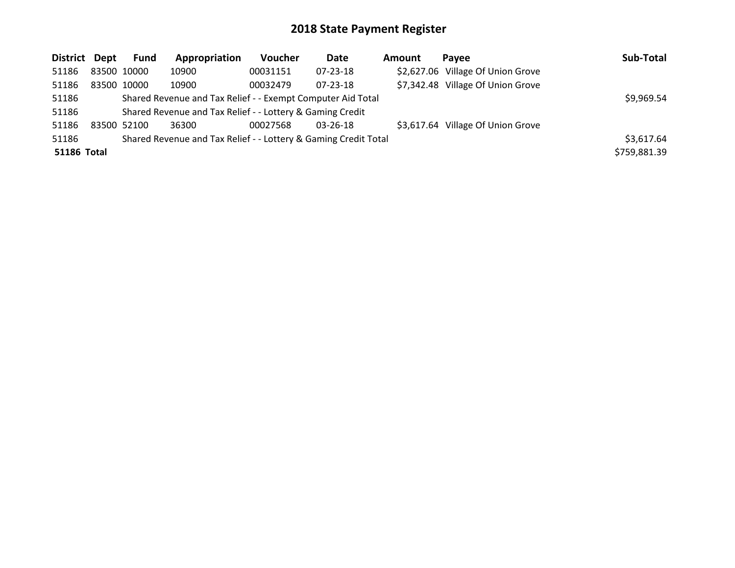| District Dept      | <b>Fund</b> | Appropriation                                                   | <b>Voucher</b> | Date           | <b>Amount</b> | Pavee                             | Sub-Total    |
|--------------------|-------------|-----------------------------------------------------------------|----------------|----------------|---------------|-----------------------------------|--------------|
| 51186              | 83500 10000 | 10900                                                           | 00031151       | 07-23-18       |               | \$2,627.06 Village Of Union Grove |              |
| 51186              | 83500 10000 | 10900                                                           | 00032479       | $07 - 23 - 18$ |               | \$7,342.48 Village Of Union Grove |              |
| 51186              |             | Shared Revenue and Tax Relief - - Exempt Computer Aid Total     |                |                |               |                                   | \$9,969.54   |
| 51186              |             | Shared Revenue and Tax Relief - - Lottery & Gaming Credit       |                |                |               |                                   |              |
| 51186              | 83500 52100 | 36300                                                           | 00027568       | $03 - 26 - 18$ |               | \$3,617.64 Village Of Union Grove |              |
| 51186              |             | Shared Revenue and Tax Relief - - Lottery & Gaming Credit Total |                |                |               |                                   | \$3,617.64   |
| <b>51186 Total</b> |             |                                                                 |                |                |               |                                   | \$759,881.39 |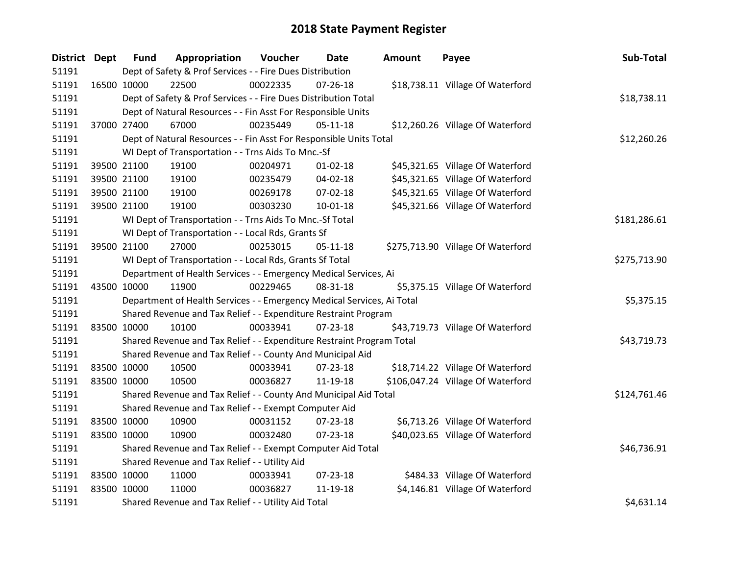| District Dept |             | <b>Fund</b> | Appropriation                                                          | Voucher  | <b>Date</b>    | <b>Amount</b> | Payee                             | Sub-Total    |
|---------------|-------------|-------------|------------------------------------------------------------------------|----------|----------------|---------------|-----------------------------------|--------------|
| 51191         |             |             | Dept of Safety & Prof Services - - Fire Dues Distribution              |          |                |               |                                   |              |
| 51191         | 16500 10000 |             | 22500                                                                  | 00022335 | 07-26-18       |               | \$18,738.11 Village Of Waterford  |              |
| 51191         |             |             | Dept of Safety & Prof Services - - Fire Dues Distribution Total        |          | \$18,738.11    |               |                                   |              |
| 51191         |             |             | Dept of Natural Resources - - Fin Asst For Responsible Units           |          |                |               |                                   |              |
| 51191         | 37000 27400 |             | 67000                                                                  | 00235449 | $05-11-18$     |               | \$12,260.26 Village Of Waterford  |              |
| 51191         |             |             | Dept of Natural Resources - - Fin Asst For Responsible Units Total     |          |                |               |                                   | \$12,260.26  |
| 51191         |             |             | WI Dept of Transportation - - Trns Aids To Mnc.-Sf                     |          |                |               |                                   |              |
| 51191         | 39500 21100 |             | 19100                                                                  | 00204971 | $01 - 02 - 18$ |               | \$45,321.65 Village Of Waterford  |              |
| 51191         |             | 39500 21100 | 19100                                                                  | 00235479 | 04-02-18       |               | \$45,321.65 Village Of Waterford  |              |
| 51191         |             | 39500 21100 | 19100                                                                  | 00269178 | 07-02-18       |               | \$45,321.65 Village Of Waterford  |              |
| 51191         |             | 39500 21100 | 19100                                                                  | 00303230 | $10 - 01 - 18$ |               | \$45,321.66 Village Of Waterford  |              |
| 51191         |             |             | WI Dept of Transportation - - Trns Aids To Mnc.-Sf Total               |          |                |               |                                   | \$181,286.61 |
| 51191         |             |             | WI Dept of Transportation - - Local Rds, Grants Sf                     |          |                |               |                                   |              |
| 51191         | 39500 21100 |             | 27000                                                                  | 00253015 | $05 - 11 - 18$ |               | \$275,713.90 Village Of Waterford |              |
| 51191         |             |             | WI Dept of Transportation - - Local Rds, Grants Sf Total               |          |                |               |                                   | \$275,713.90 |
| 51191         |             |             | Department of Health Services - - Emergency Medical Services, Ai       |          |                |               |                                   |              |
| 51191         | 43500 10000 |             | 11900                                                                  | 00229465 | 08-31-18       |               | \$5,375.15 Village Of Waterford   |              |
| 51191         |             |             | Department of Health Services - - Emergency Medical Services, Ai Total |          |                |               |                                   | \$5,375.15   |
| 51191         |             |             | Shared Revenue and Tax Relief - - Expenditure Restraint Program        |          |                |               |                                   |              |
| 51191         | 83500 10000 |             | 10100                                                                  | 00033941 | $07 - 23 - 18$ |               | \$43,719.73 Village Of Waterford  |              |
| 51191         |             |             | Shared Revenue and Tax Relief - - Expenditure Restraint Program Total  |          |                |               |                                   | \$43,719.73  |
| 51191         |             |             | Shared Revenue and Tax Relief - - County And Municipal Aid             |          |                |               |                                   |              |
| 51191         | 83500 10000 |             | 10500                                                                  | 00033941 | 07-23-18       |               | \$18,714.22 Village Of Waterford  |              |
| 51191         | 83500 10000 |             | 10500                                                                  | 00036827 | 11-19-18       |               | \$106,047.24 Village Of Waterford |              |
| 51191         |             |             | Shared Revenue and Tax Relief - - County And Municipal Aid Total       |          |                |               |                                   | \$124,761.46 |
| 51191         |             |             | Shared Revenue and Tax Relief - - Exempt Computer Aid                  |          |                |               |                                   |              |
| 51191         | 83500 10000 |             | 10900                                                                  | 00031152 | 07-23-18       |               | \$6,713.26 Village Of Waterford   |              |
| 51191         | 83500 10000 |             | 10900                                                                  | 00032480 | $07 - 23 - 18$ |               | \$40,023.65 Village Of Waterford  |              |
| 51191         |             |             | Shared Revenue and Tax Relief - - Exempt Computer Aid Total            |          |                |               |                                   | \$46,736.91  |
| 51191         |             |             | Shared Revenue and Tax Relief - - Utility Aid                          |          |                |               |                                   |              |
| 51191         | 83500 10000 |             | 11000                                                                  | 00033941 | 07-23-18       |               | \$484.33 Village Of Waterford     |              |
| 51191         | 83500 10000 |             | 11000                                                                  | 00036827 | 11-19-18       |               | \$4,146.81 Village Of Waterford   |              |
| 51191         |             |             | Shared Revenue and Tax Relief - - Utility Aid Total                    |          |                |               |                                   | \$4,631.14   |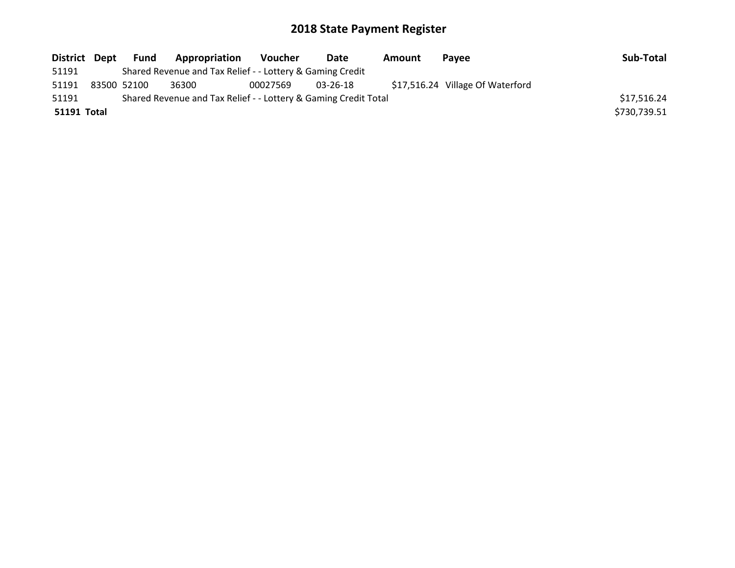| District Dept      |             | Fund | Appropriation                                                   | <b>Voucher</b> | Date     | Amount | Pavee                            | Sub-Total    |
|--------------------|-------------|------|-----------------------------------------------------------------|----------------|----------|--------|----------------------------------|--------------|
| 51191              |             |      | Shared Revenue and Tax Relief - - Lottery & Gaming Credit       |                |          |        |                                  |              |
| 51191              | 83500 52100 |      | 36300                                                           | 00027569       | 03-26-18 |        | \$17,516.24 Village Of Waterford |              |
| 51191              |             |      | Shared Revenue and Tax Relief - - Lottery & Gaming Credit Total |                |          |        |                                  | \$17,516.24  |
| <b>51191 Total</b> |             |      |                                                                 |                |          |        |                                  | \$730,739.51 |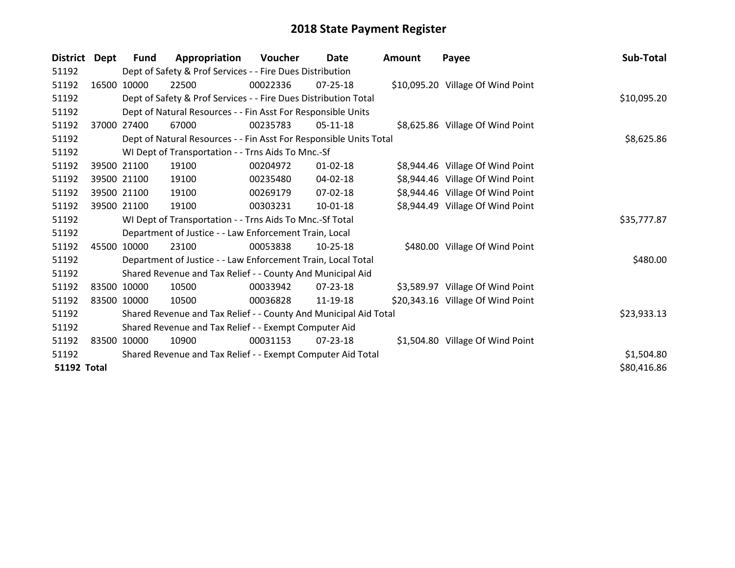| <b>District</b>    | Dept | Fund        | Appropriation                                                      | Voucher     | <b>Date</b>    | <b>Amount</b> | Payee                             | Sub-Total   |
|--------------------|------|-------------|--------------------------------------------------------------------|-------------|----------------|---------------|-----------------------------------|-------------|
| 51192              |      |             | Dept of Safety & Prof Services - - Fire Dues Distribution          |             |                |               |                                   |             |
| 51192              |      | 16500 10000 | 22500                                                              | 00022336    | $07 - 25 - 18$ |               | \$10,095.20 Village Of Wind Point |             |
| 51192              |      |             | Dept of Safety & Prof Services - - Fire Dues Distribution Total    | \$10,095.20 |                |               |                                   |             |
| 51192              |      |             | Dept of Natural Resources - - Fin Asst For Responsible Units       |             |                |               |                                   |             |
| 51192              |      | 37000 27400 | 67000                                                              | 00235783    | $05-11-18$     |               | \$8,625.86 Village Of Wind Point  |             |
| 51192              |      |             | Dept of Natural Resources - - Fin Asst For Responsible Units Total |             |                |               |                                   | \$8,625.86  |
| 51192              |      |             | WI Dept of Transportation - - Trns Aids To Mnc.-Sf                 |             |                |               |                                   |             |
| 51192              |      | 39500 21100 | 19100                                                              | 00204972    | $01 - 02 - 18$ |               | \$8,944.46 Village Of Wind Point  |             |
| 51192              |      | 39500 21100 | 19100                                                              | 00235480    | $04 - 02 - 18$ |               | \$8,944.46 Village Of Wind Point  |             |
| 51192              |      | 39500 21100 | 19100                                                              | 00269179    | $07 - 02 - 18$ |               | \$8,944.46 Village Of Wind Point  |             |
| 51192              |      | 39500 21100 | 19100                                                              | 00303231    | 10-01-18       |               | \$8,944.49 Village Of Wind Point  |             |
| 51192              |      |             | WI Dept of Transportation - - Trns Aids To Mnc.-Sf Total           |             |                |               |                                   | \$35,777.87 |
| 51192              |      |             | Department of Justice - - Law Enforcement Train, Local             |             |                |               |                                   |             |
| 51192              |      | 45500 10000 | 23100                                                              | 00053838    | 10-25-18       |               | \$480.00 Village Of Wind Point    |             |
| 51192              |      |             | Department of Justice - - Law Enforcement Train, Local Total       |             |                |               |                                   | \$480.00    |
| 51192              |      |             | Shared Revenue and Tax Relief - - County And Municipal Aid         |             |                |               |                                   |             |
| 51192              |      | 83500 10000 | 10500                                                              | 00033942    | 07-23-18       |               | \$3,589.97 Village Of Wind Point  |             |
| 51192              |      | 83500 10000 | 10500                                                              | 00036828    | 11-19-18       |               | \$20,343.16 Village Of Wind Point |             |
| 51192              |      |             | Shared Revenue and Tax Relief - - County And Municipal Aid Total   |             |                |               |                                   | \$23,933.13 |
| 51192              |      |             | Shared Revenue and Tax Relief - - Exempt Computer Aid              |             |                |               |                                   |             |
| 51192              |      | 83500 10000 | 10900                                                              | 00031153    | $07 - 23 - 18$ |               | \$1,504.80 Village Of Wind Point  |             |
| 51192              |      |             | Shared Revenue and Tax Relief - - Exempt Computer Aid Total        |             |                |               |                                   | \$1,504.80  |
| <b>51192 Total</b> |      |             |                                                                    |             |                |               |                                   | \$80,416.86 |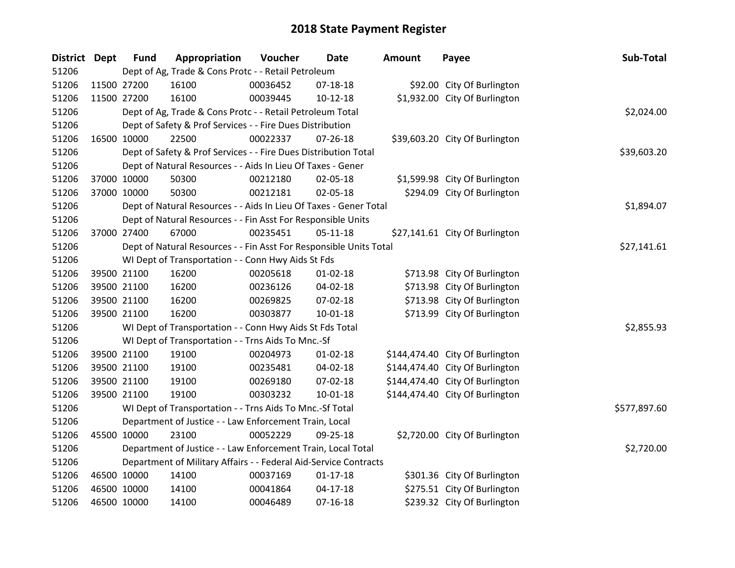| District Dept |             | <b>Fund</b> | Appropriation                                                      | Voucher  | <b>Date</b>    | <b>Amount</b> | Payee                           | Sub-Total    |
|---------------|-------------|-------------|--------------------------------------------------------------------|----------|----------------|---------------|---------------------------------|--------------|
| 51206         |             |             | Dept of Ag, Trade & Cons Protc - - Retail Petroleum                |          |                |               |                                 |              |
| 51206         | 11500 27200 |             | 16100                                                              | 00036452 | 07-18-18       |               | \$92.00 City Of Burlington      |              |
| 51206         | 11500 27200 |             | 16100                                                              | 00039445 | 10-12-18       |               | \$1,932.00 City Of Burlington   |              |
| 51206         |             |             | Dept of Ag, Trade & Cons Protc - - Retail Petroleum Total          |          |                |               |                                 | \$2,024.00   |
| 51206         |             |             | Dept of Safety & Prof Services - - Fire Dues Distribution          |          |                |               |                                 |              |
| 51206         | 16500 10000 |             | 22500                                                              | 00022337 | 07-26-18       |               | \$39,603.20 City Of Burlington  |              |
| 51206         |             |             | Dept of Safety & Prof Services - - Fire Dues Distribution Total    |          |                |               |                                 | \$39,603.20  |
| 51206         |             |             | Dept of Natural Resources - - Aids In Lieu Of Taxes - Gener        |          |                |               |                                 |              |
| 51206         | 37000 10000 |             | 50300                                                              | 00212180 | 02-05-18       |               | \$1,599.98 City Of Burlington   |              |
| 51206         | 37000 10000 |             | 50300                                                              | 00212181 | 02-05-18       |               | \$294.09 City Of Burlington     |              |
| 51206         |             |             | Dept of Natural Resources - - Aids In Lieu Of Taxes - Gener Total  |          |                |               |                                 | \$1,894.07   |
| 51206         |             |             | Dept of Natural Resources - - Fin Asst For Responsible Units       |          |                |               |                                 |              |
| 51206         | 37000 27400 |             | 67000                                                              | 00235451 | $05 - 11 - 18$ |               | \$27,141.61 City Of Burlington  |              |
| 51206         |             |             | Dept of Natural Resources - - Fin Asst For Responsible Units Total |          |                |               |                                 | \$27,141.61  |
| 51206         |             |             | WI Dept of Transportation - - Conn Hwy Aids St Fds                 |          |                |               |                                 |              |
| 51206         | 39500 21100 |             | 16200                                                              | 00205618 | $01 - 02 - 18$ |               | \$713.98 City Of Burlington     |              |
| 51206         | 39500 21100 |             | 16200                                                              | 00236126 | 04-02-18       |               | \$713.98 City Of Burlington     |              |
| 51206         | 39500 21100 |             | 16200                                                              | 00269825 | 07-02-18       |               | \$713.98 City Of Burlington     |              |
| 51206         | 39500 21100 |             | 16200                                                              | 00303877 | $10 - 01 - 18$ |               | \$713.99 City Of Burlington     |              |
| 51206         |             |             | WI Dept of Transportation - - Conn Hwy Aids St Fds Total           |          |                |               |                                 | \$2,855.93   |
| 51206         |             |             | WI Dept of Transportation - - Trns Aids To Mnc.-Sf                 |          |                |               |                                 |              |
| 51206         | 39500 21100 |             | 19100                                                              | 00204973 | $01 - 02 - 18$ |               | \$144,474.40 City Of Burlington |              |
| 51206         | 39500 21100 |             | 19100                                                              | 00235481 | 04-02-18       |               | \$144,474.40 City Of Burlington |              |
| 51206         | 39500 21100 |             | 19100                                                              | 00269180 | 07-02-18       |               | \$144,474.40 City Of Burlington |              |
| 51206         | 39500 21100 |             | 19100                                                              | 00303232 | $10-01-18$     |               | \$144,474.40 City Of Burlington |              |
| 51206         |             |             | WI Dept of Transportation - - Trns Aids To Mnc.-Sf Total           |          |                |               |                                 | \$577,897.60 |
| 51206         |             |             | Department of Justice - - Law Enforcement Train, Local             |          |                |               |                                 |              |
| 51206         | 45500 10000 |             | 23100                                                              | 00052229 | 09-25-18       |               | \$2,720.00 City Of Burlington   |              |
| 51206         |             |             | Department of Justice - - Law Enforcement Train, Local Total       |          |                |               |                                 | \$2,720.00   |
| 51206         |             |             | Department of Military Affairs - - Federal Aid-Service Contracts   |          |                |               |                                 |              |
| 51206         | 46500 10000 |             | 14100                                                              | 00037169 | $01 - 17 - 18$ |               | \$301.36 City Of Burlington     |              |
| 51206         | 46500 10000 |             | 14100                                                              | 00041864 | $04 - 17 - 18$ |               | \$275.51 City Of Burlington     |              |
| 51206         | 46500 10000 |             | 14100                                                              | 00046489 | $07 - 16 - 18$ |               | \$239.32 City Of Burlington     |              |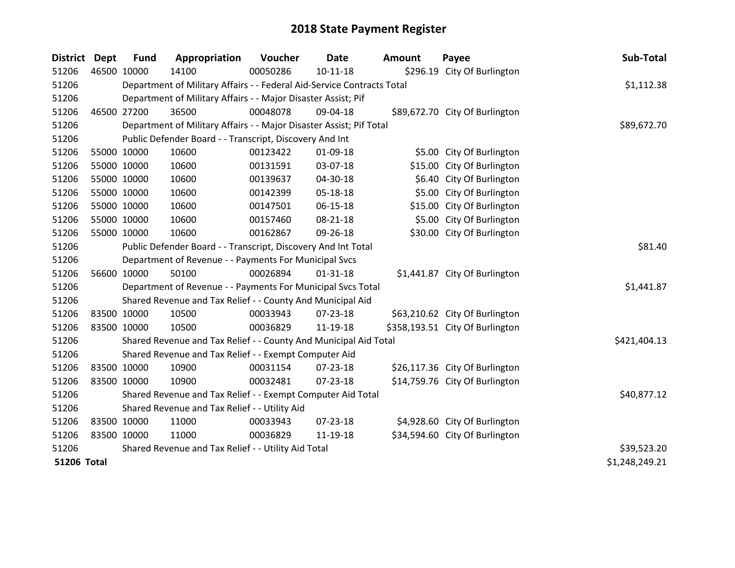| <b>District</b>    | <b>Dept</b> | <b>Fund</b> | Appropriation                                                          | Voucher     | Date           | <b>Amount</b> | Payee                           | Sub-Total      |
|--------------------|-------------|-------------|------------------------------------------------------------------------|-------------|----------------|---------------|---------------------------------|----------------|
| 51206              | 46500 10000 |             | 14100                                                                  | 00050286    | $10 - 11 - 18$ |               | \$296.19 City Of Burlington     |                |
| 51206              |             |             | Department of Military Affairs - - Federal Aid-Service Contracts Total |             |                |               |                                 | \$1,112.38     |
| 51206              |             |             | Department of Military Affairs - - Major Disaster Assist; Pif          |             |                |               |                                 |                |
| 51206              |             | 46500 27200 | 36500                                                                  | 00048078    | 09-04-18       |               | \$89,672.70 City Of Burlington  |                |
| 51206              |             |             | Department of Military Affairs - - Major Disaster Assist; Pif Total    |             |                |               |                                 | \$89,672.70    |
| 51206              |             |             | Public Defender Board - - Transcript, Discovery And Int                |             |                |               |                                 |                |
| 51206              | 55000 10000 |             | 10600                                                                  | 00123422    | 01-09-18       |               | \$5.00 City Of Burlington       |                |
| 51206              |             | 55000 10000 | 10600                                                                  | 00131591    | 03-07-18       |               | \$15.00 City Of Burlington      |                |
| 51206              |             | 55000 10000 | 10600                                                                  | 00139637    | 04-30-18       |               | \$6.40 City Of Burlington       |                |
| 51206              |             | 55000 10000 | 10600                                                                  | 00142399    | 05-18-18       |               | \$5.00 City Of Burlington       |                |
| 51206              |             | 55000 10000 | 10600                                                                  | 00147501    | 06-15-18       |               | \$15.00 City Of Burlington      |                |
| 51206              | 55000 10000 |             | 10600                                                                  | 00157460    | 08-21-18       |               | \$5.00 City Of Burlington       |                |
| 51206              | 55000 10000 |             | 10600                                                                  | 00162867    | 09-26-18       |               | \$30.00 City Of Burlington      |                |
| 51206              |             |             | Public Defender Board - - Transcript, Discovery And Int Total          |             |                |               |                                 | \$81.40        |
| 51206              |             |             | Department of Revenue - - Payments For Municipal Svcs                  |             |                |               |                                 |                |
| 51206              |             | 56600 10000 | 50100                                                                  | 00026894    | $01 - 31 - 18$ |               | \$1,441.87 City Of Burlington   |                |
| 51206              |             |             | Department of Revenue - - Payments For Municipal Svcs Total            |             |                |               |                                 | \$1,441.87     |
| 51206              |             |             | Shared Revenue and Tax Relief - - County And Municipal Aid             |             |                |               |                                 |                |
| 51206              |             | 83500 10000 | 10500                                                                  | 00033943    | $07 - 23 - 18$ |               | \$63,210.62 City Of Burlington  |                |
| 51206              |             | 83500 10000 | 10500                                                                  | 00036829    | 11-19-18       |               | \$358,193.51 City Of Burlington |                |
| 51206              |             |             | Shared Revenue and Tax Relief - - County And Municipal Aid Total       |             |                |               |                                 | \$421,404.13   |
| 51206              |             |             | Shared Revenue and Tax Relief - - Exempt Computer Aid                  |             |                |               |                                 |                |
| 51206              |             | 83500 10000 | 10900                                                                  | 00031154    | 07-23-18       |               | \$26,117.36 City Of Burlington  |                |
| 51206              | 83500 10000 |             | 10900                                                                  | 00032481    | $07 - 23 - 18$ |               | \$14,759.76 City Of Burlington  |                |
| 51206              |             |             | Shared Revenue and Tax Relief - - Exempt Computer Aid Total            | \$40,877.12 |                |               |                                 |                |
| 51206              |             |             | Shared Revenue and Tax Relief - - Utility Aid                          |             |                |               |                                 |                |
| 51206              |             | 83500 10000 | 11000                                                                  | 00033943    | $07 - 23 - 18$ |               | \$4,928.60 City Of Burlington   |                |
| 51206              | 83500 10000 |             | 11000                                                                  | 00036829    | 11-19-18       |               | \$34,594.60 City Of Burlington  |                |
| 51206              |             |             | Shared Revenue and Tax Relief - - Utility Aid Total                    |             |                |               |                                 | \$39,523.20    |
| <b>51206 Total</b> |             |             |                                                                        |             |                |               |                                 | \$1,248,249.21 |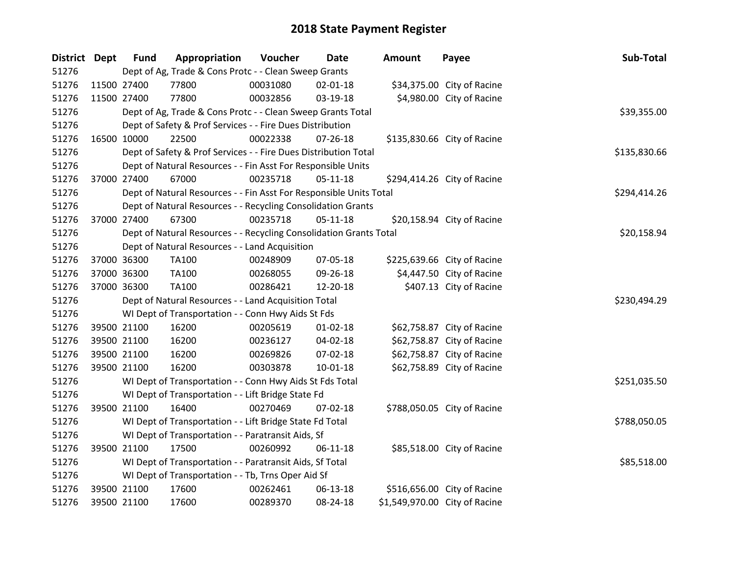| District Dept |             | <b>Fund</b> | Appropriation                                                      | Voucher  | Date           | <b>Amount</b> | Payee                         | Sub-Total    |
|---------------|-------------|-------------|--------------------------------------------------------------------|----------|----------------|---------------|-------------------------------|--------------|
| 51276         |             |             | Dept of Ag, Trade & Cons Protc - - Clean Sweep Grants              |          |                |               |                               |              |
| 51276         |             | 11500 27400 | 77800                                                              | 00031080 | $02 - 01 - 18$ |               | \$34,375.00 City of Racine    |              |
| 51276         |             | 11500 27400 | 77800                                                              | 00032856 | 03-19-18       |               | \$4,980.00 City of Racine     |              |
| 51276         |             |             | Dept of Ag, Trade & Cons Protc - - Clean Sweep Grants Total        |          |                |               |                               | \$39,355.00  |
| 51276         |             |             | Dept of Safety & Prof Services - - Fire Dues Distribution          |          |                |               |                               |              |
| 51276         |             | 16500 10000 | 22500                                                              | 00022338 | $07 - 26 - 18$ |               | \$135,830.66 City of Racine   |              |
| 51276         |             |             | Dept of Safety & Prof Services - - Fire Dues Distribution Total    |          |                |               |                               | \$135,830.66 |
| 51276         |             |             | Dept of Natural Resources - - Fin Asst For Responsible Units       |          |                |               |                               |              |
| 51276         |             | 37000 27400 | 67000                                                              | 00235718 | $05 - 11 - 18$ |               | \$294,414.26 City of Racine   |              |
| 51276         |             |             | Dept of Natural Resources - - Fin Asst For Responsible Units Total |          |                |               |                               | \$294,414.26 |
| 51276         |             |             | Dept of Natural Resources - - Recycling Consolidation Grants       |          |                |               |                               |              |
| 51276         |             | 37000 27400 | 67300                                                              | 00235718 | $05 - 11 - 18$ |               | \$20,158.94 City of Racine    |              |
| 51276         |             |             | Dept of Natural Resources - - Recycling Consolidation Grants Total |          |                |               |                               | \$20,158.94  |
| 51276         |             |             | Dept of Natural Resources - - Land Acquisition                     |          |                |               |                               |              |
| 51276         |             | 37000 36300 | TA100                                                              | 00248909 | 07-05-18       |               | \$225,639.66 City of Racine   |              |
| 51276         |             | 37000 36300 | TA100                                                              | 00268055 | 09-26-18       |               | \$4,447.50 City of Racine     |              |
| 51276         |             | 37000 36300 | TA100                                                              | 00286421 | 12-20-18       |               | \$407.13 City of Racine       |              |
| 51276         |             |             | Dept of Natural Resources - - Land Acquisition Total               |          |                |               |                               | \$230,494.29 |
| 51276         |             |             | WI Dept of Transportation - - Conn Hwy Aids St Fds                 |          |                |               |                               |              |
| 51276         |             | 39500 21100 | 16200                                                              | 00205619 | $01 - 02 - 18$ |               | \$62,758.87 City of Racine    |              |
| 51276         |             | 39500 21100 | 16200                                                              | 00236127 | 04-02-18       |               | \$62,758.87 City of Racine    |              |
| 51276         |             | 39500 21100 | 16200                                                              | 00269826 | 07-02-18       |               | \$62,758.87 City of Racine    |              |
| 51276         |             | 39500 21100 | 16200                                                              | 00303878 | 10-01-18       |               | \$62,758.89 City of Racine    |              |
| 51276         |             |             | WI Dept of Transportation - - Conn Hwy Aids St Fds Total           |          |                |               |                               | \$251,035.50 |
| 51276         |             |             | WI Dept of Transportation - - Lift Bridge State Fd                 |          |                |               |                               |              |
| 51276         |             | 39500 21100 | 16400                                                              | 00270469 | 07-02-18       |               | \$788,050.05 City of Racine   |              |
| 51276         |             |             | WI Dept of Transportation - - Lift Bridge State Fd Total           |          |                |               |                               | \$788,050.05 |
| 51276         |             |             | WI Dept of Transportation - - Paratransit Aids, Sf                 |          |                |               |                               |              |
| 51276         | 39500 21100 |             | 17500                                                              | 00260992 | 06-11-18       |               | \$85,518.00 City of Racine    |              |
| 51276         |             |             | WI Dept of Transportation - - Paratransit Aids, Sf Total           |          |                |               |                               | \$85,518.00  |
| 51276         |             |             | WI Dept of Transportation - - Tb, Trns Oper Aid Sf                 |          |                |               |                               |              |
| 51276         |             | 39500 21100 | 17600                                                              | 00262461 | 06-13-18       |               | \$516,656.00 City of Racine   |              |
| 51276         |             | 39500 21100 | 17600                                                              | 00289370 | 08-24-18       |               | \$1,549,970.00 City of Racine |              |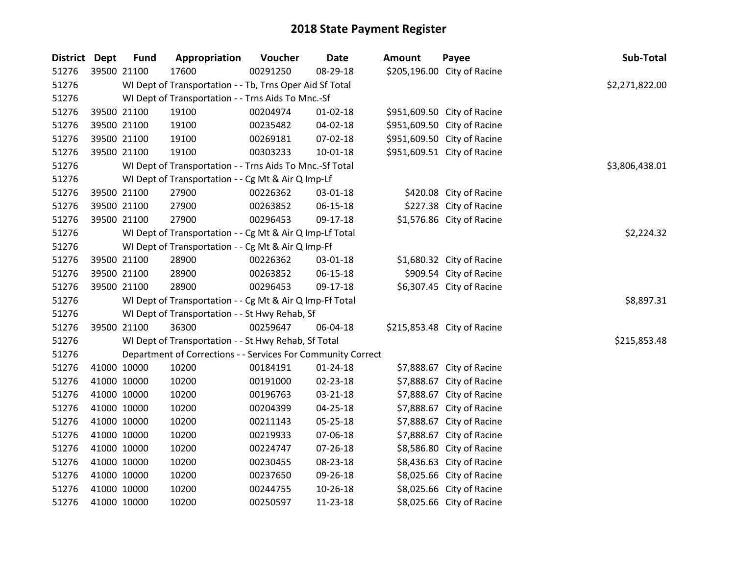| <b>District Dept</b> | <b>Fund</b> | Appropriation                                                | Voucher  | Date           | Amount | Payee                       | Sub-Total      |
|----------------------|-------------|--------------------------------------------------------------|----------|----------------|--------|-----------------------------|----------------|
| 51276                | 39500 21100 | 17600                                                        | 00291250 | 08-29-18       |        | \$205,196.00 City of Racine |                |
| 51276                |             | WI Dept of Transportation - - Tb, Trns Oper Aid Sf Total     |          |                |        |                             | \$2,271,822.00 |
| 51276                |             | WI Dept of Transportation - - Trns Aids To Mnc.-Sf           |          |                |        |                             |                |
| 51276                | 39500 21100 | 19100                                                        | 00204974 | $01 - 02 - 18$ |        | \$951,609.50 City of Racine |                |
| 51276                | 39500 21100 | 19100                                                        | 00235482 | 04-02-18       |        | \$951,609.50 City of Racine |                |
| 51276                | 39500 21100 | 19100                                                        | 00269181 | 07-02-18       |        | \$951,609.50 City of Racine |                |
| 51276                | 39500 21100 | 19100                                                        | 00303233 | 10-01-18       |        | \$951,609.51 City of Racine |                |
| 51276                |             | WI Dept of Transportation - - Trns Aids To Mnc.-Sf Total     |          |                |        |                             | \$3,806,438.01 |
| 51276                |             | WI Dept of Transportation - - Cg Mt & Air Q Imp-Lf           |          |                |        |                             |                |
| 51276                | 39500 21100 | 27900                                                        | 00226362 | 03-01-18       |        | \$420.08 City of Racine     |                |
| 51276                | 39500 21100 | 27900                                                        | 00263852 | 06-15-18       |        | \$227.38 City of Racine     |                |
| 51276                | 39500 21100 | 27900                                                        | 00296453 | 09-17-18       |        | \$1,576.86 City of Racine   |                |
| 51276                |             | WI Dept of Transportation - - Cg Mt & Air Q Imp-Lf Total     |          |                |        |                             | \$2,224.32     |
| 51276                |             | WI Dept of Transportation - - Cg Mt & Air Q Imp-Ff           |          |                |        |                             |                |
| 51276                | 39500 21100 | 28900                                                        | 00226362 | 03-01-18       |        | \$1,680.32 City of Racine   |                |
| 51276                | 39500 21100 | 28900                                                        | 00263852 | 06-15-18       |        | \$909.54 City of Racine     |                |
| 51276                | 39500 21100 | 28900                                                        | 00296453 | 09-17-18       |        | \$6,307.45 City of Racine   |                |
| 51276                |             | WI Dept of Transportation - - Cg Mt & Air Q Imp-Ff Total     |          |                |        |                             | \$8,897.31     |
| 51276                |             | WI Dept of Transportation - - St Hwy Rehab, Sf               |          |                |        |                             |                |
| 51276                | 39500 21100 | 36300                                                        | 00259647 | 06-04-18       |        | \$215,853.48 City of Racine |                |
| 51276                |             | WI Dept of Transportation - - St Hwy Rehab, Sf Total         |          |                |        |                             | \$215,853.48   |
| 51276                |             | Department of Corrections - - Services For Community Correct |          |                |        |                             |                |
| 51276                | 41000 10000 | 10200                                                        | 00184191 | $01 - 24 - 18$ |        | \$7,888.67 City of Racine   |                |
| 51276                | 41000 10000 | 10200                                                        | 00191000 | 02-23-18       |        | \$7,888.67 City of Racine   |                |
| 51276                | 41000 10000 | 10200                                                        | 00196763 | 03-21-18       |        | \$7,888.67 City of Racine   |                |
| 51276                | 41000 10000 | 10200                                                        | 00204399 | 04-25-18       |        | \$7,888.67 City of Racine   |                |
| 51276                | 41000 10000 | 10200                                                        | 00211143 | 05-25-18       |        | \$7,888.67 City of Racine   |                |
| 51276                | 41000 10000 | 10200                                                        | 00219933 | 07-06-18       |        | \$7,888.67 City of Racine   |                |
| 51276                | 41000 10000 | 10200                                                        | 00224747 | 07-26-18       |        | \$8,586.80 City of Racine   |                |
| 51276                | 41000 10000 | 10200                                                        | 00230455 | 08-23-18       |        | \$8,436.63 City of Racine   |                |
| 51276                | 41000 10000 | 10200                                                        | 00237650 | 09-26-18       |        | \$8,025.66 City of Racine   |                |
| 51276                | 41000 10000 | 10200                                                        | 00244755 | 10-26-18       |        | \$8,025.66 City of Racine   |                |
| 51276                | 41000 10000 | 10200                                                        | 00250597 | 11-23-18       |        | \$8,025.66 City of Racine   |                |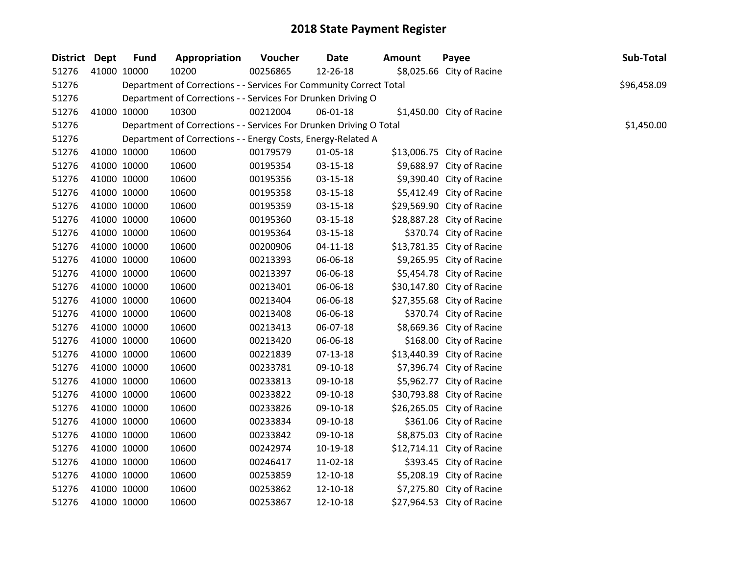| <b>District Dept</b> | <b>Fund</b> | Appropriation                                                      | Voucher  | <b>Date</b>    | <b>Amount</b> | Payee                      | Sub-Total   |
|----------------------|-------------|--------------------------------------------------------------------|----------|----------------|---------------|----------------------------|-------------|
| 51276                | 41000 10000 | 10200                                                              | 00256865 | 12-26-18       |               | \$8,025.66 City of Racine  |             |
| 51276                |             | Department of Corrections - - Services For Community Correct Total |          |                |               |                            | \$96,458.09 |
| 51276                |             | Department of Corrections - - Services For Drunken Driving O       |          |                |               |                            |             |
| 51276                | 41000 10000 | 10300                                                              | 00212004 | 06-01-18       |               | \$1,450.00 City of Racine  |             |
| 51276                |             | Department of Corrections - - Services For Drunken Driving O Total |          |                |               |                            | \$1,450.00  |
| 51276                |             | Department of Corrections - - Energy Costs, Energy-Related A       |          |                |               |                            |             |
| 51276                | 41000 10000 | 10600                                                              | 00179579 | 01-05-18       |               | \$13,006.75 City of Racine |             |
| 51276                | 41000 10000 | 10600                                                              | 00195354 | 03-15-18       |               | \$9,688.97 City of Racine  |             |
| 51276                | 41000 10000 | 10600                                                              | 00195356 | 03-15-18       |               | \$9,390.40 City of Racine  |             |
| 51276                | 41000 10000 | 10600                                                              | 00195358 | 03-15-18       |               | \$5,412.49 City of Racine  |             |
| 51276                | 41000 10000 | 10600                                                              | 00195359 | 03-15-18       |               | \$29,569.90 City of Racine |             |
| 51276                | 41000 10000 | 10600                                                              | 00195360 | 03-15-18       |               | \$28,887.28 City of Racine |             |
| 51276                | 41000 10000 | 10600                                                              | 00195364 | $03 - 15 - 18$ |               | \$370.74 City of Racine    |             |
| 51276                | 41000 10000 | 10600                                                              | 00200906 | $04 - 11 - 18$ |               | \$13,781.35 City of Racine |             |
| 51276                | 41000 10000 | 10600                                                              | 00213393 | 06-06-18       |               | \$9,265.95 City of Racine  |             |
| 51276                | 41000 10000 | 10600                                                              | 00213397 | 06-06-18       |               | \$5,454.78 City of Racine  |             |
| 51276                | 41000 10000 | 10600                                                              | 00213401 | 06-06-18       |               | \$30,147.80 City of Racine |             |
| 51276                | 41000 10000 | 10600                                                              | 00213404 | 06-06-18       |               | \$27,355.68 City of Racine |             |
| 51276                | 41000 10000 | 10600                                                              | 00213408 | 06-06-18       |               | \$370.74 City of Racine    |             |
| 51276                | 41000 10000 | 10600                                                              | 00213413 | 06-07-18       |               | \$8,669.36 City of Racine  |             |
| 51276                | 41000 10000 | 10600                                                              | 00213420 | 06-06-18       |               | \$168.00 City of Racine    |             |
| 51276                | 41000 10000 | 10600                                                              | 00221839 | 07-13-18       |               | \$13,440.39 City of Racine |             |
| 51276                | 41000 10000 | 10600                                                              | 00233781 | 09-10-18       |               | \$7,396.74 City of Racine  |             |
| 51276                | 41000 10000 | 10600                                                              | 00233813 | 09-10-18       |               | \$5,962.77 City of Racine  |             |
| 51276                | 41000 10000 | 10600                                                              | 00233822 | 09-10-18       |               | \$30,793.88 City of Racine |             |
| 51276                | 41000 10000 | 10600                                                              | 00233826 | 09-10-18       |               | \$26,265.05 City of Racine |             |
| 51276                | 41000 10000 | 10600                                                              | 00233834 | 09-10-18       |               | \$361.06 City of Racine    |             |
| 51276                | 41000 10000 | 10600                                                              | 00233842 | 09-10-18       |               | \$8,875.03 City of Racine  |             |
| 51276                | 41000 10000 | 10600                                                              | 00242974 | 10-19-18       |               | \$12,714.11 City of Racine |             |
| 51276                | 41000 10000 | 10600                                                              | 00246417 | 11-02-18       |               | \$393.45 City of Racine    |             |
| 51276                | 41000 10000 | 10600                                                              | 00253859 | 12-10-18       |               | \$5,208.19 City of Racine  |             |
| 51276                | 41000 10000 | 10600                                                              | 00253862 | 12-10-18       |               | \$7,275.80 City of Racine  |             |
| 51276                | 41000 10000 | 10600                                                              | 00253867 | 12-10-18       |               | \$27,964.53 City of Racine |             |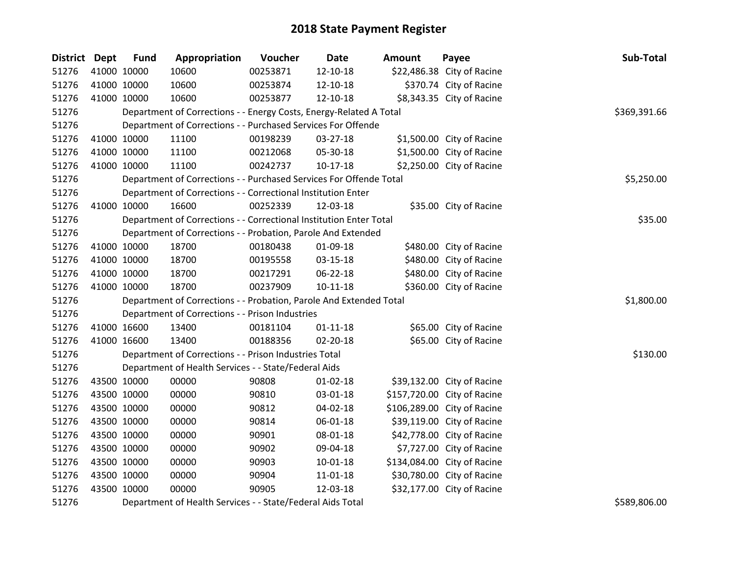| <b>District Dept</b> |             | <b>Fund</b> | Appropriation                                                      | Voucher  | Date           | <b>Amount</b> | Payee                       | Sub-Total    |
|----------------------|-------------|-------------|--------------------------------------------------------------------|----------|----------------|---------------|-----------------------------|--------------|
| 51276                | 41000 10000 |             | 10600                                                              | 00253871 | 12-10-18       |               | \$22,486.38 City of Racine  |              |
| 51276                | 41000 10000 |             | 10600                                                              | 00253874 | 12-10-18       |               | \$370.74 City of Racine     |              |
| 51276                | 41000 10000 |             | 10600                                                              | 00253877 | 12-10-18       |               | \$8,343.35 City of Racine   |              |
| 51276                |             |             | Department of Corrections - - Energy Costs, Energy-Related A Total |          |                |               |                             | \$369,391.66 |
| 51276                |             |             | Department of Corrections - - Purchased Services For Offende       |          |                |               |                             |              |
| 51276                |             | 41000 10000 | 11100                                                              | 00198239 | 03-27-18       |               | \$1,500.00 City of Racine   |              |
| 51276                | 41000 10000 |             | 11100                                                              | 00212068 | 05-30-18       |               | \$1,500.00 City of Racine   |              |
| 51276                | 41000 10000 |             | 11100                                                              | 00242737 | 10-17-18       |               | \$2,250.00 City of Racine   |              |
| 51276                |             |             | Department of Corrections - - Purchased Services For Offende Total |          |                |               |                             | \$5,250.00   |
| 51276                |             |             | Department of Corrections - - Correctional Institution Enter       |          |                |               |                             |              |
| 51276                | 41000 10000 |             | 16600                                                              | 00252339 | 12-03-18       |               | \$35.00 City of Racine      |              |
| 51276                |             |             | Department of Corrections - - Correctional Institution Enter Total |          |                |               |                             | \$35.00      |
| 51276                |             |             | Department of Corrections - - Probation, Parole And Extended       |          |                |               |                             |              |
| 51276                | 41000 10000 |             | 18700                                                              | 00180438 | 01-09-18       |               | \$480.00 City of Racine     |              |
| 51276                | 41000 10000 |             | 18700                                                              | 00195558 | 03-15-18       |               | \$480.00 City of Racine     |              |
| 51276                | 41000 10000 |             | 18700                                                              | 00217291 | 06-22-18       |               | \$480.00 City of Racine     |              |
| 51276                | 41000 10000 |             | 18700                                                              | 00237909 | $10 - 11 - 18$ |               | \$360.00 City of Racine     |              |
| 51276                |             |             | Department of Corrections - - Probation, Parole And Extended Total |          |                |               |                             | \$1,800.00   |
| 51276                |             |             | Department of Corrections - - Prison Industries                    |          |                |               |                             |              |
| 51276                | 41000 16600 |             | 13400                                                              | 00181104 | $01 - 11 - 18$ |               | \$65.00 City of Racine      |              |
| 51276                | 41000 16600 |             | 13400                                                              | 00188356 | 02-20-18       |               | \$65.00 City of Racine      |              |
| 51276                |             |             | Department of Corrections - - Prison Industries Total              |          |                |               |                             | \$130.00     |
| 51276                |             |             | Department of Health Services - - State/Federal Aids               |          |                |               |                             |              |
| 51276                | 43500 10000 |             | 00000                                                              | 90808    | 01-02-18       |               | \$39,132.00 City of Racine  |              |
| 51276                |             | 43500 10000 | 00000                                                              | 90810    | 03-01-18       |               | \$157,720.00 City of Racine |              |
| 51276                | 43500 10000 |             | 00000                                                              | 90812    | 04-02-18       |               | \$106,289.00 City of Racine |              |
| 51276                | 43500 10000 |             | 00000                                                              | 90814    | 06-01-18       |               | \$39,119.00 City of Racine  |              |
| 51276                | 43500 10000 |             | 00000                                                              | 90901    | 08-01-18       |               | \$42,778.00 City of Racine  |              |
| 51276                | 43500 10000 |             | 00000                                                              | 90902    | 09-04-18       |               | \$7,727.00 City of Racine   |              |
| 51276                | 43500 10000 |             | 00000                                                              | 90903    | 10-01-18       |               | \$134,084.00 City of Racine |              |
| 51276                | 43500 10000 |             | 00000                                                              | 90904    | 11-01-18       |               | \$30,780.00 City of Racine  |              |
| 51276                | 43500 10000 |             | 00000                                                              | 90905    | 12-03-18       |               | \$32,177.00 City of Racine  |              |
| 51276                |             |             | Department of Health Services - - State/Federal Aids Total         |          |                |               |                             | \$589,806.00 |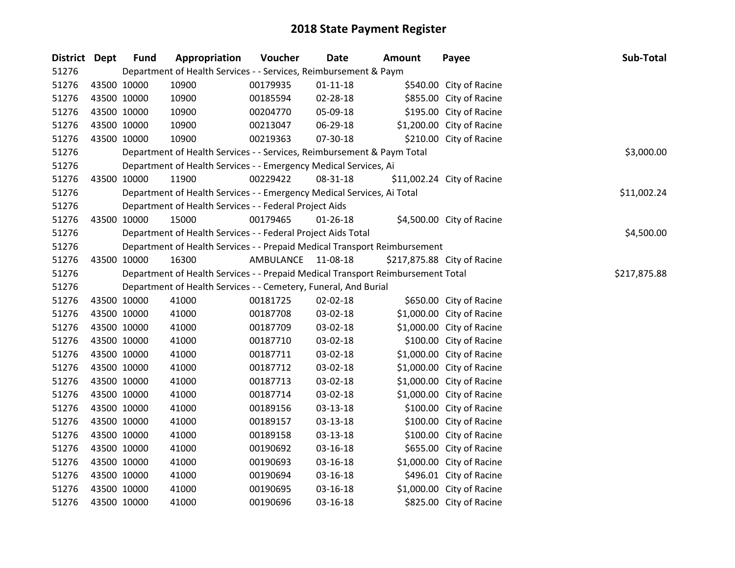| District Dept |             | <b>Fund</b> | Appropriation                                                                   | Voucher   | <b>Date</b>    | Amount | Payee                       | Sub-Total    |
|---------------|-------------|-------------|---------------------------------------------------------------------------------|-----------|----------------|--------|-----------------------------|--------------|
| 51276         |             |             | Department of Health Services - - Services, Reimbursement & Paym                |           |                |        |                             |              |
| 51276         | 43500 10000 |             | 10900                                                                           | 00179935  | $01 - 11 - 18$ |        | \$540.00 City of Racine     |              |
| 51276         | 43500 10000 |             | 10900                                                                           | 00185594  | 02-28-18       |        | \$855.00 City of Racine     |              |
| 51276         |             | 43500 10000 | 10900                                                                           | 00204770  | 05-09-18       |        | \$195.00 City of Racine     |              |
| 51276         | 43500 10000 |             | 10900                                                                           | 00213047  | 06-29-18       |        | \$1,200.00 City of Racine   |              |
| 51276         | 43500 10000 |             | 10900                                                                           | 00219363  | 07-30-18       |        | \$210.00 City of Racine     |              |
| 51276         |             |             | Department of Health Services - - Services, Reimbursement & Paym Total          |           |                |        |                             | \$3,000.00   |
| 51276         |             |             | Department of Health Services - - Emergency Medical Services, Ai                |           |                |        |                             |              |
| 51276         |             | 43500 10000 | 11900                                                                           | 00229422  | 08-31-18       |        | \$11,002.24 City of Racine  |              |
| 51276         |             |             | Department of Health Services - - Emergency Medical Services, Ai Total          |           |                |        |                             | \$11,002.24  |
| 51276         |             |             | Department of Health Services - - Federal Project Aids                          |           |                |        |                             |              |
| 51276         | 43500 10000 |             | 15000                                                                           | 00179465  | $01 - 26 - 18$ |        | \$4,500.00 City of Racine   |              |
| 51276         |             |             | Department of Health Services - - Federal Project Aids Total                    |           |                |        |                             | \$4,500.00   |
| 51276         |             |             | Department of Health Services - - Prepaid Medical Transport Reimbursement       |           |                |        |                             |              |
| 51276         | 43500 10000 |             | 16300                                                                           | AMBULANCE | 11-08-18       |        | \$217,875.88 City of Racine |              |
| 51276         |             |             | Department of Health Services - - Prepaid Medical Transport Reimbursement Total |           |                |        |                             | \$217,875.88 |
| 51276         |             |             | Department of Health Services - - Cemetery, Funeral, And Burial                 |           |                |        |                             |              |
| 51276         | 43500 10000 |             | 41000                                                                           | 00181725  | 02-02-18       |        | \$650.00 City of Racine     |              |
| 51276         |             | 43500 10000 | 41000                                                                           | 00187708  | 03-02-18       |        | \$1,000.00 City of Racine   |              |
| 51276         |             | 43500 10000 | 41000                                                                           | 00187709  | 03-02-18       |        | \$1,000.00 City of Racine   |              |
| 51276         |             | 43500 10000 | 41000                                                                           | 00187710  | 03-02-18       |        | \$100.00 City of Racine     |              |
| 51276         | 43500 10000 |             | 41000                                                                           | 00187711  | 03-02-18       |        | \$1,000.00 City of Racine   |              |
| 51276         | 43500 10000 |             | 41000                                                                           | 00187712  | 03-02-18       |        | \$1,000.00 City of Racine   |              |
| 51276         | 43500 10000 |             | 41000                                                                           | 00187713  | 03-02-18       |        | \$1,000.00 City of Racine   |              |
| 51276         |             | 43500 10000 | 41000                                                                           | 00187714  | 03-02-18       |        | \$1,000.00 City of Racine   |              |
| 51276         |             | 43500 10000 | 41000                                                                           | 00189156  | 03-13-18       |        | \$100.00 City of Racine     |              |
| 51276         | 43500 10000 |             | 41000                                                                           | 00189157  | 03-13-18       |        | \$100.00 City of Racine     |              |
| 51276         | 43500 10000 |             | 41000                                                                           | 00189158  | 03-13-18       |        | \$100.00 City of Racine     |              |
| 51276         | 43500 10000 |             | 41000                                                                           | 00190692  | 03-16-18       |        | \$655.00 City of Racine     |              |
| 51276         |             | 43500 10000 | 41000                                                                           | 00190693  | 03-16-18       |        | \$1,000.00 City of Racine   |              |
| 51276         | 43500 10000 |             | 41000                                                                           | 00190694  | 03-16-18       |        | \$496.01 City of Racine     |              |
| 51276         | 43500 10000 |             | 41000                                                                           | 00190695  | 03-16-18       |        | \$1,000.00 City of Racine   |              |
| 51276         | 43500 10000 |             | 41000                                                                           | 00190696  | 03-16-18       |        | \$825.00 City of Racine     |              |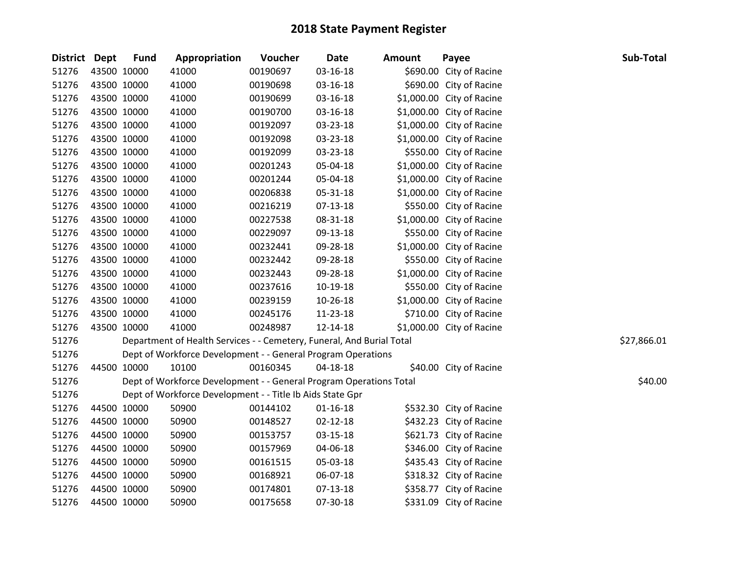| District Dept |             | <b>Fund</b> | Appropriation                                                         | Voucher  | <b>Date</b>    | <b>Amount</b> | Payee                     | Sub-Total   |
|---------------|-------------|-------------|-----------------------------------------------------------------------|----------|----------------|---------------|---------------------------|-------------|
| 51276         |             | 43500 10000 | 41000                                                                 | 00190697 | 03-16-18       |               | \$690.00 City of Racine   |             |
| 51276         |             | 43500 10000 | 41000                                                                 | 00190698 | 03-16-18       |               | \$690.00 City of Racine   |             |
| 51276         | 43500 10000 |             | 41000                                                                 | 00190699 | 03-16-18       |               | \$1,000.00 City of Racine |             |
| 51276         | 43500 10000 |             | 41000                                                                 | 00190700 | 03-16-18       |               | \$1,000.00 City of Racine |             |
| 51276         |             | 43500 10000 | 41000                                                                 | 00192097 | 03-23-18       |               | \$1,000.00 City of Racine |             |
| 51276         |             | 43500 10000 | 41000                                                                 | 00192098 | 03-23-18       |               | \$1,000.00 City of Racine |             |
| 51276         |             | 43500 10000 | 41000                                                                 | 00192099 | 03-23-18       |               | \$550.00 City of Racine   |             |
| 51276         | 43500 10000 |             | 41000                                                                 | 00201243 | 05-04-18       |               | \$1,000.00 City of Racine |             |
| 51276         |             | 43500 10000 | 41000                                                                 | 00201244 | 05-04-18       |               | \$1,000.00 City of Racine |             |
| 51276         |             | 43500 10000 | 41000                                                                 | 00206838 | 05-31-18       |               | \$1,000.00 City of Racine |             |
| 51276         |             | 43500 10000 | 41000                                                                 | 00216219 | $07-13-18$     |               | \$550.00 City of Racine   |             |
| 51276         |             | 43500 10000 | 41000                                                                 | 00227538 | 08-31-18       |               | \$1,000.00 City of Racine |             |
| 51276         | 43500 10000 |             | 41000                                                                 | 00229097 | 09-13-18       |               | \$550.00 City of Racine   |             |
| 51276         |             | 43500 10000 | 41000                                                                 | 00232441 | 09-28-18       |               | \$1,000.00 City of Racine |             |
| 51276         |             | 43500 10000 | 41000                                                                 | 00232442 | 09-28-18       |               | \$550.00 City of Racine   |             |
| 51276         |             | 43500 10000 | 41000                                                                 | 00232443 | 09-28-18       |               | \$1,000.00 City of Racine |             |
| 51276         |             | 43500 10000 | 41000                                                                 | 00237616 | 10-19-18       |               | \$550.00 City of Racine   |             |
| 51276         |             | 43500 10000 | 41000                                                                 | 00239159 | 10-26-18       |               | \$1,000.00 City of Racine |             |
| 51276         |             | 43500 10000 | 41000                                                                 | 00245176 | 11-23-18       |               | \$710.00 City of Racine   |             |
| 51276         |             | 43500 10000 | 41000                                                                 | 00248987 | 12-14-18       |               | \$1,000.00 City of Racine |             |
| 51276         |             |             | Department of Health Services - - Cemetery, Funeral, And Burial Total |          |                |               |                           | \$27,866.01 |
| 51276         |             |             | Dept of Workforce Development - - General Program Operations          |          |                |               |                           |             |
| 51276         |             | 44500 10000 | 10100                                                                 | 00160345 | $04 - 18 - 18$ |               | \$40.00 City of Racine    |             |
| 51276         |             |             | Dept of Workforce Development - - General Program Operations Total    |          |                |               |                           | \$40.00     |
| 51276         |             |             | Dept of Workforce Development - - Title Ib Aids State Gpr             |          |                |               |                           |             |
| 51276         |             | 44500 10000 | 50900                                                                 | 00144102 | $01 - 16 - 18$ |               | \$532.30 City of Racine   |             |
| 51276         |             | 44500 10000 | 50900                                                                 | 00148527 | $02 - 12 - 18$ |               | \$432.23 City of Racine   |             |
| 51276         |             | 44500 10000 | 50900                                                                 | 00153757 | 03-15-18       |               | \$621.73 City of Racine   |             |
| 51276         |             | 44500 10000 | 50900                                                                 | 00157969 | 04-06-18       |               | \$346.00 City of Racine   |             |
| 51276         |             | 44500 10000 | 50900                                                                 | 00161515 | 05-03-18       |               | \$435.43 City of Racine   |             |
| 51276         |             | 44500 10000 | 50900                                                                 | 00168921 | 06-07-18       |               | \$318.32 City of Racine   |             |
| 51276         |             | 44500 10000 | 50900                                                                 | 00174801 | 07-13-18       |               | \$358.77 City of Racine   |             |
| 51276         |             | 44500 10000 | 50900                                                                 | 00175658 | 07-30-18       |               | \$331.09 City of Racine   |             |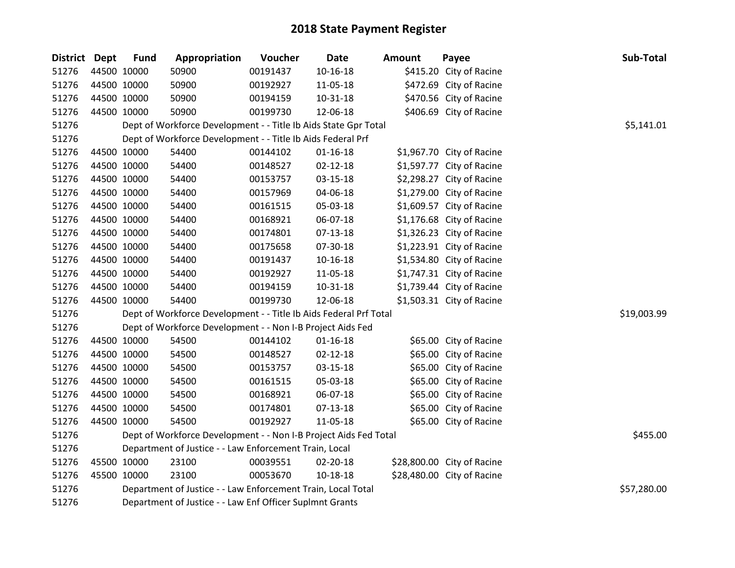| District Dept | <b>Fund</b>                                                  | Appropriation                                                     | Voucher     | Date           | <b>Amount</b> | Payee                      | Sub-Total   |
|---------------|--------------------------------------------------------------|-------------------------------------------------------------------|-------------|----------------|---------------|----------------------------|-------------|
| 51276         | 44500 10000                                                  | 50900                                                             | 00191437    | $10 - 16 - 18$ |               | \$415.20 City of Racine    |             |
| 51276         | 44500 10000                                                  | 50900                                                             | 00192927    | 11-05-18       |               | \$472.69 City of Racine    |             |
| 51276         | 44500 10000                                                  | 50900                                                             | 00194159    | 10-31-18       |               | \$470.56 City of Racine    |             |
| 51276         | 44500 10000                                                  | 50900                                                             | 00199730    | 12-06-18       |               | \$406.69 City of Racine    |             |
| 51276         |                                                              | Dept of Workforce Development - - Title Ib Aids State Gpr Total   |             |                |               |                            | \$5,141.01  |
| 51276         |                                                              | Dept of Workforce Development - - Title Ib Aids Federal Prf       |             |                |               |                            |             |
| 51276         | 44500 10000                                                  | 54400                                                             | 00144102    | $01 - 16 - 18$ |               | \$1,967.70 City of Racine  |             |
| 51276         | 44500 10000                                                  | 54400                                                             | 00148527    | $02 - 12 - 18$ |               | \$1,597.77 City of Racine  |             |
| 51276         | 44500 10000                                                  | 54400                                                             | 00153757    | 03-15-18       |               | \$2,298.27 City of Racine  |             |
| 51276         | 44500 10000                                                  | 54400                                                             | 00157969    | 04-06-18       |               | \$1,279.00 City of Racine  |             |
| 51276         | 44500 10000                                                  | 54400                                                             | 00161515    | 05-03-18       |               | \$1,609.57 City of Racine  |             |
| 51276         | 44500 10000                                                  | 54400                                                             | 00168921    | 06-07-18       |               | \$1,176.68 City of Racine  |             |
| 51276         | 44500 10000                                                  | 54400                                                             | 00174801    | $07-13-18$     |               | \$1,326.23 City of Racine  |             |
| 51276         | 44500 10000                                                  | 54400                                                             | 00175658    | 07-30-18       |               | \$1,223.91 City of Racine  |             |
| 51276         | 44500 10000                                                  | 54400                                                             | 00191437    | $10 - 16 - 18$ |               | \$1,534.80 City of Racine  |             |
| 51276         | 44500 10000                                                  | 54400                                                             | 00192927    | 11-05-18       |               | \$1,747.31 City of Racine  |             |
| 51276         | 44500 10000                                                  | 54400                                                             | 00194159    | $10 - 31 - 18$ |               | \$1,739.44 City of Racine  |             |
| 51276         | 44500 10000                                                  | 54400                                                             | 00199730    | 12-06-18       |               | \$1,503.31 City of Racine  |             |
| 51276         |                                                              | Dept of Workforce Development - - Title Ib Aids Federal Prf Total |             |                |               |                            | \$19,003.99 |
| 51276         |                                                              | Dept of Workforce Development - - Non I-B Project Aids Fed        |             |                |               |                            |             |
| 51276         | 44500 10000                                                  | 54500                                                             | 00144102    | $01 - 16 - 18$ |               | \$65.00 City of Racine     |             |
| 51276         | 44500 10000                                                  | 54500                                                             | 00148527    | $02 - 12 - 18$ |               | \$65.00 City of Racine     |             |
| 51276         | 44500 10000                                                  | 54500                                                             | 00153757    | 03-15-18       |               | \$65.00 City of Racine     |             |
| 51276         | 44500 10000                                                  | 54500                                                             | 00161515    | 05-03-18       |               | \$65.00 City of Racine     |             |
| 51276         | 44500 10000                                                  | 54500                                                             | 00168921    | 06-07-18       |               | \$65.00 City of Racine     |             |
| 51276         | 44500 10000                                                  | 54500                                                             | 00174801    | $07 - 13 - 18$ |               | \$65.00 City of Racine     |             |
| 51276         | 44500 10000                                                  | 54500                                                             | 00192927    | 11-05-18       |               | \$65.00 City of Racine     |             |
| 51276         |                                                              | Dept of Workforce Development - - Non I-B Project Aids Fed Total  |             |                |               |                            | \$455.00    |
| 51276         |                                                              | Department of Justice - - Law Enforcement Train, Local            |             |                |               |                            |             |
| 51276         | 45500 10000                                                  | 23100                                                             | 00039551    | 02-20-18       |               | \$28,800.00 City of Racine |             |
| 51276         | 45500 10000                                                  | 23100                                                             | 00053670    | $10 - 18 - 18$ |               | \$28,480.00 City of Racine |             |
| 51276         | Department of Justice - - Law Enforcement Train, Local Total |                                                                   | \$57,280.00 |                |               |                            |             |
| 51276         |                                                              | Department of Justice - - Law Enf Officer Suplmnt Grants          |             |                |               |                            |             |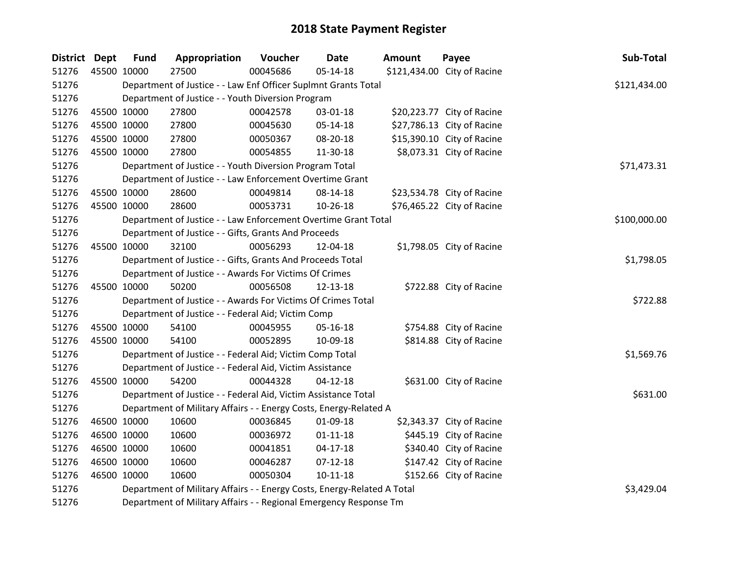| <b>District Dept</b> | <b>Fund</b>                                            | Appropriation                                                           | Voucher    | <b>Date</b>    | <b>Amount</b> | Payee                       | Sub-Total    |
|----------------------|--------------------------------------------------------|-------------------------------------------------------------------------|------------|----------------|---------------|-----------------------------|--------------|
| 51276                | 45500 10000                                            | 27500                                                                   | 00045686   | $05 - 14 - 18$ |               | \$121,434.00 City of Racine |              |
| 51276                |                                                        | Department of Justice - - Law Enf Officer Suplmnt Grants Total          |            |                |               |                             | \$121,434.00 |
| 51276                |                                                        | Department of Justice - - Youth Diversion Program                       |            |                |               |                             |              |
| 51276                | 45500 10000                                            | 27800                                                                   | 00042578   | 03-01-18       |               | \$20,223.77 City of Racine  |              |
| 51276                | 45500 10000                                            | 27800                                                                   | 00045630   | 05-14-18       |               | \$27,786.13 City of Racine  |              |
| 51276                | 45500 10000                                            | 27800                                                                   | 00050367   | 08-20-18       |               | \$15,390.10 City of Racine  |              |
| 51276                | 45500 10000                                            | 27800                                                                   | 00054855   | 11-30-18       |               | \$8,073.31 City of Racine   |              |
| 51276                |                                                        | Department of Justice - - Youth Diversion Program Total                 |            |                |               |                             | \$71,473.31  |
| 51276                |                                                        | Department of Justice - - Law Enforcement Overtime Grant                |            |                |               |                             |              |
| 51276                | 45500 10000                                            | 28600                                                                   | 00049814   | 08-14-18       |               | \$23,534.78 City of Racine  |              |
| 51276                | 45500 10000                                            | 28600                                                                   | 00053731   | 10-26-18       |               | \$76,465.22 City of Racine  |              |
| 51276                |                                                        | Department of Justice - - Law Enforcement Overtime Grant Total          |            |                |               |                             | \$100,000.00 |
| 51276                |                                                        | Department of Justice - - Gifts, Grants And Proceeds                    |            |                |               |                             |              |
| 51276                | 45500 10000                                            | 32100                                                                   | 00056293   | 12-04-18       |               | \$1,798.05 City of Racine   |              |
| 51276                |                                                        | Department of Justice - - Gifts, Grants And Proceeds Total              | \$1,798.05 |                |               |                             |              |
| 51276                | Department of Justice - - Awards For Victims Of Crimes |                                                                         |            |                |               |                             |              |
| 51276                | 45500 10000                                            | 50200                                                                   | 00056508   | 12-13-18       |               | \$722.88 City of Racine     |              |
| 51276                |                                                        | Department of Justice - - Awards For Victims Of Crimes Total            |            |                |               |                             | \$722.88     |
| 51276                |                                                        | Department of Justice - - Federal Aid; Victim Comp                      |            |                |               |                             |              |
| 51276                | 45500 10000                                            | 54100                                                                   | 00045955   | $05-16-18$     |               | \$754.88 City of Racine     |              |
| 51276                | 45500 10000                                            | 54100                                                                   | 00052895   | 10-09-18       |               | \$814.88 City of Racine     |              |
| 51276                |                                                        | Department of Justice - - Federal Aid; Victim Comp Total                |            |                |               |                             | \$1,569.76   |
| 51276                |                                                        | Department of Justice - - Federal Aid, Victim Assistance                |            |                |               |                             |              |
| 51276                | 45500 10000                                            | 54200                                                                   | 00044328   | $04 - 12 - 18$ |               | \$631.00 City of Racine     |              |
| 51276                |                                                        | Department of Justice - - Federal Aid, Victim Assistance Total          |            |                |               |                             | \$631.00     |
| 51276                |                                                        | Department of Military Affairs - - Energy Costs, Energy-Related A       |            |                |               |                             |              |
| 51276                | 46500 10000                                            | 10600                                                                   | 00036845   | 01-09-18       |               | \$2,343.37 City of Racine   |              |
| 51276                | 46500 10000                                            | 10600                                                                   | 00036972   | $01 - 11 - 18$ |               | \$445.19 City of Racine     |              |
| 51276                | 46500 10000                                            | 10600                                                                   | 00041851   | $04-17-18$     |               | \$340.40 City of Racine     |              |
| 51276                | 46500 10000                                            | 10600                                                                   | 00046287   | 07-12-18       |               | \$147.42 City of Racine     |              |
| 51276                | 46500 10000                                            | 10600                                                                   | 00050304   | $10 - 11 - 18$ |               | \$152.66 City of Racine     |              |
| 51276                |                                                        | Department of Military Affairs - - Energy Costs, Energy-Related A Total |            |                |               |                             | \$3,429.04   |
| 51276                |                                                        | Department of Military Affairs - - Regional Emergency Response Tm       |            |                |               |                             |              |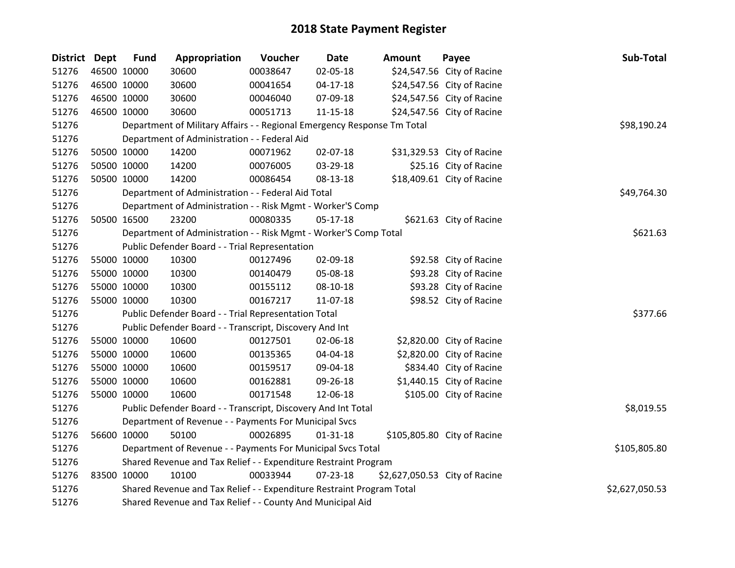| <b>District Dept</b> |             | <b>Fund</b> | Appropriation                                                           | Voucher     | Date           | <b>Amount</b>                 | Payee                       | Sub-Total      |
|----------------------|-------------|-------------|-------------------------------------------------------------------------|-------------|----------------|-------------------------------|-----------------------------|----------------|
| 51276                |             | 46500 10000 | 30600                                                                   | 00038647    | 02-05-18       |                               | \$24,547.56 City of Racine  |                |
| 51276                | 46500 10000 |             | 30600                                                                   | 00041654    | $04-17-18$     |                               | \$24,547.56 City of Racine  |                |
| 51276                | 46500 10000 |             | 30600                                                                   | 00046040    | 07-09-18       |                               | \$24,547.56 City of Racine  |                |
| 51276                | 46500 10000 |             | 30600                                                                   | 00051713    | 11-15-18       |                               | \$24,547.56 City of Racine  |                |
| 51276                |             |             | Department of Military Affairs - - Regional Emergency Response Tm Total | \$98,190.24 |                |                               |                             |                |
| 51276                |             |             | Department of Administration - - Federal Aid                            |             |                |                               |                             |                |
| 51276                |             | 50500 10000 | 14200                                                                   | 00071962    | 02-07-18       |                               | \$31,329.53 City of Racine  |                |
| 51276                | 50500 10000 |             | 14200                                                                   | 00076005    | 03-29-18       |                               | \$25.16 City of Racine      |                |
| 51276                |             | 50500 10000 | 14200                                                                   | 00086454    | 08-13-18       |                               | \$18,409.61 City of Racine  |                |
| 51276                |             |             | Department of Administration - - Federal Aid Total                      |             |                |                               |                             | \$49,764.30    |
| 51276                |             |             | Department of Administration - - Risk Mgmt - Worker'S Comp              |             |                |                               |                             |                |
| 51276                |             | 50500 16500 | 23200                                                                   | 00080335    | $05-17-18$     |                               | \$621.63 City of Racine     |                |
| 51276                |             |             | Department of Administration - - Risk Mgmt - Worker'S Comp Total        |             |                |                               |                             | \$621.63       |
| 51276                |             |             | Public Defender Board - - Trial Representation                          |             |                |                               |                             |                |
| 51276                |             | 55000 10000 | 10300                                                                   | 00127496    | 02-09-18       |                               | \$92.58 City of Racine      |                |
| 51276                |             | 55000 10000 | 10300                                                                   | 00140479    | 05-08-18       |                               | \$93.28 City of Racine      |                |
| 51276                | 55000 10000 |             | 10300                                                                   | 00155112    | 08-10-18       |                               | \$93.28 City of Racine      |                |
| 51276                | 55000 10000 |             | 10300                                                                   | 00167217    | 11-07-18       |                               | \$98.52 City of Racine      |                |
| 51276                |             |             | Public Defender Board - - Trial Representation Total                    | \$377.66    |                |                               |                             |                |
| 51276                |             |             | Public Defender Board - - Transcript, Discovery And Int                 |             |                |                               |                             |                |
| 51276                |             | 55000 10000 | 10600                                                                   | 00127501    | 02-06-18       |                               | \$2,820.00 City of Racine   |                |
| 51276                | 55000 10000 |             | 10600                                                                   | 00135365    | 04-04-18       |                               | \$2,820.00 City of Racine   |                |
| 51276                | 55000 10000 |             | 10600                                                                   | 00159517    | 09-04-18       |                               | \$834.40 City of Racine     |                |
| 51276                | 55000 10000 |             | 10600                                                                   | 00162881    | 09-26-18       |                               | \$1,440.15 City of Racine   |                |
| 51276                |             | 55000 10000 | 10600                                                                   | 00171548    | 12-06-18       |                               | \$105.00 City of Racine     |                |
| 51276                |             |             | Public Defender Board - - Transcript, Discovery And Int Total           |             |                |                               |                             | \$8,019.55     |
| 51276                |             |             | Department of Revenue - - Payments For Municipal Svcs                   |             |                |                               |                             |                |
| 51276                |             | 56600 10000 | 50100                                                                   | 00026895    | $01 - 31 - 18$ |                               | \$105,805.80 City of Racine |                |
| 51276                |             |             | Department of Revenue - - Payments For Municipal Svcs Total             |             |                |                               |                             | \$105,805.80   |
| 51276                |             |             | Shared Revenue and Tax Relief - - Expenditure Restraint Program         |             |                |                               |                             |                |
| 51276                | 83500 10000 |             | 10100                                                                   | 00033944    | 07-23-18       | \$2,627,050.53 City of Racine |                             |                |
| 51276                |             |             | Shared Revenue and Tax Relief - - Expenditure Restraint Program Total   |             |                |                               |                             | \$2,627,050.53 |
| 51276                |             |             | Shared Revenue and Tax Relief - - County And Municipal Aid              |             |                |                               |                             |                |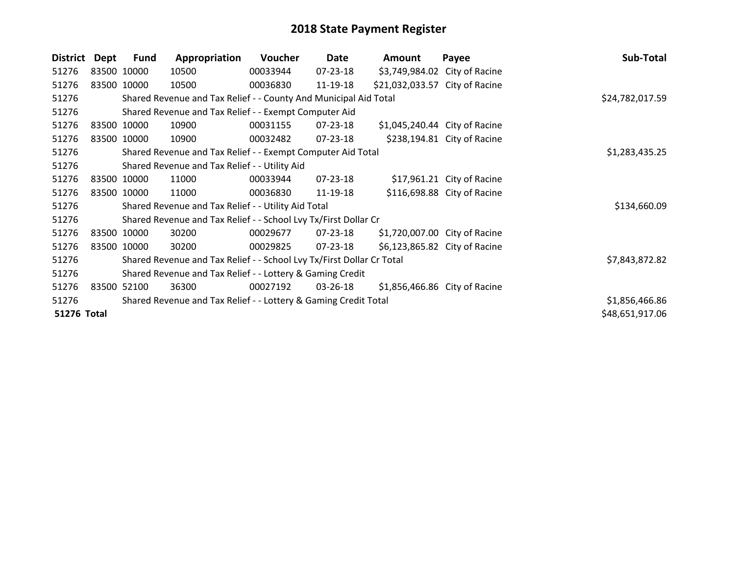| <b>District</b>    | Dept        | <b>Fund</b> | Appropriation                                                         | <b>Voucher</b> | Date           | Amount                         | Payee                         | Sub-Total       |
|--------------------|-------------|-------------|-----------------------------------------------------------------------|----------------|----------------|--------------------------------|-------------------------------|-----------------|
| 51276              | 83500 10000 |             | 10500                                                                 | 00033944       | 07-23-18       |                                | \$3,749,984.02 City of Racine |                 |
| 51276              | 83500 10000 |             | 10500                                                                 | 00036830       | 11-19-18       | \$21,032,033.57 City of Racine |                               |                 |
| 51276              |             |             | Shared Revenue and Tax Relief - - County And Municipal Aid Total      |                |                |                                |                               | \$24,782,017.59 |
| 51276              |             |             | Shared Revenue and Tax Relief - - Exempt Computer Aid                 |                |                |                                |                               |                 |
| 51276              |             | 83500 10000 | 10900                                                                 | 00031155       | 07-23-18       |                                | \$1,045,240.44 City of Racine |                 |
| 51276              | 83500 10000 |             | 10900                                                                 | 00032482       | 07-23-18       |                                | \$238,194.81 City of Racine   |                 |
| 51276              |             |             | Shared Revenue and Tax Relief - - Exempt Computer Aid Total           |                |                |                                |                               | \$1,283,435.25  |
| 51276              |             |             | Shared Revenue and Tax Relief - - Utility Aid                         |                |                |                                |                               |                 |
| 51276              | 83500 10000 |             | 11000                                                                 | 00033944       | 07-23-18       |                                | $$17,961.21$ City of Racine   |                 |
| 51276              | 83500 10000 |             | 11000                                                                 | 00036830       | 11-19-18       |                                | \$116,698.88 City of Racine   |                 |
| 51276              |             |             | Shared Revenue and Tax Relief - - Utility Aid Total                   |                |                |                                |                               | \$134,660.09    |
| 51276              |             |             | Shared Revenue and Tax Relief - - School Lvy Tx/First Dollar Cr       |                |                |                                |                               |                 |
| 51276              | 83500 10000 |             | 30200                                                                 | 00029677       | 07-23-18       |                                | \$1,720,007.00 City of Racine |                 |
| 51276              | 83500 10000 |             | 30200                                                                 | 00029825       | $07 - 23 - 18$ |                                | \$6,123,865.82 City of Racine |                 |
| 51276              |             |             | Shared Revenue and Tax Relief - - School Lvy Tx/First Dollar Cr Total |                |                |                                |                               | \$7,843,872.82  |
| 51276              |             |             | Shared Revenue and Tax Relief - - Lottery & Gaming Credit             |                |                |                                |                               |                 |
| 51276              |             | 83500 52100 | 36300                                                                 | 00027192       | 03-26-18       |                                | \$1,856,466.86 City of Racine |                 |
| 51276              |             |             | Shared Revenue and Tax Relief - - Lottery & Gaming Credit Total       |                |                |                                |                               | \$1,856,466.86  |
| <b>51276 Total</b> |             |             |                                                                       |                |                |                                |                               | \$48,651,917.06 |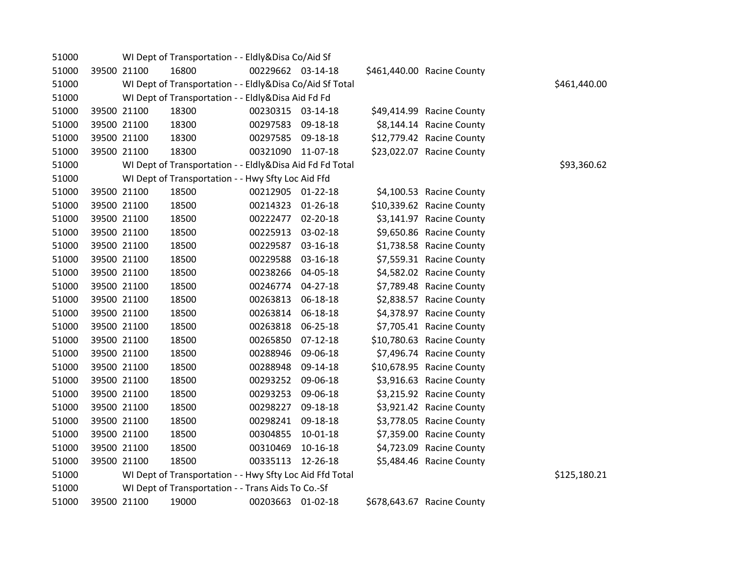| 51000 |             | WI Dept of Transportation - - Eldly&Disa Co/Aid Sf       |                   |                |                            |              |
|-------|-------------|----------------------------------------------------------|-------------------|----------------|----------------------------|--------------|
| 51000 | 39500 21100 | 16800                                                    | 00229662 03-14-18 |                | \$461,440.00 Racine County |              |
| 51000 |             | WI Dept of Transportation - - Eldly&Disa Co/Aid Sf Total |                   |                |                            | \$461,440.00 |
| 51000 |             | WI Dept of Transportation - - Eldly&Disa Aid Fd Fd       |                   |                |                            |              |
| 51000 | 39500 21100 | 18300                                                    | 00230315 03-14-18 |                | \$49,414.99 Racine County  |              |
| 51000 | 39500 21100 | 18300                                                    | 00297583 09-18-18 |                | \$8,144.14 Racine County   |              |
| 51000 | 39500 21100 | 18300                                                    | 00297585 09-18-18 |                | \$12,779.42 Racine County  |              |
| 51000 | 39500 21100 | 18300                                                    | 00321090 11-07-18 |                | \$23,022.07 Racine County  |              |
| 51000 |             | WI Dept of Transportation - - Eldly&Disa Aid Fd Fd Total |                   |                |                            | \$93,360.62  |
| 51000 |             | WI Dept of Transportation - - Hwy Sfty Loc Aid Ffd       |                   |                |                            |              |
| 51000 | 39500 21100 | 18500                                                    | 00212905 01-22-18 |                | \$4,100.53 Racine County   |              |
| 51000 | 39500 21100 | 18500                                                    | 00214323          | $01 - 26 - 18$ | \$10,339.62 Racine County  |              |
| 51000 | 39500 21100 | 18500                                                    | 00222477 02-20-18 |                | \$3,141.97 Racine County   |              |
| 51000 | 39500 21100 | 18500                                                    | 00225913 03-02-18 |                | \$9,650.86 Racine County   |              |
| 51000 | 39500 21100 | 18500                                                    | 00229587 03-16-18 |                | \$1,738.58 Racine County   |              |
| 51000 | 39500 21100 | 18500                                                    | 00229588 03-16-18 |                | \$7,559.31 Racine County   |              |
| 51000 | 39500 21100 | 18500                                                    | 00238266          | 04-05-18       | \$4,582.02 Racine County   |              |
| 51000 | 39500 21100 | 18500                                                    | 00246774 04-27-18 |                | \$7,789.48 Racine County   |              |
| 51000 | 39500 21100 | 18500                                                    | 00263813          | 06-18-18       | \$2,838.57 Racine County   |              |
| 51000 | 39500 21100 | 18500                                                    | 00263814 06-18-18 |                | \$4,378.97 Racine County   |              |
| 51000 | 39500 21100 | 18500                                                    | 00263818          | 06-25-18       | \$7,705.41 Racine County   |              |
| 51000 | 39500 21100 | 18500                                                    | 00265850 07-12-18 |                | \$10,780.63 Racine County  |              |
| 51000 | 39500 21100 | 18500                                                    | 00288946 09-06-18 |                | \$7,496.74 Racine County   |              |
| 51000 | 39500 21100 | 18500                                                    | 00288948 09-14-18 |                | \$10,678.95 Racine County  |              |
| 51000 | 39500 21100 | 18500                                                    | 00293252 09-06-18 |                | \$3,916.63 Racine County   |              |
| 51000 | 39500 21100 | 18500                                                    | 00293253          | 09-06-18       | \$3,215.92 Racine County   |              |
| 51000 | 39500 21100 | 18500                                                    | 00298227          | 09-18-18       | \$3,921.42 Racine County   |              |
| 51000 | 39500 21100 | 18500                                                    | 00298241          | 09-18-18       | \$3,778.05 Racine County   |              |
| 51000 | 39500 21100 | 18500                                                    | 00304855 10-01-18 |                | \$7,359.00 Racine County   |              |
| 51000 | 39500 21100 | 18500                                                    | 00310469 10-16-18 |                | \$4,723.09 Racine County   |              |
| 51000 | 39500 21100 | 18500                                                    | 00335113 12-26-18 |                | \$5,484.46 Racine County   |              |
| 51000 |             | WI Dept of Transportation - - Hwy Sfty Loc Aid Ffd Total |                   |                |                            | \$125,180.21 |
| 51000 |             | WI Dept of Transportation - - Trans Aids To Co.-Sf       |                   |                |                            |              |
| 51000 | 39500 21100 | 19000                                                    | 00203663 01-02-18 |                | \$678,643.67 Racine County |              |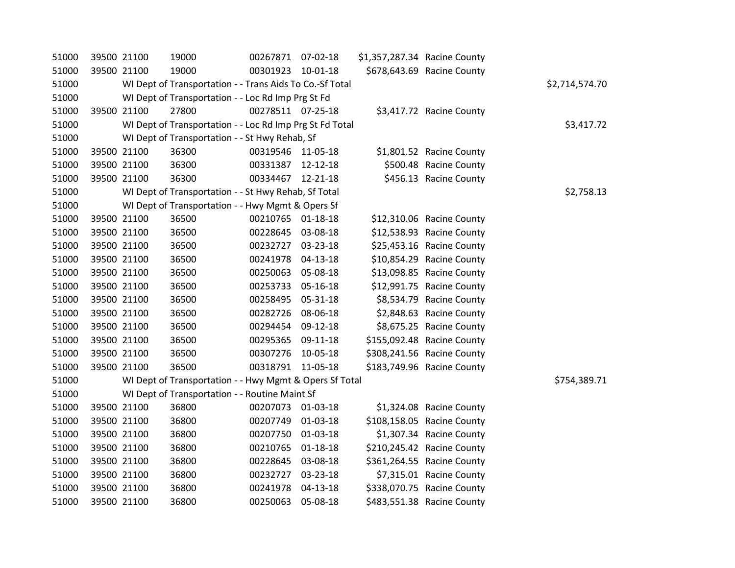| 51000 |             | 39500 21100                                              | 19000                                                    | 00267871 07-02-18 |                | \$1,357,287.34 Racine County |                            |              |
|-------|-------------|----------------------------------------------------------|----------------------------------------------------------|-------------------|----------------|------------------------------|----------------------------|--------------|
| 51000 | 39500 21100 |                                                          | 19000                                                    | 00301923 10-01-18 |                |                              | \$678,643.69 Racine County |              |
| 51000 |             | WI Dept of Transportation - - Trans Aids To Co.-Sf Total |                                                          | \$2,714,574.70    |                |                              |                            |              |
| 51000 |             |                                                          | WI Dept of Transportation - - Loc Rd Imp Prg St Fd       |                   |                |                              |                            |              |
| 51000 |             | 39500 21100                                              | 27800                                                    | 00278511 07-25-18 |                |                              | \$3,417.72 Racine County   |              |
| 51000 |             |                                                          | WI Dept of Transportation - - Loc Rd Imp Prg St Fd Total |                   |                |                              |                            | \$3,417.72   |
| 51000 |             |                                                          | WI Dept of Transportation - - St Hwy Rehab, Sf           |                   |                |                              |                            |              |
| 51000 |             | 39500 21100                                              | 36300                                                    | 00319546 11-05-18 |                |                              | \$1,801.52 Racine County   |              |
| 51000 |             | 39500 21100                                              | 36300                                                    | 00331387          | 12-12-18       |                              | \$500.48 Racine County     |              |
| 51000 | 39500 21100 |                                                          | 36300                                                    | 00334467 12-21-18 |                |                              | \$456.13 Racine County     |              |
| 51000 |             |                                                          | WI Dept of Transportation - - St Hwy Rehab, Sf Total     |                   |                |                              |                            | \$2,758.13   |
| 51000 |             |                                                          | WI Dept of Transportation - - Hwy Mgmt & Opers Sf        |                   |                |                              |                            |              |
| 51000 |             | 39500 21100                                              | 36500                                                    | 00210765 01-18-18 |                |                              | \$12,310.06 Racine County  |              |
| 51000 |             | 39500 21100                                              | 36500                                                    | 00228645 03-08-18 |                |                              | \$12,538.93 Racine County  |              |
| 51000 | 39500 21100 |                                                          | 36500                                                    | 00232727 03-23-18 |                |                              | \$25,453.16 Racine County  |              |
| 51000 |             | 39500 21100                                              | 36500                                                    | 00241978          | 04-13-18       |                              | \$10,854.29 Racine County  |              |
| 51000 |             | 39500 21100                                              | 36500                                                    | 00250063          | 05-08-18       |                              | \$13,098.85 Racine County  |              |
| 51000 |             | 39500 21100                                              | 36500                                                    | 00253733          | 05-16-18       |                              | \$12,991.75 Racine County  |              |
| 51000 |             | 39500 21100                                              | 36500                                                    | 00258495          | 05-31-18       |                              | \$8,534.79 Racine County   |              |
| 51000 | 39500 21100 |                                                          | 36500                                                    | 00282726          | 08-06-18       |                              | \$2,848.63 Racine County   |              |
| 51000 |             | 39500 21100                                              | 36500                                                    | 00294454          | 09-12-18       |                              | \$8,675.25 Racine County   |              |
| 51000 |             | 39500 21100                                              | 36500                                                    | 00295365          | 09-11-18       |                              | \$155,092.48 Racine County |              |
| 51000 | 39500 21100 |                                                          | 36500                                                    | 00307276          | 10-05-18       |                              | \$308,241.56 Racine County |              |
| 51000 | 39500 21100 |                                                          | 36500                                                    | 00318791          | 11-05-18       |                              | \$183,749.96 Racine County |              |
| 51000 |             |                                                          | WI Dept of Transportation - - Hwy Mgmt & Opers Sf Total  |                   |                |                              |                            | \$754,389.71 |
| 51000 |             |                                                          | WI Dept of Transportation - - Routine Maint Sf           |                   |                |                              |                            |              |
| 51000 |             | 39500 21100                                              | 36800                                                    | 00207073          | 01-03-18       |                              | \$1,324.08 Racine County   |              |
| 51000 | 39500 21100 |                                                          | 36800                                                    | 00207749          | 01-03-18       |                              | \$108,158.05 Racine County |              |
| 51000 | 39500 21100 |                                                          | 36800                                                    | 00207750          | 01-03-18       |                              | \$1,307.34 Racine County   |              |
| 51000 | 39500 21100 |                                                          | 36800                                                    | 00210765          | $01 - 18 - 18$ |                              | \$210,245.42 Racine County |              |
| 51000 |             | 39500 21100                                              | 36800                                                    | 00228645          | 03-08-18       |                              | \$361,264.55 Racine County |              |
| 51000 | 39500 21100 |                                                          | 36800                                                    | 00232727          | 03-23-18       |                              | \$7,315.01 Racine County   |              |
| 51000 | 39500 21100 |                                                          | 36800                                                    | 00241978          | 04-13-18       |                              | \$338,070.75 Racine County |              |
| 51000 |             | 39500 21100                                              | 36800                                                    | 00250063          | 05-08-18       |                              | \$483,551.38 Racine County |              |